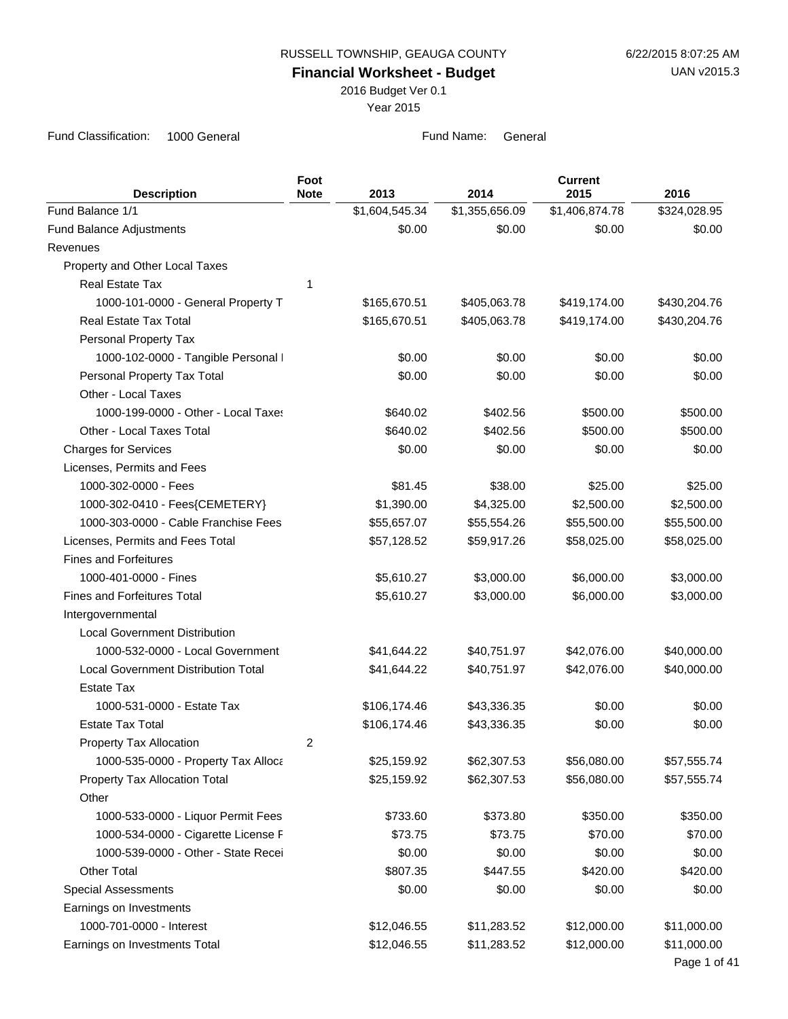**Financial Worksheet - Budget**

2016 Budget Ver 0.1

Year 2015

| <b>Description</b>                         | Foot<br><b>Note</b> | 2013           | 2014           | <b>Current</b><br>2015 | 2016         |
|--------------------------------------------|---------------------|----------------|----------------|------------------------|--------------|
| Fund Balance 1/1                           |                     | \$1,604,545.34 | \$1,355,656.09 | \$1,406,874.78         | \$324,028.95 |
| <b>Fund Balance Adjustments</b>            |                     | \$0.00         | \$0.00         | \$0.00                 | \$0.00       |
| Revenues                                   |                     |                |                |                        |              |
| Property and Other Local Taxes             |                     |                |                |                        |              |
| <b>Real Estate Tax</b>                     | 1                   |                |                |                        |              |
| 1000-101-0000 - General Property T         |                     | \$165,670.51   | \$405,063.78   | \$419,174.00           | \$430,204.76 |
| <b>Real Estate Tax Total</b>               |                     | \$165,670.51   | \$405,063.78   | \$419,174.00           | \$430,204.76 |
| Personal Property Tax                      |                     |                |                |                        |              |
| 1000-102-0000 - Tangible Personal I        |                     | \$0.00         | \$0.00         | \$0.00                 | \$0.00       |
| Personal Property Tax Total                |                     | \$0.00         | \$0.00         | \$0.00                 | \$0.00       |
| Other - Local Taxes                        |                     |                |                |                        |              |
| 1000-199-0000 - Other - Local Taxes        |                     | \$640.02       | \$402.56       | \$500.00               | \$500.00     |
| Other - Local Taxes Total                  |                     | \$640.02       | \$402.56       | \$500.00               | \$500.00     |
| <b>Charges for Services</b>                |                     | \$0.00         | \$0.00         | \$0.00                 | \$0.00       |
| Licenses, Permits and Fees                 |                     |                |                |                        |              |
| 1000-302-0000 - Fees                       |                     | \$81.45        | \$38.00        | \$25.00                | \$25.00      |
| 1000-302-0410 - Fees{CEMETERY}             |                     | \$1,390.00     | \$4,325.00     | \$2,500.00             | \$2,500.00   |
| 1000-303-0000 - Cable Franchise Fees       |                     | \$55,657.07    | \$55,554.26    | \$55,500.00            | \$55,500.00  |
| Licenses, Permits and Fees Total           |                     | \$57,128.52    | \$59,917.26    | \$58,025.00            | \$58,025.00  |
| <b>Fines and Forfeitures</b>               |                     |                |                |                        |              |
| 1000-401-0000 - Fines                      |                     | \$5,610.27     | \$3,000.00     | \$6,000.00             | \$3,000.00   |
| <b>Fines and Forfeitures Total</b>         |                     | \$5,610.27     | \$3,000.00     | \$6,000.00             | \$3,000.00   |
| Intergovernmental                          |                     |                |                |                        |              |
| <b>Local Government Distribution</b>       |                     |                |                |                        |              |
| 1000-532-0000 - Local Government           |                     | \$41,644.22    | \$40,751.97    | \$42,076.00            | \$40,000.00  |
| <b>Local Government Distribution Total</b> |                     | \$41,644.22    | \$40,751.97    | \$42,076.00            | \$40,000.00  |
| <b>Estate Tax</b>                          |                     |                |                |                        |              |
| 1000-531-0000 - Estate Tax                 |                     | \$106,174.46   | \$43,336.35    | \$0.00                 | \$0.00       |
| <b>Estate Tax Total</b>                    |                     | \$106,174.46   | \$43,336.35    | \$0.00                 | \$0.00       |
| Property Tax Allocation                    | 2                   |                |                |                        |              |
| 1000-535-0000 - Property Tax Alloca        |                     | \$25,159.92    | \$62,307.53    | \$56,080.00            | \$57,555.74  |
| Property Tax Allocation Total              |                     | \$25,159.92    | \$62,307.53    | \$56,080.00            | \$57,555.74  |
| Other                                      |                     |                |                |                        |              |
| 1000-533-0000 - Liquor Permit Fees         |                     | \$733.60       | \$373.80       | \$350.00               | \$350.00     |
| 1000-534-0000 - Cigarette License F        |                     | \$73.75        | \$73.75        | \$70.00                | \$70.00      |
| 1000-539-0000 - Other - State Recei        |                     | \$0.00         | \$0.00         | \$0.00                 | \$0.00       |
| <b>Other Total</b>                         |                     | \$807.35       | \$447.55       | \$420.00               | \$420.00     |
| <b>Special Assessments</b>                 |                     | \$0.00         | \$0.00         | \$0.00                 | \$0.00       |
| Earnings on Investments                    |                     |                |                |                        |              |
| 1000-701-0000 - Interest                   |                     | \$12,046.55    | \$11,283.52    | \$12,000.00            | \$11,000.00  |
| Earnings on Investments Total              |                     | \$12,046.55    | \$11,283.52    | \$12,000.00            | \$11,000.00  |
|                                            |                     |                |                |                        | Page 1 of 41 |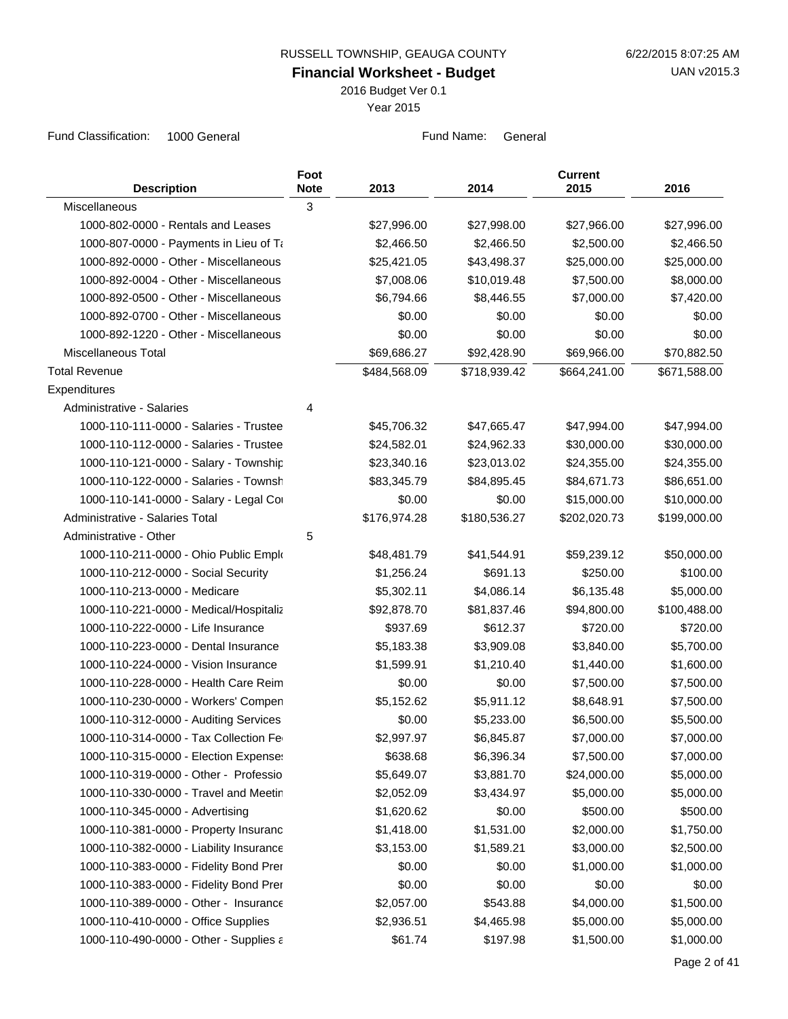**Financial Worksheet - Budget**

2016 Budget Ver 0.1

Year 2015

| <b>Description</b>                      | Foot<br><b>Note</b> | 2013         | 2014         | <b>Current</b><br>2015 | 2016         |
|-----------------------------------------|---------------------|--------------|--------------|------------------------|--------------|
| Miscellaneous                           | $\mathbf{3}$        |              |              |                        |              |
| 1000-802-0000 - Rentals and Leases      |                     | \$27,996.00  | \$27,998.00  | \$27,966.00            | \$27,996.00  |
| 1000-807-0000 - Payments in Lieu of Ta  |                     | \$2,466.50   | \$2,466.50   | \$2,500.00             | \$2,466.50   |
| 1000-892-0000 - Other - Miscellaneous   |                     | \$25,421.05  | \$43,498.37  | \$25,000.00            | \$25,000.00  |
| 1000-892-0004 - Other - Miscellaneous   |                     | \$7,008.06   | \$10,019.48  | \$7,500.00             | \$8,000.00   |
| 1000-892-0500 - Other - Miscellaneous   |                     | \$6,794.66   | \$8,446.55   | \$7,000.00             | \$7,420.00   |
| 1000-892-0700 - Other - Miscellaneous   |                     | \$0.00       | \$0.00       | \$0.00                 | \$0.00       |
| 1000-892-1220 - Other - Miscellaneous   |                     | \$0.00       | \$0.00       | \$0.00                 | \$0.00       |
| Miscellaneous Total                     |                     | \$69,686.27  | \$92,428.90  | \$69,966.00            | \$70,882.50  |
| <b>Total Revenue</b>                    |                     | \$484,568.09 | \$718,939.42 | \$664,241.00           | \$671,588.00 |
| Expenditures                            |                     |              |              |                        |              |
| Administrative - Salaries               | 4                   |              |              |                        |              |
| 1000-110-111-0000 - Salaries - Trustee  |                     | \$45,706.32  | \$47,665.47  | \$47,994.00            | \$47,994.00  |
| 1000-110-112-0000 - Salaries - Trustee  |                     | \$24,582.01  | \$24,962.33  | \$30,000.00            | \$30,000.00  |
| 1000-110-121-0000 - Salary - Township   |                     | \$23,340.16  | \$23,013.02  | \$24,355.00            | \$24,355.00  |
| 1000-110-122-0000 - Salaries - Townsh   |                     | \$83,345.79  | \$84,895.45  | \$84,671.73            | \$86,651.00  |
| 1000-110-141-0000 - Salary - Legal Cor  |                     | \$0.00       | \$0.00       | \$15,000.00            | \$10,000.00  |
| Administrative - Salaries Total         |                     | \$176,974.28 | \$180,536.27 | \$202,020.73           | \$199,000.00 |
| Administrative - Other                  | 5                   |              |              |                        |              |
| 1000-110-211-0000 - Ohio Public Emplo   |                     | \$48,481.79  | \$41,544.91  | \$59,239.12            | \$50,000.00  |
| 1000-110-212-0000 - Social Security     |                     | \$1,256.24   | \$691.13     | \$250.00               | \$100.00     |
| 1000-110-213-0000 - Medicare            |                     | \$5,302.11   | \$4,086.14   | \$6,135.48             | \$5,000.00   |
| 1000-110-221-0000 - Medical/Hospitaliz  |                     | \$92,878.70  | \$81,837.46  | \$94,800.00            | \$100,488.00 |
| 1000-110-222-0000 - Life Insurance      |                     | \$937.69     | \$612.37     | \$720.00               | \$720.00     |
| 1000-110-223-0000 - Dental Insurance    |                     | \$5,183.38   | \$3,909.08   | \$3,840.00             | \$5,700.00   |
| 1000-110-224-0000 - Vision Insurance    |                     | \$1,599.91   | \$1,210.40   | \$1,440.00             | \$1,600.00   |
| 1000-110-228-0000 - Health Care Reim    |                     | \$0.00       | \$0.00       | \$7,500.00             | \$7,500.00   |
| 1000-110-230-0000 - Workers' Compen     |                     | \$5,152.62   | \$5,911.12   | \$8,648.91             | \$7,500.00   |
| 1000-110-312-0000 - Auditing Services   |                     | \$0.00       | \$5,233.00   | \$6,500.00             | \$5,500.00   |
| 1000-110-314-0000 - Tax Collection Fe   |                     | \$2,997.97   | \$6,845.87   | \$7,000.00             | \$7,000.00   |
| 1000-110-315-0000 - Election Expenses   |                     | \$638.68     | \$6,396.34   | \$7,500.00             | \$7,000.00   |
| 1000-110-319-0000 - Other - Professio   |                     | \$5,649.07   | \$3,881.70   | \$24,000.00            | \$5,000.00   |
| 1000-110-330-0000 - Travel and Meetin   |                     | \$2,052.09   | \$3,434.97   | \$5,000.00             | \$5,000.00   |
| 1000-110-345-0000 - Advertising         |                     | \$1,620.62   | \$0.00       | \$500.00               | \$500.00     |
| 1000-110-381-0000 - Property Insuranc   |                     | \$1,418.00   | \$1,531.00   | \$2,000.00             | \$1,750.00   |
| 1000-110-382-0000 - Liability Insurance |                     | \$3,153.00   | \$1,589.21   | \$3,000.00             | \$2,500.00   |
| 1000-110-383-0000 - Fidelity Bond Prer  |                     | \$0.00       | \$0.00       | \$1,000.00             | \$1,000.00   |
| 1000-110-383-0000 - Fidelity Bond Prer  |                     | \$0.00       | \$0.00       | \$0.00                 | \$0.00       |
| 1000-110-389-0000 - Other - Insurance   |                     | \$2,057.00   | \$543.88     | \$4,000.00             | \$1,500.00   |
| 1000-110-410-0000 - Office Supplies     |                     | \$2,936.51   | \$4,465.98   | \$5,000.00             | \$5,000.00   |
| 1000-110-490-0000 - Other - Supplies a  |                     | \$61.74      | \$197.98     | \$1,500.00             | \$1,000.00   |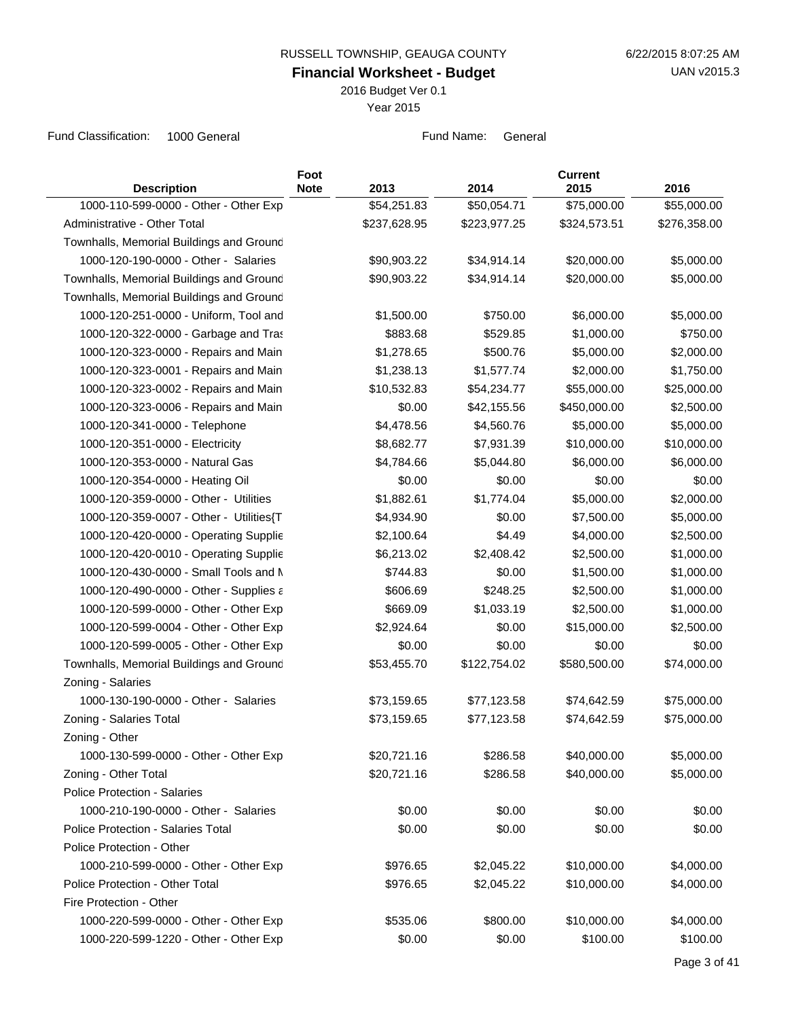**Financial Worksheet - Budget**

2016 Budget Ver 0.1

Year 2015

| <b>Description</b>                        | Foot<br><b>Note</b> | 2013         | 2014         | <b>Current</b><br>2015 | 2016         |
|-------------------------------------------|---------------------|--------------|--------------|------------------------|--------------|
| 1000-110-599-0000 - Other - Other Exp     |                     | \$54,251.83  | \$50,054.71  | \$75,000.00            | \$55,000.00  |
| Administrative - Other Total              |                     | \$237,628.95 | \$223,977.25 | \$324,573.51           | \$276,358.00 |
| Townhalls, Memorial Buildings and Ground  |                     |              |              |                        |              |
| 1000-120-190-0000 - Other - Salaries      |                     | \$90,903.22  | \$34,914.14  | \$20,000.00            | \$5,000.00   |
| Townhalls, Memorial Buildings and Ground  |                     | \$90,903.22  | \$34,914.14  | \$20,000.00            | \$5,000.00   |
| Townhalls, Memorial Buildings and Ground  |                     |              |              |                        |              |
| 1000-120-251-0000 - Uniform, Tool and     |                     | \$1,500.00   | \$750.00     | \$6,000.00             | \$5,000.00   |
| 1000-120-322-0000 - Garbage and Tras      |                     | \$883.68     | \$529.85     | \$1,000.00             | \$750.00     |
| 1000-120-323-0000 - Repairs and Main      |                     | \$1,278.65   | \$500.76     | \$5,000.00             | \$2,000.00   |
| 1000-120-323-0001 - Repairs and Main      |                     | \$1,238.13   | \$1,577.74   | \$2,000.00             | \$1,750.00   |
| 1000-120-323-0002 - Repairs and Main      |                     | \$10,532.83  | \$54,234.77  | \$55,000.00            | \$25,000.00  |
| 1000-120-323-0006 - Repairs and Main      |                     | \$0.00       | \$42,155.56  | \$450,000.00           | \$2,500.00   |
| 1000-120-341-0000 - Telephone             |                     | \$4,478.56   | \$4,560.76   | \$5,000.00             | \$5,000.00   |
| 1000-120-351-0000 - Electricity           |                     | \$8,682.77   | \$7,931.39   | \$10,000.00            | \$10,000.00  |
| 1000-120-353-0000 - Natural Gas           |                     | \$4,784.66   | \$5,044.80   | \$6,000.00             | \$6,000.00   |
| 1000-120-354-0000 - Heating Oil           |                     | \$0.00       | \$0.00       | \$0.00                 | \$0.00       |
| 1000-120-359-0000 - Other - Utilities     |                     | \$1,882.61   | \$1,774.04   | \$5,000.00             | \$2,000.00   |
| 1000-120-359-0007 - Other - Utilities{T   |                     | \$4,934.90   | \$0.00       | \$7,500.00             | \$5,000.00   |
| 1000-120-420-0000 - Operating Supplie     |                     | \$2,100.64   | \$4.49       | \$4,000.00             | \$2,500.00   |
| 1000-120-420-0010 - Operating Supplie     |                     | \$6,213.02   | \$2,408.42   | \$2,500.00             | \$1,000.00   |
| 1000-120-430-0000 - Small Tools and M     |                     | \$744.83     | \$0.00       | \$1,500.00             | \$1,000.00   |
| 1000-120-490-0000 - Other - Supplies a    |                     | \$606.69     | \$248.25     | \$2,500.00             | \$1,000.00   |
| 1000-120-599-0000 - Other - Other Exp     |                     | \$669.09     | \$1,033.19   | \$2,500.00             | \$1,000.00   |
| 1000-120-599-0004 - Other - Other Exp     |                     | \$2,924.64   | \$0.00       | \$15,000.00            | \$2,500.00   |
| 1000-120-599-0005 - Other - Other Exp     |                     | \$0.00       | \$0.00       | \$0.00                 | \$0.00       |
| Townhalls, Memorial Buildings and Ground  |                     | \$53,455.70  | \$122,754.02 | \$580,500.00           | \$74,000.00  |
| Zoning - Salaries                         |                     |              |              |                        |              |
| 1000-130-190-0000 - Other - Salaries      |                     | \$73,159.65  | \$77,123.58  | \$74,642.59            | \$75,000.00  |
| Zoning - Salaries Total                   |                     | \$73,159.65  | \$77,123.58  | \$74,642.59            | \$75,000.00  |
| Zoning - Other                            |                     |              |              |                        |              |
| 1000-130-599-0000 - Other - Other Exp     |                     | \$20,721.16  | \$286.58     | \$40,000.00            | \$5,000.00   |
| Zoning - Other Total                      |                     | \$20,721.16  | \$286.58     | \$40,000.00            | \$5,000.00   |
| Police Protection - Salaries              |                     |              |              |                        |              |
| 1000-210-190-0000 - Other - Salaries      |                     | \$0.00       | \$0.00       | \$0.00                 | \$0.00       |
| <b>Police Protection - Salaries Total</b> |                     | \$0.00       | \$0.00       | \$0.00                 | \$0.00       |
| Police Protection - Other                 |                     |              |              |                        |              |
| 1000-210-599-0000 - Other - Other Exp     |                     | \$976.65     | \$2,045.22   | \$10,000.00            | \$4,000.00   |
| Police Protection - Other Total           |                     | \$976.65     | \$2,045.22   | \$10,000.00            | \$4,000.00   |
| Fire Protection - Other                   |                     |              |              |                        |              |
| 1000-220-599-0000 - Other - Other Exp     |                     | \$535.06     | \$800.00     | \$10,000.00            | \$4,000.00   |
| 1000-220-599-1220 - Other - Other Exp     |                     | \$0.00       | \$0.00       | \$100.00               | \$100.00     |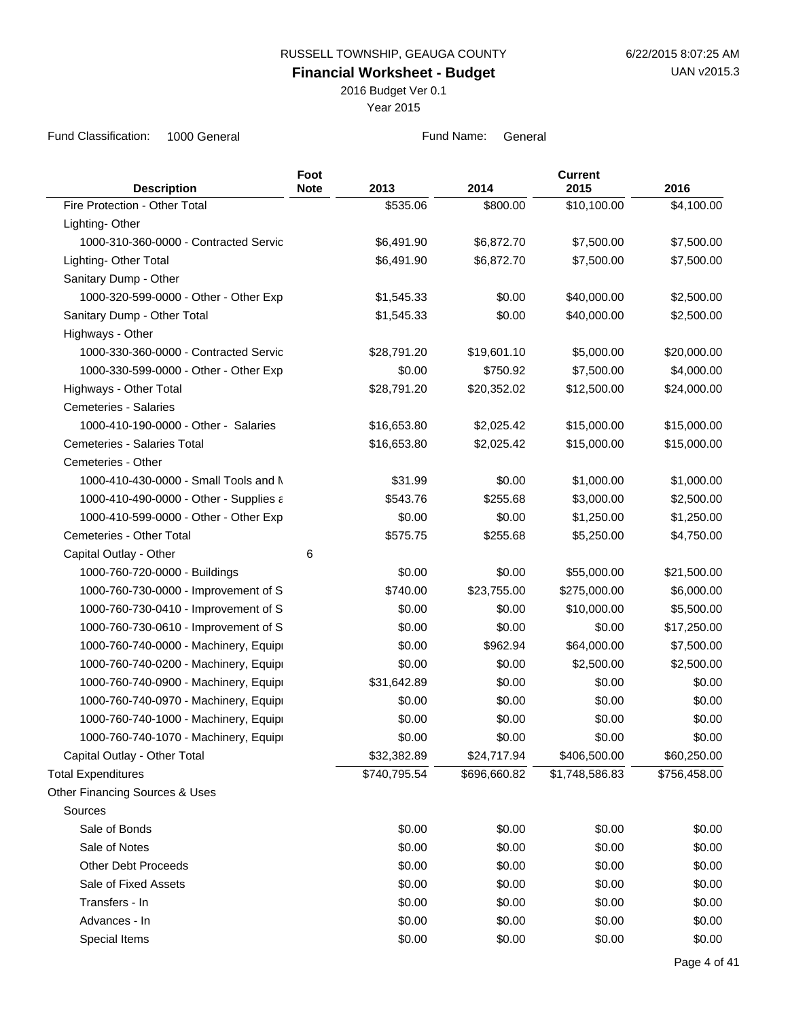2016 Budget Ver 0.1

Year 2015

| <b>Description</b>                     | Foot<br><b>Note</b> | 2013         | 2014         | <b>Current</b><br>2015 | 2016         |
|----------------------------------------|---------------------|--------------|--------------|------------------------|--------------|
| Fire Protection - Other Total          |                     | \$535.06     | \$800.00     | \$10,100.00            | \$4,100.00   |
| Lighting-Other                         |                     |              |              |                        |              |
| 1000-310-360-0000 - Contracted Servic  |                     | \$6,491.90   | \$6,872.70   | \$7,500.00             | \$7,500.00   |
| Lighting- Other Total                  |                     | \$6,491.90   | \$6,872.70   | \$7,500.00             | \$7,500.00   |
| Sanitary Dump - Other                  |                     |              |              |                        |              |
| 1000-320-599-0000 - Other - Other Exp  |                     | \$1,545.33   | \$0.00       | \$40,000.00            | \$2,500.00   |
| Sanitary Dump - Other Total            |                     | \$1,545.33   | \$0.00       | \$40,000.00            | \$2,500.00   |
| Highways - Other                       |                     |              |              |                        |              |
| 1000-330-360-0000 - Contracted Servic  |                     | \$28,791.20  | \$19,601.10  | \$5,000.00             | \$20,000.00  |
| 1000-330-599-0000 - Other - Other Exp  |                     | \$0.00       | \$750.92     | \$7,500.00             | \$4,000.00   |
| Highways - Other Total                 |                     | \$28,791.20  | \$20,352.02  | \$12,500.00            | \$24,000.00  |
| <b>Cemeteries - Salaries</b>           |                     |              |              |                        |              |
| 1000-410-190-0000 - Other - Salaries   |                     | \$16,653.80  | \$2,025.42   | \$15,000.00            | \$15,000.00  |
| Cemeteries - Salaries Total            |                     | \$16,653.80  | \$2,025.42   | \$15,000.00            | \$15,000.00  |
| Cemeteries - Other                     |                     |              |              |                        |              |
| 1000-410-430-0000 - Small Tools and N  |                     | \$31.99      | \$0.00       | \$1,000.00             | \$1,000.00   |
| 1000-410-490-0000 - Other - Supplies a |                     | \$543.76     | \$255.68     | \$3,000.00             | \$2,500.00   |
| 1000-410-599-0000 - Other - Other Exp  |                     | \$0.00       | \$0.00       | \$1,250.00             | \$1,250.00   |
| Cemeteries - Other Total               |                     | \$575.75     | \$255.68     | \$5,250.00             | \$4,750.00   |
| Capital Outlay - Other                 | 6                   |              |              |                        |              |
| 1000-760-720-0000 - Buildings          |                     | \$0.00       | \$0.00       | \$55,000.00            | \$21,500.00  |
| 1000-760-730-0000 - Improvement of S   |                     | \$740.00     | \$23,755.00  | \$275,000.00           | \$6,000.00   |
| 1000-760-730-0410 - Improvement of S   |                     | \$0.00       | \$0.00       | \$10,000.00            | \$5,500.00   |
| 1000-760-730-0610 - Improvement of S   |                     | \$0.00       | \$0.00       | \$0.00                 | \$17,250.00  |
| 1000-760-740-0000 - Machinery, Equipi  |                     | \$0.00       | \$962.94     | \$64,000.00            | \$7,500.00   |
| 1000-760-740-0200 - Machinery, Equipi  |                     | \$0.00       | \$0.00       | \$2,500.00             | \$2,500.00   |
| 1000-760-740-0900 - Machinery, Equipi  |                     | \$31,642.89  | \$0.00       | \$0.00                 | \$0.00       |
| 1000-760-740-0970 - Machinery, Equipi  |                     | \$0.00       | \$0.00       | \$0.00                 | \$0.00       |
| 1000-760-740-1000 - Machinery, Equipi  |                     | \$0.00       | \$0.00       | \$0.00                 | \$0.00       |
| 1000-760-740-1070 - Machinery, Equipi  |                     | \$0.00       | \$0.00       | \$0.00                 | \$0.00       |
| Capital Outlay - Other Total           |                     | \$32,382.89  | \$24,717.94  | \$406,500.00           | \$60,250.00  |
| <b>Total Expenditures</b>              |                     | \$740,795.54 | \$696,660.82 | \$1,748,586.83         | \$756,458.00 |
| Other Financing Sources & Uses         |                     |              |              |                        |              |
| Sources                                |                     |              |              |                        |              |
| Sale of Bonds                          |                     | \$0.00       | \$0.00       | \$0.00                 | \$0.00       |
| Sale of Notes                          |                     | \$0.00       | \$0.00       | \$0.00                 | \$0.00       |
| <b>Other Debt Proceeds</b>             |                     | \$0.00       | \$0.00       | \$0.00                 | \$0.00       |
| Sale of Fixed Assets                   |                     | \$0.00       | \$0.00       | \$0.00                 | \$0.00       |
| Transfers - In                         |                     | \$0.00       | \$0.00       | \$0.00                 | \$0.00       |
| Advances - In                          |                     | \$0.00       | \$0.00       | \$0.00                 | \$0.00       |
| Special Items                          |                     | \$0.00       | \$0.00       | \$0.00                 | \$0.00       |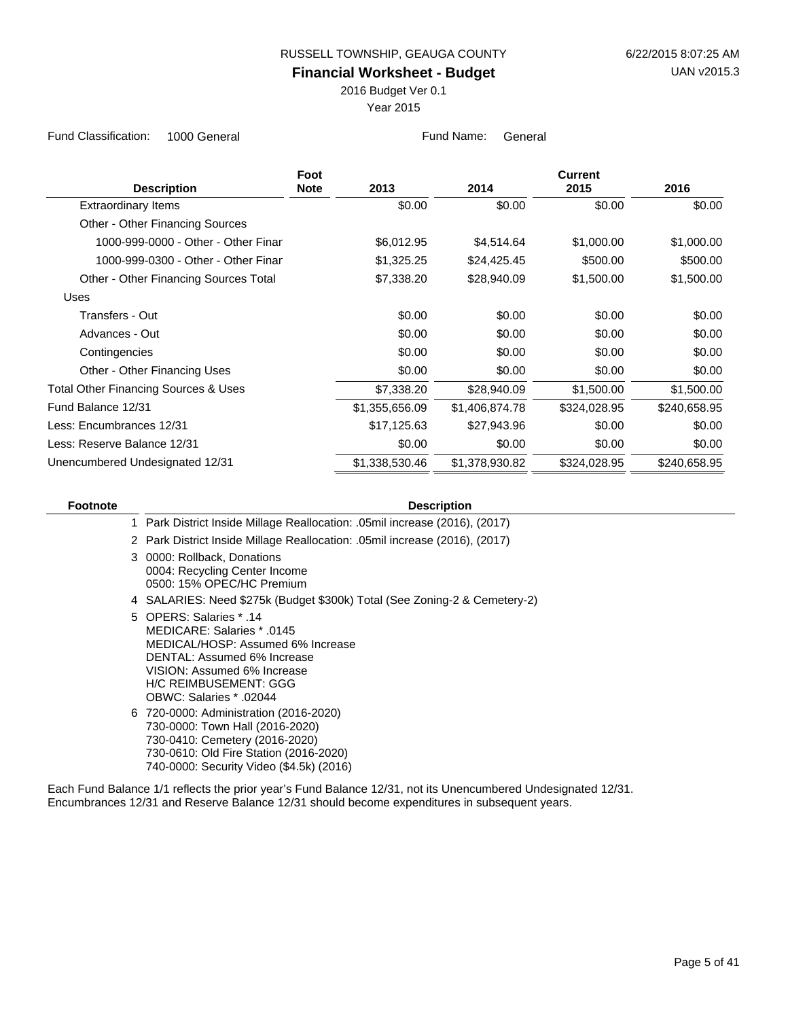2016 Budget Ver 0.1

Year 2015

Fund Classification: 1000 General **Fund Name:** General Fund Name: General

|                                                 | Foot        |                |                | <b>Current</b> |              |
|-------------------------------------------------|-------------|----------------|----------------|----------------|--------------|
| <b>Description</b>                              | <b>Note</b> | 2013           | 2014           | 2015           | 2016         |
| <b>Extraordinary Items</b>                      |             | \$0.00         | \$0.00         | \$0.00         | \$0.00       |
| Other - Other Financing Sources                 |             |                |                |                |              |
| 1000-999-0000 - Other - Other Finar             |             | \$6,012.95     | \$4,514.64     | \$1,000.00     | \$1,000.00   |
| 1000-999-0300 - Other - Other Finar             |             | \$1,325.25     | \$24,425.45    | \$500.00       | \$500.00     |
| Other - Other Financing Sources Total           |             | \$7,338.20     | \$28,940.09    | \$1,500.00     | \$1,500.00   |
| Uses                                            |             |                |                |                |              |
| Transfers - Out                                 |             | \$0.00         | \$0.00         | \$0.00         | \$0.00       |
| Advances - Out                                  |             | \$0.00         | \$0.00         | \$0.00         | \$0.00       |
| Contingencies                                   |             | \$0.00         | \$0.00         | \$0.00         | \$0.00       |
| Other - Other Financing Uses                    |             | \$0.00         | \$0.00         | \$0.00         | \$0.00       |
| <b>Total Other Financing Sources &amp; Uses</b> |             | \$7,338.20     | \$28,940.09    | \$1,500.00     | \$1,500.00   |
| Fund Balance 12/31                              |             | \$1,355,656.09 | \$1,406,874.78 | \$324,028.95   | \$240,658.95 |
| Less: Encumbrances 12/31                        |             | \$17,125.63    | \$27,943.96    | \$0.00         | \$0.00       |
| Less: Reserve Balance 12/31                     |             | \$0.00         | \$0.00         | \$0.00         | \$0.00       |
| Unencumbered Undesignated 12/31                 |             | \$1,338,530.46 | \$1,378,930.82 | \$324,028.95   | \$240,658.95 |

| <b>Footnote</b> | <b>Description</b>                                                                                                                                                                                           |
|-----------------|--------------------------------------------------------------------------------------------------------------------------------------------------------------------------------------------------------------|
|                 | 1 Park District Inside Millage Reallocation: .05mil increase (2016), (2017)                                                                                                                                  |
|                 | 2 Park District Inside Millage Reallocation: .05mil increase (2016), (2017)                                                                                                                                  |
|                 | 3 0000: Rollback, Donations<br>0004: Recycling Center Income<br>0500: 15% OPEC/HC Premium                                                                                                                    |
|                 | 4 SALARIES: Need \$275k (Budget \$300k) Total (See Zoning-2 & Cemetery-2)                                                                                                                                    |
|                 | 5 OPERS: Salaries * .14<br>MEDICARE: Salaries * .0145<br>MEDICAL/HOSP: Assumed 6% Increase<br>DENTAL: Assumed 6% Increase<br>VISION: Assumed 6% Increase<br>H/C REIMBUSEMENT: GGG<br>OBWC: Salaries * .02044 |
|                 | 6 720-0000: Administration (2016-2020)<br>730-0000: Town Hall (2016-2020)<br>730-0410: Cemetery (2016-2020)<br>730-0610: Old Fire Station (2016-2020)<br>740-0000: Security Video (\$4.5k) (2016)            |
|                 |                                                                                                                                                                                                              |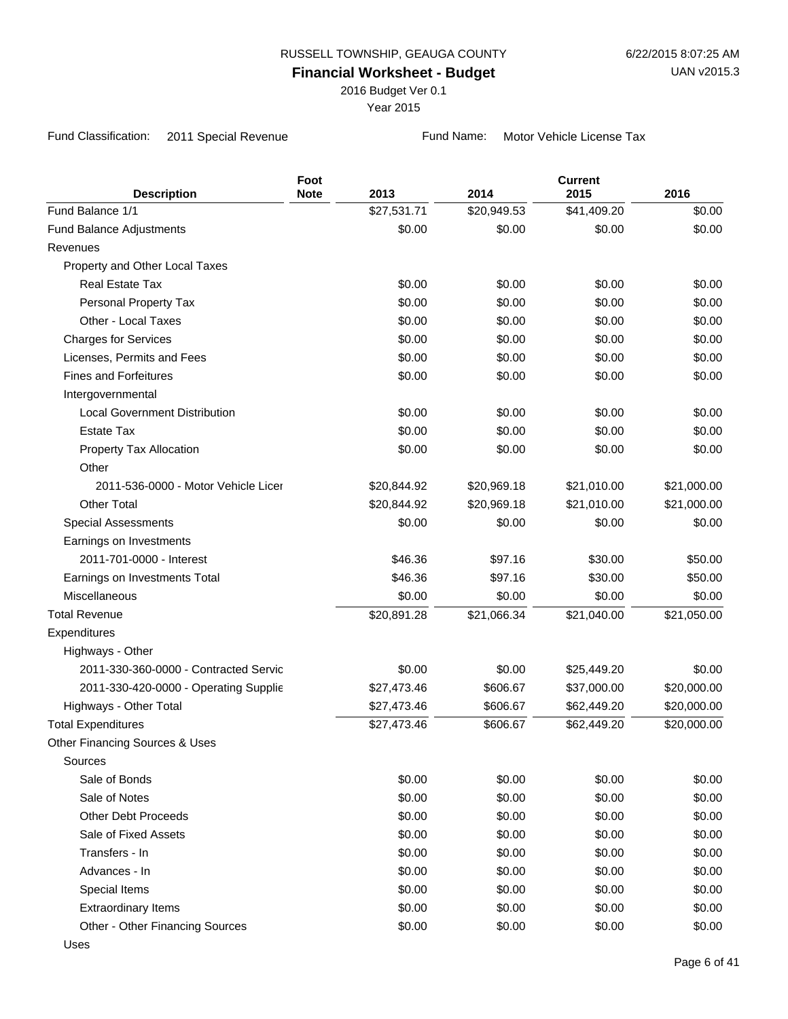2016 Budget Ver 0.1

Year 2015

Fund Classification: 2011 Special Revenue Fund Name: Motor Vehicle License Tax

|                                       | Foot        |             |             | <b>Current</b> |             |
|---------------------------------------|-------------|-------------|-------------|----------------|-------------|
| <b>Description</b>                    | <b>Note</b> | 2013        | 2014        | 2015           | 2016        |
| Fund Balance 1/1                      |             | \$27,531.71 | \$20,949.53 | \$41,409.20    | \$0.00      |
| <b>Fund Balance Adjustments</b>       |             | \$0.00      | \$0.00      | \$0.00         | \$0.00      |
| Revenues                              |             |             |             |                |             |
| Property and Other Local Taxes        |             |             |             |                |             |
| <b>Real Estate Tax</b>                |             | \$0.00      | \$0.00      | \$0.00         | \$0.00      |
| Personal Property Tax                 |             | \$0.00      | \$0.00      | \$0.00         | \$0.00      |
| Other - Local Taxes                   |             | \$0.00      | \$0.00      | \$0.00         | \$0.00      |
| <b>Charges for Services</b>           |             | \$0.00      | \$0.00      | \$0.00         | \$0.00      |
| Licenses, Permits and Fees            |             | \$0.00      | \$0.00      | \$0.00         | \$0.00      |
| <b>Fines and Forfeitures</b>          |             | \$0.00      | \$0.00      | \$0.00         | \$0.00      |
| Intergovernmental                     |             |             |             |                |             |
| <b>Local Government Distribution</b>  |             | \$0.00      | \$0.00      | \$0.00         | \$0.00      |
| <b>Estate Tax</b>                     |             | \$0.00      | \$0.00      | \$0.00         | \$0.00      |
| Property Tax Allocation               |             | \$0.00      | \$0.00      | \$0.00         | \$0.00      |
| Other                                 |             |             |             |                |             |
| 2011-536-0000 - Motor Vehicle Licer   |             | \$20,844.92 | \$20,969.18 | \$21,010.00    | \$21,000.00 |
| <b>Other Total</b>                    |             | \$20,844.92 | \$20,969.18 | \$21,010.00    | \$21,000.00 |
| <b>Special Assessments</b>            |             | \$0.00      | \$0.00      | \$0.00         | \$0.00      |
| Earnings on Investments               |             |             |             |                |             |
| 2011-701-0000 - Interest              |             | \$46.36     | \$97.16     | \$30.00        | \$50.00     |
| Earnings on Investments Total         |             | \$46.36     | \$97.16     | \$30.00        | \$50.00     |
| Miscellaneous                         |             | \$0.00      | \$0.00      | \$0.00         | \$0.00      |
| <b>Total Revenue</b>                  |             | \$20,891.28 | \$21,066.34 | \$21,040.00    | \$21,050.00 |
| Expenditures                          |             |             |             |                |             |
| Highways - Other                      |             |             |             |                |             |
| 2011-330-360-0000 - Contracted Servic |             | \$0.00      | \$0.00      | \$25,449.20    | \$0.00      |
| 2011-330-420-0000 - Operating Supplie |             | \$27,473.46 | \$606.67    | \$37,000.00    | \$20,000.00 |
| Highways - Other Total                |             | \$27,473.46 | \$606.67    | \$62,449.20    | \$20,000.00 |
| <b>Total Expenditures</b>             |             | \$27,473.46 | \$606.67    | \$62,449.20    | \$20,000.00 |
| Other Financing Sources & Uses        |             |             |             |                |             |
| Sources                               |             |             |             |                |             |
| Sale of Bonds                         |             | \$0.00      | \$0.00      | \$0.00         | \$0.00      |
| Sale of Notes                         |             | \$0.00      | \$0.00      | \$0.00         | \$0.00      |
| <b>Other Debt Proceeds</b>            |             | \$0.00      | \$0.00      | \$0.00         | \$0.00      |
| Sale of Fixed Assets                  |             | \$0.00      | \$0.00      | \$0.00         | \$0.00      |
| Transfers - In                        |             | \$0.00      | \$0.00      | \$0.00         | \$0.00      |
| Advances - In                         |             | \$0.00      | \$0.00      | \$0.00         | \$0.00      |
| Special Items                         |             | \$0.00      | \$0.00      | \$0.00         | \$0.00      |
| <b>Extraordinary Items</b>            |             | \$0.00      | \$0.00      | \$0.00         | \$0.00      |
| Other - Other Financing Sources       |             | \$0.00      | \$0.00      | \$0.00         | \$0.00      |
| Uses                                  |             |             |             |                |             |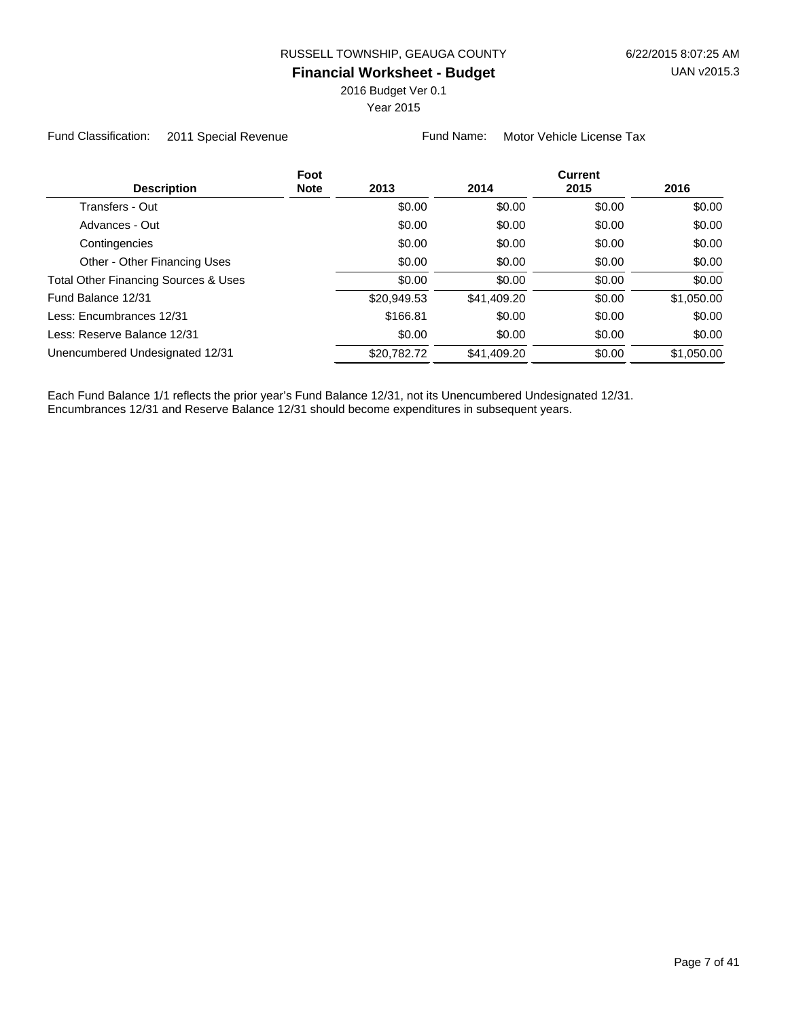2016 Budget Ver 0.1

Year 2015

Fund Classification: 2011 Special Revenue Fund Name: Motor Vehicle License Tax

| <b>Description</b>                   | Foot<br><b>Note</b> | 2013        | 2014        | <b>Current</b><br>2015 | 2016       |
|--------------------------------------|---------------------|-------------|-------------|------------------------|------------|
| Transfers - Out                      |                     | \$0.00      | \$0.00      | \$0.00                 | \$0.00     |
| Advances - Out                       |                     | \$0.00      | \$0.00      | \$0.00                 | \$0.00     |
| Contingencies                        |                     | \$0.00      | \$0.00      | \$0.00                 | \$0.00     |
| Other - Other Financing Uses         |                     | \$0.00      | \$0.00      | \$0.00                 | \$0.00     |
| Total Other Financing Sources & Uses |                     | \$0.00      | \$0.00      | \$0.00                 | \$0.00     |
| Fund Balance 12/31                   |                     | \$20,949.53 | \$41,409.20 | \$0.00                 | \$1,050.00 |
| Less: Encumbrances 12/31             |                     | \$166.81    | \$0.00      | \$0.00                 | \$0.00     |
| Less: Reserve Balance 12/31          |                     | \$0.00      | \$0.00      | \$0.00                 | \$0.00     |
| Unencumbered Undesignated 12/31      |                     | \$20,782.72 | \$41,409.20 | \$0.00                 | \$1,050.00 |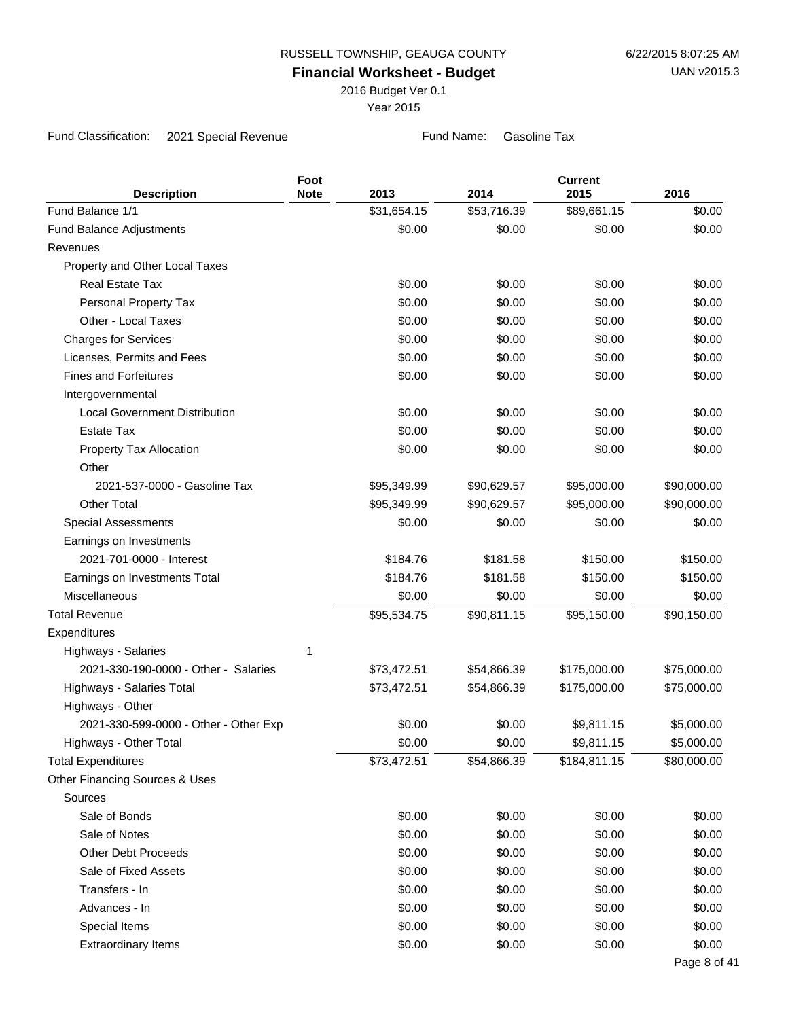2016 Budget Ver 0.1

Year 2015

Fund Classification: 2021 Special Revenue Fund Name: Gasoline Tax

| <b>Description</b>                    | Foot<br><b>Note</b> | 2013        | 2014        | <b>Current</b><br>2015 | 2016         |
|---------------------------------------|---------------------|-------------|-------------|------------------------|--------------|
| Fund Balance 1/1                      |                     | \$31,654.15 | \$53,716.39 | \$89,661.15            | \$0.00       |
| <b>Fund Balance Adjustments</b>       |                     | \$0.00      | \$0.00      | \$0.00                 | \$0.00       |
| Revenues                              |                     |             |             |                        |              |
| Property and Other Local Taxes        |                     |             |             |                        |              |
| <b>Real Estate Tax</b>                |                     | \$0.00      | \$0.00      | \$0.00                 | \$0.00       |
| Personal Property Tax                 |                     | \$0.00      | \$0.00      | \$0.00                 | \$0.00       |
| Other - Local Taxes                   |                     | \$0.00      | \$0.00      | \$0.00                 | \$0.00       |
| <b>Charges for Services</b>           |                     | \$0.00      | \$0.00      | \$0.00                 | \$0.00       |
| Licenses, Permits and Fees            |                     | \$0.00      | \$0.00      | \$0.00                 | \$0.00       |
| <b>Fines and Forfeitures</b>          |                     | \$0.00      | \$0.00      | \$0.00                 | \$0.00       |
| Intergovernmental                     |                     |             |             |                        |              |
| <b>Local Government Distribution</b>  |                     | \$0.00      | \$0.00      | \$0.00                 | \$0.00       |
| <b>Estate Tax</b>                     |                     | \$0.00      | \$0.00      | \$0.00                 | \$0.00       |
| Property Tax Allocation               |                     | \$0.00      | \$0.00      | \$0.00                 | \$0.00       |
| Other                                 |                     |             |             |                        |              |
| 2021-537-0000 - Gasoline Tax          |                     | \$95,349.99 | \$90,629.57 | \$95,000.00            | \$90,000.00  |
| <b>Other Total</b>                    |                     | \$95,349.99 | \$90,629.57 | \$95,000.00            | \$90,000.00  |
| <b>Special Assessments</b>            |                     | \$0.00      | \$0.00      | \$0.00                 | \$0.00       |
| Earnings on Investments               |                     |             |             |                        |              |
| 2021-701-0000 - Interest              |                     | \$184.76    | \$181.58    | \$150.00               | \$150.00     |
| Earnings on Investments Total         |                     | \$184.76    | \$181.58    | \$150.00               | \$150.00     |
| Miscellaneous                         |                     | \$0.00      | \$0.00      | \$0.00                 | \$0.00       |
| <b>Total Revenue</b>                  |                     | \$95,534.75 | \$90,811.15 | \$95,150.00            | \$90,150.00  |
| Expenditures                          |                     |             |             |                        |              |
| Highways - Salaries                   | 1                   |             |             |                        |              |
| 2021-330-190-0000 - Other - Salaries  |                     | \$73,472.51 | \$54,866.39 | \$175,000.00           | \$75,000.00  |
| Highways - Salaries Total             |                     | \$73,472.51 | \$54,866.39 | \$175,000.00           | \$75,000.00  |
| Highways - Other                      |                     |             |             |                        |              |
| 2021-330-599-0000 - Other - Other Exp |                     | \$0.00      | \$0.00      | \$9,811.15             | \$5,000.00   |
| Highways - Other Total                |                     | \$0.00      | \$0.00      | \$9,811.15             | \$5,000.00   |
| <b>Total Expenditures</b>             |                     | \$73,472.51 | \$54,866.39 | \$184,811.15           | \$80,000.00  |
| Other Financing Sources & Uses        |                     |             |             |                        |              |
| Sources                               |                     |             |             |                        |              |
| Sale of Bonds                         |                     | \$0.00      | \$0.00      | \$0.00                 | \$0.00       |
| Sale of Notes                         |                     | \$0.00      | \$0.00      | \$0.00                 | \$0.00       |
| <b>Other Debt Proceeds</b>            |                     | \$0.00      | \$0.00      | \$0.00                 | \$0.00       |
| Sale of Fixed Assets                  |                     | \$0.00      | \$0.00      | \$0.00                 | \$0.00       |
| Transfers - In                        |                     | \$0.00      | \$0.00      | \$0.00                 | \$0.00       |
| Advances - In                         |                     | \$0.00      | \$0.00      | \$0.00                 | \$0.00       |
| Special Items                         |                     | \$0.00      | \$0.00      | \$0.00                 | \$0.00       |
| <b>Extraordinary Items</b>            |                     | \$0.00      | \$0.00      | \$0.00                 | \$0.00       |
|                                       |                     |             |             |                        | Page 8 of 41 |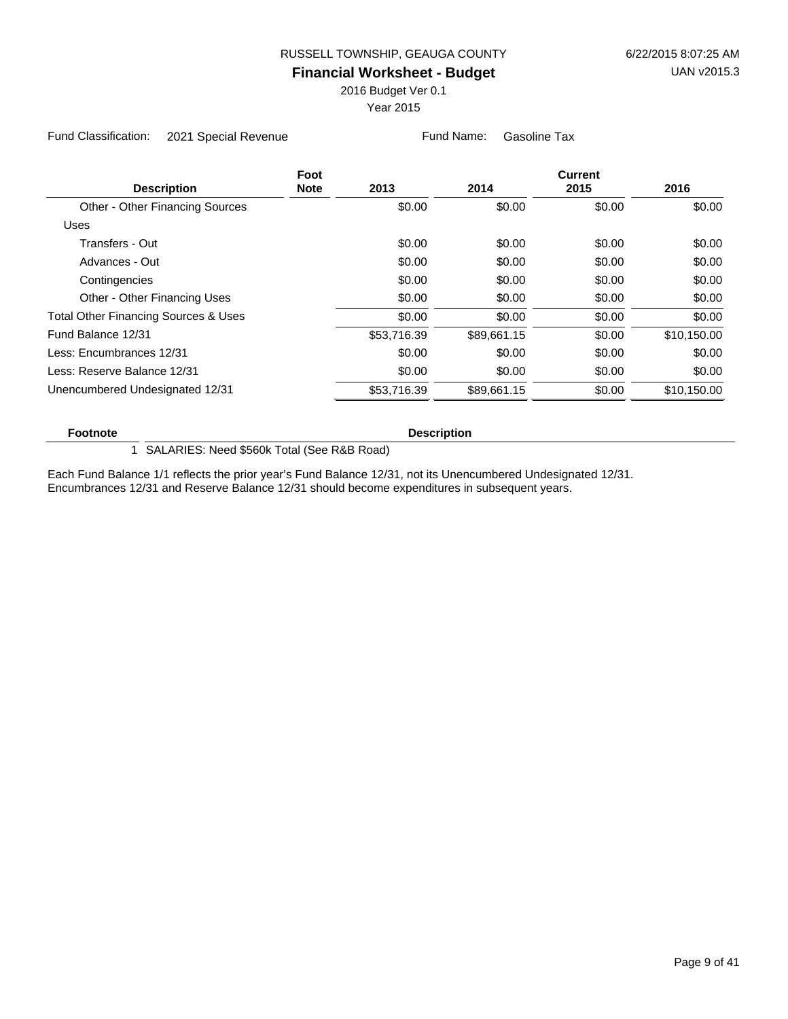2016 Budget Ver 0.1

Year 2015

Fund Classification: 2021 Special Revenue Fund Name: Gasoline Tax

|                                                 | Foot        |             |             | <b>Current</b> |             |
|-------------------------------------------------|-------------|-------------|-------------|----------------|-------------|
| <b>Description</b>                              | <b>Note</b> | 2013        | 2014        | 2015           | 2016        |
| Other - Other Financing Sources                 |             | \$0.00      | \$0.00      | \$0.00         | \$0.00      |
| <b>Uses</b>                                     |             |             |             |                |             |
| Transfers - Out                                 |             | \$0.00      | \$0.00      | \$0.00         | \$0.00      |
| Advances - Out                                  |             | \$0.00      | \$0.00      | \$0.00         | \$0.00      |
| Contingencies                                   |             | \$0.00      | \$0.00      | \$0.00         | \$0.00      |
| Other - Other Financing Uses                    |             | \$0.00      | \$0.00      | \$0.00         | \$0.00      |
| <b>Total Other Financing Sources &amp; Uses</b> |             | \$0.00      | \$0.00      | \$0.00         | \$0.00      |
| Fund Balance 12/31                              |             | \$53,716.39 | \$89.661.15 | \$0.00         | \$10,150.00 |
| Less: Encumbrances 12/31                        |             | \$0.00      | \$0.00      | \$0.00         | \$0.00      |
| Less: Reserve Balance 12/31                     |             | \$0.00      | \$0.00      | \$0.00         | \$0.00      |
| Unencumbered Undesignated 12/31                 |             | \$53,716.39 | \$89.661.15 | \$0.00         | \$10,150.00 |
|                                                 |             |             |             |                |             |

#### **Footnote Description**

1 SALARIES: Need \$560k Total (See R&B Road)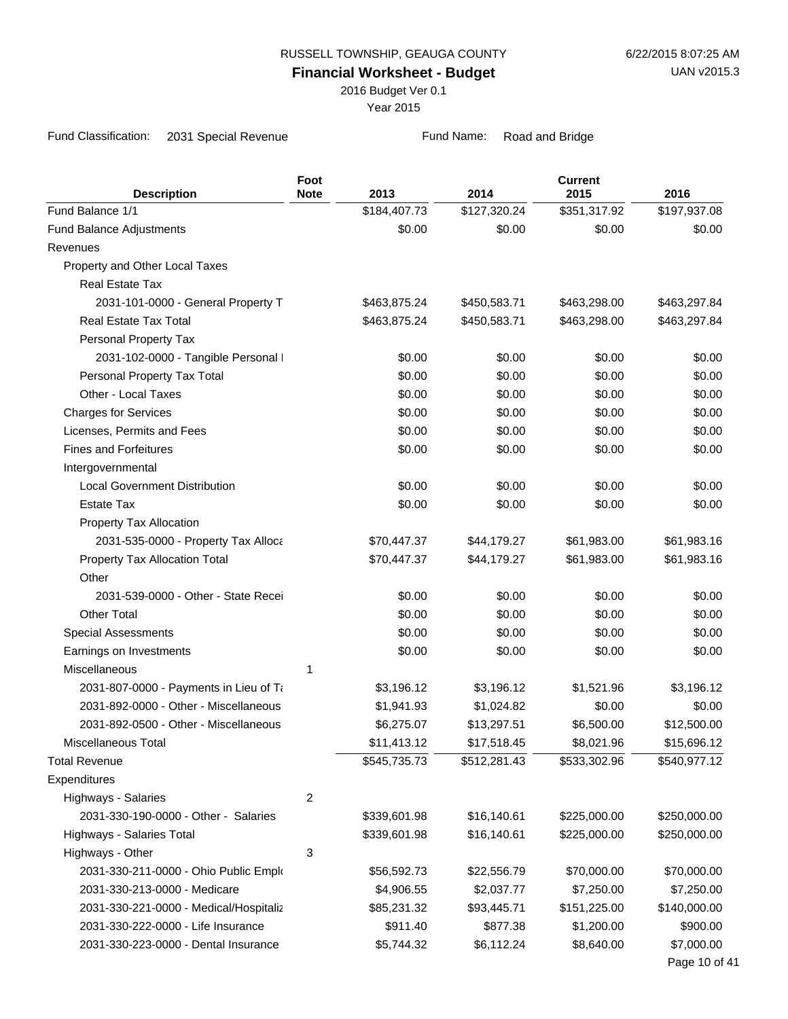2016 Budget Ver 0.1

Year 2015

Fund Classification: 2031 Special Revenue Fund Name: Road and Bridge

| Fund Balance 1/1<br>\$184,407.73<br>\$127,320.24<br>\$351,317.92<br>\$197,937.08<br>\$0.00<br>\$0.00<br>\$0.00<br>\$0.00<br><b>Fund Balance Adjustments</b><br>Revenues<br>Property and Other Local Taxes<br><b>Real Estate Tax</b><br>2031-101-0000 - General Property T<br>\$463,875.24<br>\$450,583.71<br>\$463,298.00<br>\$463,297.84<br>Real Estate Tax Total<br>\$463,875.24<br>\$450,583.71<br>\$463,298.00<br>\$463,297.84<br>Personal Property Tax<br>\$0.00<br>\$0.00<br>\$0.00<br>\$0.00<br>2031-102-0000 - Tangible Personal I<br>Personal Property Tax Total<br>\$0.00<br>\$0.00<br>\$0.00<br>Other - Local Taxes<br>\$0.00<br>\$0.00<br>\$0.00<br>\$0.00<br>\$0.00<br>\$0.00<br><b>Charges for Services</b><br>Licenses, Permits and Fees<br>\$0.00<br>\$0.00<br>\$0.00<br><b>Fines and Forfeitures</b><br>\$0.00<br>\$0.00<br>\$0.00<br>Intergovernmental<br><b>Local Government Distribution</b><br>\$0.00<br>\$0.00<br>\$0.00<br><b>Estate Tax</b><br>\$0.00<br>\$0.00<br>\$0.00<br>Property Tax Allocation<br>2031-535-0000 - Property Tax Alloca<br>\$70,447.37<br>\$44,179.27<br>\$61,983.00<br>\$70,447.37<br>\$44,179.27<br>Property Tax Allocation Total<br>\$61,983.00<br>Other<br>2031-539-0000 - Other - State Recei<br>\$0.00<br>\$0.00<br>\$0.00<br><b>Other Total</b><br>\$0.00<br>\$0.00<br>\$0.00<br>\$0.00<br>\$0.00<br>\$0.00<br><b>Special Assessments</b><br>Earnings on Investments<br>\$0.00<br>\$0.00<br>\$0.00<br><b>Miscellaneous</b><br>1<br>\$3,196.12<br>\$3,196.12<br>\$1,521.96<br>2031-807-0000 - Payments in Lieu of Ta<br>2031-892-0000 - Other - Miscellaneous<br>\$1,024.82<br>\$0.00<br>\$1,941.93<br>2031-892-0500 - Other - Miscellaneous<br>\$6,275.07<br>\$6,500.00<br>\$13,297.51<br>\$17,518.45<br>\$8,021.96<br>Miscellaneous Total<br>\$11,413.12<br><b>Total Revenue</b><br>\$545,735.73<br>\$512,281.43<br>\$533,302.96<br>\$540,977.12<br>Expenditures<br>2<br>Highways - Salaries<br>2031-330-190-0000 - Other - Salaries<br>\$339,601.98<br>\$16,140.61<br>\$225,000.00<br>\$250,000.00<br>\$16,140.61<br>\$225,000.00<br>Highways - Salaries Total<br>\$339,601.98<br>\$250,000.00<br>3<br>Highways - Other<br>2031-330-211-0000 - Ohio Public Emplo<br>\$56,592.73<br>\$22,556.79<br>\$70,000.00<br>\$70,000.00<br>\$2,037.77<br>2031-330-213-0000 - Medicare<br>\$4,906.55<br>\$7,250.00<br>\$7,250.00<br>\$151,225.00<br>\$140,000.00<br>2031-330-221-0000 - Medical/Hospitaliz<br>\$85,231.32<br>\$93,445.71<br>2031-330-222-0000 - Life Insurance<br>\$877.38<br>\$911.40<br>\$1,200.00<br>\$900.00 |                    | Foot        |      |      | <b>Current</b> |               |
|---------------------------------------------------------------------------------------------------------------------------------------------------------------------------------------------------------------------------------------------------------------------------------------------------------------------------------------------------------------------------------------------------------------------------------------------------------------------------------------------------------------------------------------------------------------------------------------------------------------------------------------------------------------------------------------------------------------------------------------------------------------------------------------------------------------------------------------------------------------------------------------------------------------------------------------------------------------------------------------------------------------------------------------------------------------------------------------------------------------------------------------------------------------------------------------------------------------------------------------------------------------------------------------------------------------------------------------------------------------------------------------------------------------------------------------------------------------------------------------------------------------------------------------------------------------------------------------------------------------------------------------------------------------------------------------------------------------------------------------------------------------------------------------------------------------------------------------------------------------------------------------------------------------------------------------------------------------------------------------------------------------------------------------------------------------------------------------------------------------------------------------------------------------------------------------------------------------------------------------------------------------------------------------------------------------------------------------------------------------------------------------------------------------------------------------------------------------------------------------------------------------------------------------------------------------------------|--------------------|-------------|------|------|----------------|---------------|
|                                                                                                                                                                                                                                                                                                                                                                                                                                                                                                                                                                                                                                                                                                                                                                                                                                                                                                                                                                                                                                                                                                                                                                                                                                                                                                                                                                                                                                                                                                                                                                                                                                                                                                                                                                                                                                                                                                                                                                                                                                                                                                                                                                                                                                                                                                                                                                                                                                                                                                                                                                           | <b>Description</b> | <b>Note</b> | 2013 | 2014 | 2015           | 2016          |
|                                                                                                                                                                                                                                                                                                                                                                                                                                                                                                                                                                                                                                                                                                                                                                                                                                                                                                                                                                                                                                                                                                                                                                                                                                                                                                                                                                                                                                                                                                                                                                                                                                                                                                                                                                                                                                                                                                                                                                                                                                                                                                                                                                                                                                                                                                                                                                                                                                                                                                                                                                           |                    |             |      |      |                |               |
|                                                                                                                                                                                                                                                                                                                                                                                                                                                                                                                                                                                                                                                                                                                                                                                                                                                                                                                                                                                                                                                                                                                                                                                                                                                                                                                                                                                                                                                                                                                                                                                                                                                                                                                                                                                                                                                                                                                                                                                                                                                                                                                                                                                                                                                                                                                                                                                                                                                                                                                                                                           |                    |             |      |      |                |               |
|                                                                                                                                                                                                                                                                                                                                                                                                                                                                                                                                                                                                                                                                                                                                                                                                                                                                                                                                                                                                                                                                                                                                                                                                                                                                                                                                                                                                                                                                                                                                                                                                                                                                                                                                                                                                                                                                                                                                                                                                                                                                                                                                                                                                                                                                                                                                                                                                                                                                                                                                                                           |                    |             |      |      |                |               |
|                                                                                                                                                                                                                                                                                                                                                                                                                                                                                                                                                                                                                                                                                                                                                                                                                                                                                                                                                                                                                                                                                                                                                                                                                                                                                                                                                                                                                                                                                                                                                                                                                                                                                                                                                                                                                                                                                                                                                                                                                                                                                                                                                                                                                                                                                                                                                                                                                                                                                                                                                                           |                    |             |      |      |                |               |
|                                                                                                                                                                                                                                                                                                                                                                                                                                                                                                                                                                                                                                                                                                                                                                                                                                                                                                                                                                                                                                                                                                                                                                                                                                                                                                                                                                                                                                                                                                                                                                                                                                                                                                                                                                                                                                                                                                                                                                                                                                                                                                                                                                                                                                                                                                                                                                                                                                                                                                                                                                           |                    |             |      |      |                |               |
|                                                                                                                                                                                                                                                                                                                                                                                                                                                                                                                                                                                                                                                                                                                                                                                                                                                                                                                                                                                                                                                                                                                                                                                                                                                                                                                                                                                                                                                                                                                                                                                                                                                                                                                                                                                                                                                                                                                                                                                                                                                                                                                                                                                                                                                                                                                                                                                                                                                                                                                                                                           |                    |             |      |      |                |               |
|                                                                                                                                                                                                                                                                                                                                                                                                                                                                                                                                                                                                                                                                                                                                                                                                                                                                                                                                                                                                                                                                                                                                                                                                                                                                                                                                                                                                                                                                                                                                                                                                                                                                                                                                                                                                                                                                                                                                                                                                                                                                                                                                                                                                                                                                                                                                                                                                                                                                                                                                                                           |                    |             |      |      |                |               |
|                                                                                                                                                                                                                                                                                                                                                                                                                                                                                                                                                                                                                                                                                                                                                                                                                                                                                                                                                                                                                                                                                                                                                                                                                                                                                                                                                                                                                                                                                                                                                                                                                                                                                                                                                                                                                                                                                                                                                                                                                                                                                                                                                                                                                                                                                                                                                                                                                                                                                                                                                                           |                    |             |      |      |                |               |
|                                                                                                                                                                                                                                                                                                                                                                                                                                                                                                                                                                                                                                                                                                                                                                                                                                                                                                                                                                                                                                                                                                                                                                                                                                                                                                                                                                                                                                                                                                                                                                                                                                                                                                                                                                                                                                                                                                                                                                                                                                                                                                                                                                                                                                                                                                                                                                                                                                                                                                                                                                           |                    |             |      |      |                |               |
|                                                                                                                                                                                                                                                                                                                                                                                                                                                                                                                                                                                                                                                                                                                                                                                                                                                                                                                                                                                                                                                                                                                                                                                                                                                                                                                                                                                                                                                                                                                                                                                                                                                                                                                                                                                                                                                                                                                                                                                                                                                                                                                                                                                                                                                                                                                                                                                                                                                                                                                                                                           |                    |             |      |      |                | \$0.00        |
|                                                                                                                                                                                                                                                                                                                                                                                                                                                                                                                                                                                                                                                                                                                                                                                                                                                                                                                                                                                                                                                                                                                                                                                                                                                                                                                                                                                                                                                                                                                                                                                                                                                                                                                                                                                                                                                                                                                                                                                                                                                                                                                                                                                                                                                                                                                                                                                                                                                                                                                                                                           |                    |             |      |      |                | \$0.00        |
|                                                                                                                                                                                                                                                                                                                                                                                                                                                                                                                                                                                                                                                                                                                                                                                                                                                                                                                                                                                                                                                                                                                                                                                                                                                                                                                                                                                                                                                                                                                                                                                                                                                                                                                                                                                                                                                                                                                                                                                                                                                                                                                                                                                                                                                                                                                                                                                                                                                                                                                                                                           |                    |             |      |      |                | \$0.00        |
|                                                                                                                                                                                                                                                                                                                                                                                                                                                                                                                                                                                                                                                                                                                                                                                                                                                                                                                                                                                                                                                                                                                                                                                                                                                                                                                                                                                                                                                                                                                                                                                                                                                                                                                                                                                                                                                                                                                                                                                                                                                                                                                                                                                                                                                                                                                                                                                                                                                                                                                                                                           |                    |             |      |      |                | \$0.00        |
|                                                                                                                                                                                                                                                                                                                                                                                                                                                                                                                                                                                                                                                                                                                                                                                                                                                                                                                                                                                                                                                                                                                                                                                                                                                                                                                                                                                                                                                                                                                                                                                                                                                                                                                                                                                                                                                                                                                                                                                                                                                                                                                                                                                                                                                                                                                                                                                                                                                                                                                                                                           |                    |             |      |      |                | \$0.00        |
|                                                                                                                                                                                                                                                                                                                                                                                                                                                                                                                                                                                                                                                                                                                                                                                                                                                                                                                                                                                                                                                                                                                                                                                                                                                                                                                                                                                                                                                                                                                                                                                                                                                                                                                                                                                                                                                                                                                                                                                                                                                                                                                                                                                                                                                                                                                                                                                                                                                                                                                                                                           |                    |             |      |      |                |               |
|                                                                                                                                                                                                                                                                                                                                                                                                                                                                                                                                                                                                                                                                                                                                                                                                                                                                                                                                                                                                                                                                                                                                                                                                                                                                                                                                                                                                                                                                                                                                                                                                                                                                                                                                                                                                                                                                                                                                                                                                                                                                                                                                                                                                                                                                                                                                                                                                                                                                                                                                                                           |                    |             |      |      |                | \$0.00        |
|                                                                                                                                                                                                                                                                                                                                                                                                                                                                                                                                                                                                                                                                                                                                                                                                                                                                                                                                                                                                                                                                                                                                                                                                                                                                                                                                                                                                                                                                                                                                                                                                                                                                                                                                                                                                                                                                                                                                                                                                                                                                                                                                                                                                                                                                                                                                                                                                                                                                                                                                                                           |                    |             |      |      |                | \$0.00        |
|                                                                                                                                                                                                                                                                                                                                                                                                                                                                                                                                                                                                                                                                                                                                                                                                                                                                                                                                                                                                                                                                                                                                                                                                                                                                                                                                                                                                                                                                                                                                                                                                                                                                                                                                                                                                                                                                                                                                                                                                                                                                                                                                                                                                                                                                                                                                                                                                                                                                                                                                                                           |                    |             |      |      |                |               |
|                                                                                                                                                                                                                                                                                                                                                                                                                                                                                                                                                                                                                                                                                                                                                                                                                                                                                                                                                                                                                                                                                                                                                                                                                                                                                                                                                                                                                                                                                                                                                                                                                                                                                                                                                                                                                                                                                                                                                                                                                                                                                                                                                                                                                                                                                                                                                                                                                                                                                                                                                                           |                    |             |      |      |                | \$61,983.16   |
|                                                                                                                                                                                                                                                                                                                                                                                                                                                                                                                                                                                                                                                                                                                                                                                                                                                                                                                                                                                                                                                                                                                                                                                                                                                                                                                                                                                                                                                                                                                                                                                                                                                                                                                                                                                                                                                                                                                                                                                                                                                                                                                                                                                                                                                                                                                                                                                                                                                                                                                                                                           |                    |             |      |      |                | \$61,983.16   |
|                                                                                                                                                                                                                                                                                                                                                                                                                                                                                                                                                                                                                                                                                                                                                                                                                                                                                                                                                                                                                                                                                                                                                                                                                                                                                                                                                                                                                                                                                                                                                                                                                                                                                                                                                                                                                                                                                                                                                                                                                                                                                                                                                                                                                                                                                                                                                                                                                                                                                                                                                                           |                    |             |      |      |                |               |
|                                                                                                                                                                                                                                                                                                                                                                                                                                                                                                                                                                                                                                                                                                                                                                                                                                                                                                                                                                                                                                                                                                                                                                                                                                                                                                                                                                                                                                                                                                                                                                                                                                                                                                                                                                                                                                                                                                                                                                                                                                                                                                                                                                                                                                                                                                                                                                                                                                                                                                                                                                           |                    |             |      |      |                | \$0.00        |
|                                                                                                                                                                                                                                                                                                                                                                                                                                                                                                                                                                                                                                                                                                                                                                                                                                                                                                                                                                                                                                                                                                                                                                                                                                                                                                                                                                                                                                                                                                                                                                                                                                                                                                                                                                                                                                                                                                                                                                                                                                                                                                                                                                                                                                                                                                                                                                                                                                                                                                                                                                           |                    |             |      |      |                | \$0.00        |
|                                                                                                                                                                                                                                                                                                                                                                                                                                                                                                                                                                                                                                                                                                                                                                                                                                                                                                                                                                                                                                                                                                                                                                                                                                                                                                                                                                                                                                                                                                                                                                                                                                                                                                                                                                                                                                                                                                                                                                                                                                                                                                                                                                                                                                                                                                                                                                                                                                                                                                                                                                           |                    |             |      |      |                | \$0.00        |
|                                                                                                                                                                                                                                                                                                                                                                                                                                                                                                                                                                                                                                                                                                                                                                                                                                                                                                                                                                                                                                                                                                                                                                                                                                                                                                                                                                                                                                                                                                                                                                                                                                                                                                                                                                                                                                                                                                                                                                                                                                                                                                                                                                                                                                                                                                                                                                                                                                                                                                                                                                           |                    |             |      |      |                | \$0.00        |
|                                                                                                                                                                                                                                                                                                                                                                                                                                                                                                                                                                                                                                                                                                                                                                                                                                                                                                                                                                                                                                                                                                                                                                                                                                                                                                                                                                                                                                                                                                                                                                                                                                                                                                                                                                                                                                                                                                                                                                                                                                                                                                                                                                                                                                                                                                                                                                                                                                                                                                                                                                           |                    |             |      |      |                |               |
|                                                                                                                                                                                                                                                                                                                                                                                                                                                                                                                                                                                                                                                                                                                                                                                                                                                                                                                                                                                                                                                                                                                                                                                                                                                                                                                                                                                                                                                                                                                                                                                                                                                                                                                                                                                                                                                                                                                                                                                                                                                                                                                                                                                                                                                                                                                                                                                                                                                                                                                                                                           |                    |             |      |      |                | \$3,196.12    |
|                                                                                                                                                                                                                                                                                                                                                                                                                                                                                                                                                                                                                                                                                                                                                                                                                                                                                                                                                                                                                                                                                                                                                                                                                                                                                                                                                                                                                                                                                                                                                                                                                                                                                                                                                                                                                                                                                                                                                                                                                                                                                                                                                                                                                                                                                                                                                                                                                                                                                                                                                                           |                    |             |      |      |                | \$0.00        |
|                                                                                                                                                                                                                                                                                                                                                                                                                                                                                                                                                                                                                                                                                                                                                                                                                                                                                                                                                                                                                                                                                                                                                                                                                                                                                                                                                                                                                                                                                                                                                                                                                                                                                                                                                                                                                                                                                                                                                                                                                                                                                                                                                                                                                                                                                                                                                                                                                                                                                                                                                                           |                    |             |      |      |                | \$12,500.00   |
|                                                                                                                                                                                                                                                                                                                                                                                                                                                                                                                                                                                                                                                                                                                                                                                                                                                                                                                                                                                                                                                                                                                                                                                                                                                                                                                                                                                                                                                                                                                                                                                                                                                                                                                                                                                                                                                                                                                                                                                                                                                                                                                                                                                                                                                                                                                                                                                                                                                                                                                                                                           |                    |             |      |      |                | \$15,696.12   |
|                                                                                                                                                                                                                                                                                                                                                                                                                                                                                                                                                                                                                                                                                                                                                                                                                                                                                                                                                                                                                                                                                                                                                                                                                                                                                                                                                                                                                                                                                                                                                                                                                                                                                                                                                                                                                                                                                                                                                                                                                                                                                                                                                                                                                                                                                                                                                                                                                                                                                                                                                                           |                    |             |      |      |                |               |
|                                                                                                                                                                                                                                                                                                                                                                                                                                                                                                                                                                                                                                                                                                                                                                                                                                                                                                                                                                                                                                                                                                                                                                                                                                                                                                                                                                                                                                                                                                                                                                                                                                                                                                                                                                                                                                                                                                                                                                                                                                                                                                                                                                                                                                                                                                                                                                                                                                                                                                                                                                           |                    |             |      |      |                |               |
|                                                                                                                                                                                                                                                                                                                                                                                                                                                                                                                                                                                                                                                                                                                                                                                                                                                                                                                                                                                                                                                                                                                                                                                                                                                                                                                                                                                                                                                                                                                                                                                                                                                                                                                                                                                                                                                                                                                                                                                                                                                                                                                                                                                                                                                                                                                                                                                                                                                                                                                                                                           |                    |             |      |      |                |               |
|                                                                                                                                                                                                                                                                                                                                                                                                                                                                                                                                                                                                                                                                                                                                                                                                                                                                                                                                                                                                                                                                                                                                                                                                                                                                                                                                                                                                                                                                                                                                                                                                                                                                                                                                                                                                                                                                                                                                                                                                                                                                                                                                                                                                                                                                                                                                                                                                                                                                                                                                                                           |                    |             |      |      |                |               |
|                                                                                                                                                                                                                                                                                                                                                                                                                                                                                                                                                                                                                                                                                                                                                                                                                                                                                                                                                                                                                                                                                                                                                                                                                                                                                                                                                                                                                                                                                                                                                                                                                                                                                                                                                                                                                                                                                                                                                                                                                                                                                                                                                                                                                                                                                                                                                                                                                                                                                                                                                                           |                    |             |      |      |                |               |
|                                                                                                                                                                                                                                                                                                                                                                                                                                                                                                                                                                                                                                                                                                                                                                                                                                                                                                                                                                                                                                                                                                                                                                                                                                                                                                                                                                                                                                                                                                                                                                                                                                                                                                                                                                                                                                                                                                                                                                                                                                                                                                                                                                                                                                                                                                                                                                                                                                                                                                                                                                           |                    |             |      |      |                |               |
|                                                                                                                                                                                                                                                                                                                                                                                                                                                                                                                                                                                                                                                                                                                                                                                                                                                                                                                                                                                                                                                                                                                                                                                                                                                                                                                                                                                                                                                                                                                                                                                                                                                                                                                                                                                                                                                                                                                                                                                                                                                                                                                                                                                                                                                                                                                                                                                                                                                                                                                                                                           |                    |             |      |      |                |               |
|                                                                                                                                                                                                                                                                                                                                                                                                                                                                                                                                                                                                                                                                                                                                                                                                                                                                                                                                                                                                                                                                                                                                                                                                                                                                                                                                                                                                                                                                                                                                                                                                                                                                                                                                                                                                                                                                                                                                                                                                                                                                                                                                                                                                                                                                                                                                                                                                                                                                                                                                                                           |                    |             |      |      |                |               |
|                                                                                                                                                                                                                                                                                                                                                                                                                                                                                                                                                                                                                                                                                                                                                                                                                                                                                                                                                                                                                                                                                                                                                                                                                                                                                                                                                                                                                                                                                                                                                                                                                                                                                                                                                                                                                                                                                                                                                                                                                                                                                                                                                                                                                                                                                                                                                                                                                                                                                                                                                                           |                    |             |      |      |                |               |
|                                                                                                                                                                                                                                                                                                                                                                                                                                                                                                                                                                                                                                                                                                                                                                                                                                                                                                                                                                                                                                                                                                                                                                                                                                                                                                                                                                                                                                                                                                                                                                                                                                                                                                                                                                                                                                                                                                                                                                                                                                                                                                                                                                                                                                                                                                                                                                                                                                                                                                                                                                           |                    |             |      |      |                |               |
| \$8,640.00<br>2031-330-223-0000 - Dental Insurance<br>\$5,744.32<br>\$6,112.24                                                                                                                                                                                                                                                                                                                                                                                                                                                                                                                                                                                                                                                                                                                                                                                                                                                                                                                                                                                                                                                                                                                                                                                                                                                                                                                                                                                                                                                                                                                                                                                                                                                                                                                                                                                                                                                                                                                                                                                                                                                                                                                                                                                                                                                                                                                                                                                                                                                                                            |                    |             |      |      |                | \$7,000.00    |
|                                                                                                                                                                                                                                                                                                                                                                                                                                                                                                                                                                                                                                                                                                                                                                                                                                                                                                                                                                                                                                                                                                                                                                                                                                                                                                                                                                                                                                                                                                                                                                                                                                                                                                                                                                                                                                                                                                                                                                                                                                                                                                                                                                                                                                                                                                                                                                                                                                                                                                                                                                           |                    |             |      |      |                | Page 10 of 41 |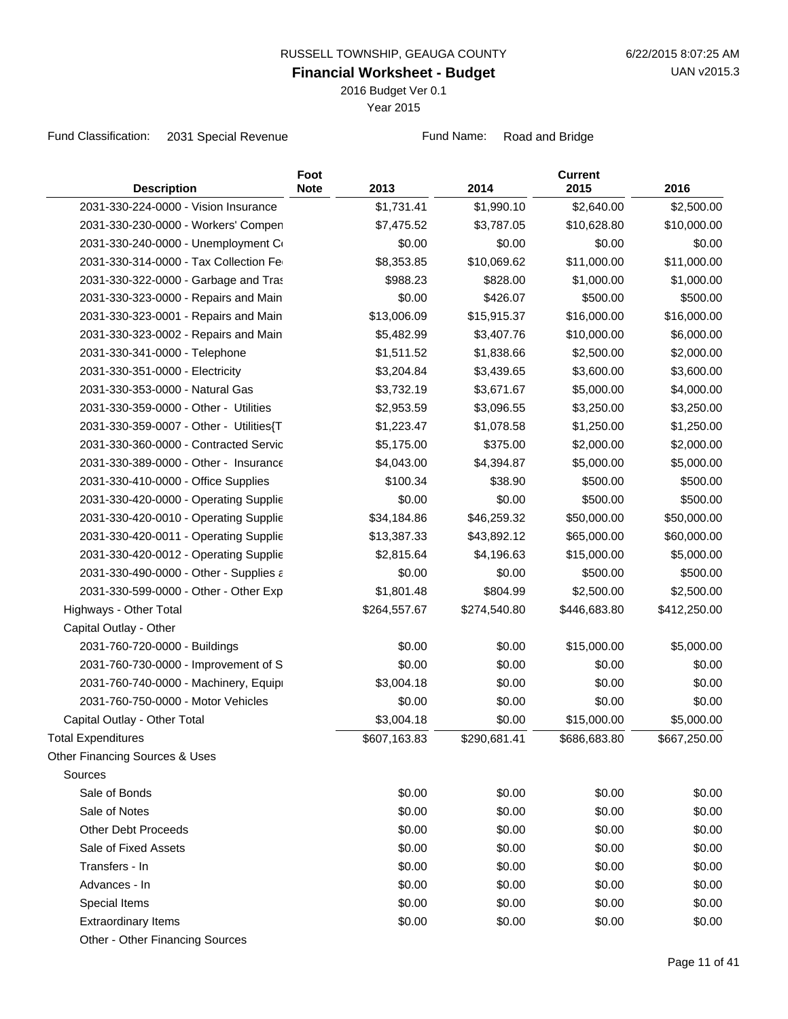2016 Budget Ver 0.1

Year 2015

Fund Classification: 2031 Special Revenue Fund Name: Road and Bridge

| <b>Description</b>                      | Foot<br><b>Note</b> | 2013         | 2014         | <b>Current</b><br>2015 | 2016         |
|-----------------------------------------|---------------------|--------------|--------------|------------------------|--------------|
| 2031-330-224-0000 - Vision Insurance    |                     | \$1,731.41   | \$1,990.10   | \$2,640.00             | \$2,500.00   |
| 2031-330-230-0000 - Workers' Compen     |                     | \$7,475.52   | \$3,787.05   | \$10,628.80            | \$10,000.00  |
| 2031-330-240-0000 - Unemployment Co     |                     | \$0.00       | \$0.00       | \$0.00                 | \$0.00       |
| 2031-330-314-0000 - Tax Collection Fe   |                     | \$8,353.85   | \$10,069.62  | \$11,000.00            | \$11,000.00  |
| 2031-330-322-0000 - Garbage and Tras    |                     | \$988.23     | \$828.00     | \$1,000.00             | \$1,000.00   |
| 2031-330-323-0000 - Repairs and Main    |                     | \$0.00       | \$426.07     | \$500.00               | \$500.00     |
| 2031-330-323-0001 - Repairs and Main    |                     | \$13,006.09  | \$15,915.37  | \$16,000.00            | \$16,000.00  |
| 2031-330-323-0002 - Repairs and Main    |                     | \$5,482.99   | \$3,407.76   | \$10,000.00            | \$6,000.00   |
| 2031-330-341-0000 - Telephone           |                     | \$1,511.52   | \$1,838.66   | \$2,500.00             | \$2,000.00   |
| 2031-330-351-0000 - Electricity         |                     | \$3,204.84   | \$3,439.65   | \$3,600.00             | \$3,600.00   |
| 2031-330-353-0000 - Natural Gas         |                     | \$3,732.19   | \$3,671.67   | \$5,000.00             | \$4,000.00   |
| 2031-330-359-0000 - Other - Utilities   |                     | \$2,953.59   | \$3,096.55   | \$3,250.00             | \$3,250.00   |
| 2031-330-359-0007 - Other - Utilities{T |                     | \$1,223.47   | \$1,078.58   | \$1,250.00             | \$1,250.00   |
| 2031-330-360-0000 - Contracted Servic   |                     | \$5,175.00   | \$375.00     | \$2,000.00             | \$2,000.00   |
| 2031-330-389-0000 - Other - Insurance   |                     | \$4,043.00   | \$4,394.87   | \$5,000.00             | \$5,000.00   |
| 2031-330-410-0000 - Office Supplies     |                     | \$100.34     | \$38.90      | \$500.00               | \$500.00     |
| 2031-330-420-0000 - Operating Supplie   |                     | \$0.00       | \$0.00       | \$500.00               | \$500.00     |
| 2031-330-420-0010 - Operating Supplie   |                     | \$34,184.86  | \$46,259.32  | \$50,000.00            | \$50,000.00  |
| 2031-330-420-0011 - Operating Supplie   |                     | \$13,387.33  | \$43,892.12  | \$65,000.00            | \$60,000.00  |
| 2031-330-420-0012 - Operating Supplie   |                     | \$2,815.64   | \$4,196.63   | \$15,000.00            | \$5,000.00   |
| 2031-330-490-0000 - Other - Supplies a  |                     | \$0.00       | \$0.00       | \$500.00               | \$500.00     |
| 2031-330-599-0000 - Other - Other Exp   |                     | \$1,801.48   | \$804.99     | \$2,500.00             | \$2,500.00   |
| Highways - Other Total                  |                     | \$264,557.67 | \$274,540.80 | \$446,683.80           | \$412,250.00 |
| Capital Outlay - Other                  |                     |              |              |                        |              |
| 2031-760-720-0000 - Buildings           |                     | \$0.00       | \$0.00       | \$15,000.00            | \$5,000.00   |
| 2031-760-730-0000 - Improvement of S    |                     | \$0.00       | \$0.00       | \$0.00                 | \$0.00       |
| 2031-760-740-0000 - Machinery, Equipi   |                     | \$3,004.18   | \$0.00       | \$0.00                 | \$0.00       |
| 2031-760-750-0000 - Motor Vehicles      |                     | \$0.00       | \$0.00       | \$0.00                 | \$0.00       |
| Capital Outlay - Other Total            |                     | \$3,004.18   | \$0.00       | \$15,000.00            | \$5,000.00   |
| <b>Total Expenditures</b>               |                     | \$607,163.83 | \$290,681.41 | \$686,683.80           | \$667,250.00 |
| Other Financing Sources & Uses          |                     |              |              |                        |              |
| Sources                                 |                     |              |              |                        |              |
| Sale of Bonds                           |                     | \$0.00       | \$0.00       | \$0.00                 | \$0.00       |
| Sale of Notes                           |                     | \$0.00       | \$0.00       | \$0.00                 | \$0.00       |
| <b>Other Debt Proceeds</b>              |                     | \$0.00       | \$0.00       | \$0.00                 | \$0.00       |
| Sale of Fixed Assets                    |                     | \$0.00       | \$0.00       | \$0.00                 | \$0.00       |
| Transfers - In                          |                     | \$0.00       | \$0.00       | \$0.00                 | \$0.00       |
| Advances - In                           |                     | \$0.00       | \$0.00       | \$0.00                 | \$0.00       |
| Special Items                           |                     | \$0.00       | \$0.00       | \$0.00                 | \$0.00       |
| <b>Extraordinary Items</b>              |                     | \$0.00       | \$0.00       | \$0.00                 | \$0.00       |
| Other - Other Financing Sources         |                     |              |              |                        |              |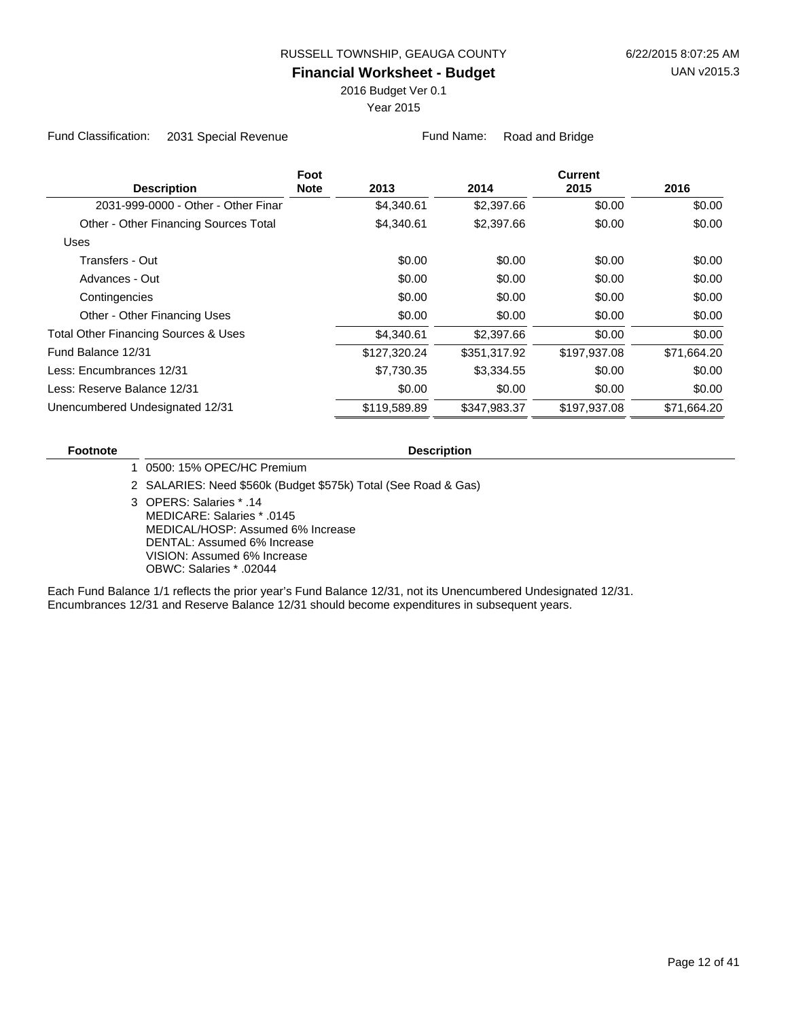2016 Budget Ver 0.1

Year 2015

Fund Classification: 2031 Special Revenue Fund Name: Road and Bridge

|                                                 | Foot        |              |              | <b>Current</b> |             |
|-------------------------------------------------|-------------|--------------|--------------|----------------|-------------|
| <b>Description</b>                              | <b>Note</b> | 2013         | 2014         | 2015           | 2016        |
| 2031-999-0000 - Other - Other Finar             |             | \$4,340.61   | \$2,397.66   | \$0.00         | \$0.00      |
| Other - Other Financing Sources Total           |             | \$4,340.61   | \$2,397.66   | \$0.00         | \$0.00      |
| Uses                                            |             |              |              |                |             |
| Transfers - Out                                 |             | \$0.00       | \$0.00       | \$0.00         | \$0.00      |
| Advances - Out                                  |             | \$0.00       | \$0.00       | \$0.00         | \$0.00      |
| Contingencies                                   |             | \$0.00       | \$0.00       | \$0.00         | \$0.00      |
| Other - Other Financing Uses                    |             | \$0.00       | \$0.00       | \$0.00         | \$0.00      |
| <b>Total Other Financing Sources &amp; Uses</b> |             | \$4,340.61   | \$2,397.66   | \$0.00         | \$0.00      |
| Fund Balance 12/31                              |             | \$127,320.24 | \$351,317.92 | \$197.937.08   | \$71,664.20 |
| Less: Encumbrances 12/31                        |             | \$7,730.35   | \$3,334.55   | \$0.00         | \$0.00      |
| Less: Reserve Balance 12/31                     |             | \$0.00       | \$0.00       | \$0.00         | \$0.00      |
| Unencumbered Undesignated 12/31                 |             | \$119,589.89 | \$347,983.37 | \$197,937.08   | \$71,664.20 |

#### **Footnote Description**

1 0500: 15% OPEC/HC Premium

2 SALARIES: Need \$560k (Budget \$575k) Total (See Road & Gas)

OPERS: Salaries \* .14 3 MEDICARE: Salaries \* .0145 MEDICAL/HOSP: Assumed 6% Increase DENTAL: Assumed 6% Increase VISION: Assumed 6% Increase OBWC: Salaries \* .02044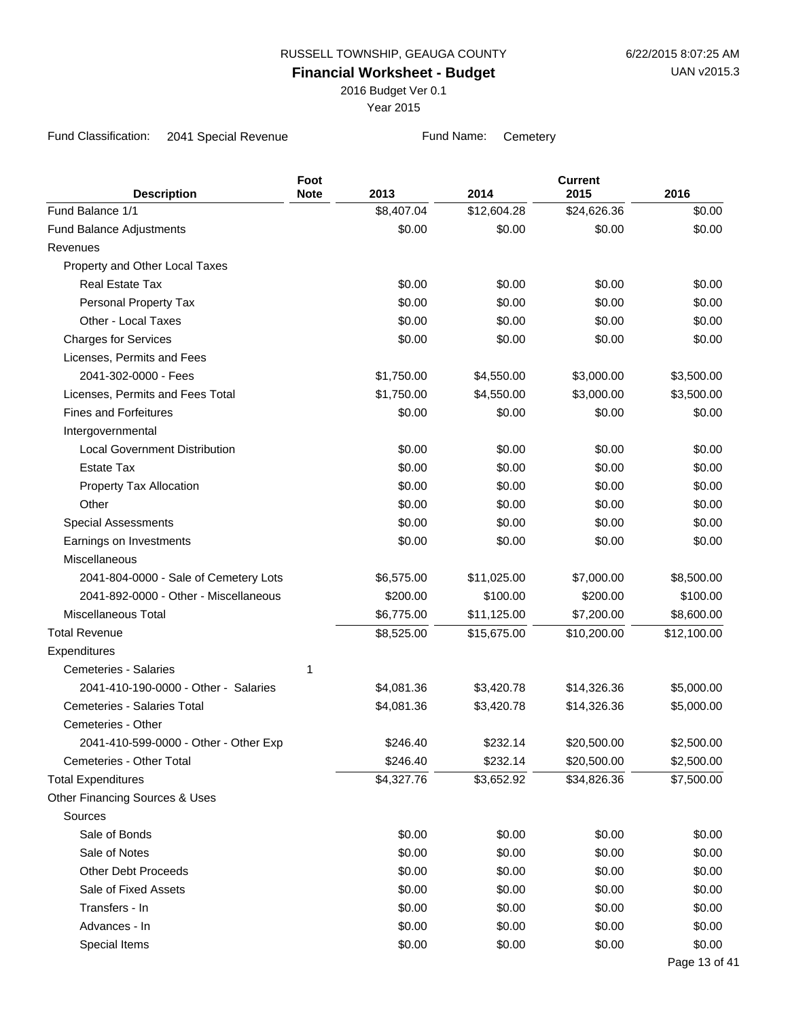2016 Budget Ver 0.1

Year 2015

Fund Classification: 2041 Special Revenue Fund Name: Cemetery

| <b>Description</b>                    | Foot<br><b>Note</b> | 2013       | 2014        | <b>Current</b><br>2015 | 2016          |
|---------------------------------------|---------------------|------------|-------------|------------------------|---------------|
| Fund Balance 1/1                      |                     | \$8,407.04 | \$12,604.28 | \$24,626.36            | \$0.00        |
| <b>Fund Balance Adjustments</b>       |                     | \$0.00     | \$0.00      | \$0.00                 | \$0.00        |
| Revenues                              |                     |            |             |                        |               |
| Property and Other Local Taxes        |                     |            |             |                        |               |
| <b>Real Estate Tax</b>                |                     | \$0.00     | \$0.00      | \$0.00                 | \$0.00        |
| Personal Property Tax                 |                     | \$0.00     | \$0.00      | \$0.00                 | \$0.00        |
| Other - Local Taxes                   |                     | \$0.00     | \$0.00      | \$0.00                 | \$0.00        |
| <b>Charges for Services</b>           |                     | \$0.00     | \$0.00      | \$0.00                 | \$0.00        |
| Licenses, Permits and Fees            |                     |            |             |                        |               |
| 2041-302-0000 - Fees                  |                     | \$1,750.00 | \$4,550.00  | \$3,000.00             | \$3,500.00    |
| Licenses, Permits and Fees Total      |                     | \$1,750.00 | \$4,550.00  | \$3,000.00             | \$3,500.00    |
| <b>Fines and Forfeitures</b>          |                     | \$0.00     | \$0.00      | \$0.00                 | \$0.00        |
| Intergovernmental                     |                     |            |             |                        |               |
| <b>Local Government Distribution</b>  |                     | \$0.00     | \$0.00      | \$0.00                 | \$0.00        |
| <b>Estate Tax</b>                     |                     | \$0.00     | \$0.00      | \$0.00                 | \$0.00        |
| Property Tax Allocation               |                     | \$0.00     | \$0.00      | \$0.00                 | \$0.00        |
| Other                                 |                     | \$0.00     | \$0.00      | \$0.00                 | \$0.00        |
| <b>Special Assessments</b>            |                     | \$0.00     | \$0.00      | \$0.00                 | \$0.00        |
| Earnings on Investments               |                     | \$0.00     | \$0.00      | \$0.00                 | \$0.00        |
| Miscellaneous                         |                     |            |             |                        |               |
| 2041-804-0000 - Sale of Cemetery Lots |                     | \$6,575.00 | \$11,025.00 | \$7,000.00             | \$8,500.00    |
| 2041-892-0000 - Other - Miscellaneous |                     | \$200.00   | \$100.00    | \$200.00               | \$100.00      |
| <b>Miscellaneous Total</b>            |                     | \$6,775.00 | \$11,125.00 | \$7,200.00             | \$8,600.00    |
| <b>Total Revenue</b>                  |                     | \$8,525.00 | \$15,675.00 | \$10,200.00            | \$12,100.00   |
| Expenditures                          |                     |            |             |                        |               |
| Cemeteries - Salaries                 | 1                   |            |             |                        |               |
| 2041-410-190-0000 - Other - Salaries  |                     | \$4,081.36 | \$3,420.78  | \$14,326.36            | \$5,000.00    |
| <b>Cemeteries - Salaries Total</b>    |                     | \$4,081.36 | \$3,420.78  | \$14,326.36            | \$5,000.00    |
| Cemeteries - Other                    |                     |            |             |                        |               |
| 2041-410-599-0000 - Other - Other Exp |                     | \$246.40   | \$232.14    | \$20,500.00            | \$2,500.00    |
| Cemeteries - Other Total              |                     | \$246.40   | \$232.14    | \$20,500.00            | \$2,500.00    |
| <b>Total Expenditures</b>             |                     | \$4,327.76 | \$3,652.92  | \$34,826.36            | \$7,500.00    |
| Other Financing Sources & Uses        |                     |            |             |                        |               |
| Sources                               |                     |            |             |                        |               |
| Sale of Bonds                         |                     | \$0.00     | \$0.00      | \$0.00                 | \$0.00        |
| Sale of Notes                         |                     | \$0.00     | \$0.00      | \$0.00                 | \$0.00        |
| <b>Other Debt Proceeds</b>            |                     | \$0.00     | \$0.00      | \$0.00                 | \$0.00        |
| Sale of Fixed Assets                  |                     | \$0.00     | \$0.00      | \$0.00                 | \$0.00        |
| Transfers - In                        |                     | \$0.00     | \$0.00      | \$0.00                 | \$0.00        |
| Advances - In                         |                     | \$0.00     | \$0.00      | \$0.00                 | \$0.00        |
| Special Items                         |                     | \$0.00     | \$0.00      | \$0.00                 | \$0.00        |
|                                       |                     |            |             |                        | Page 13 of 41 |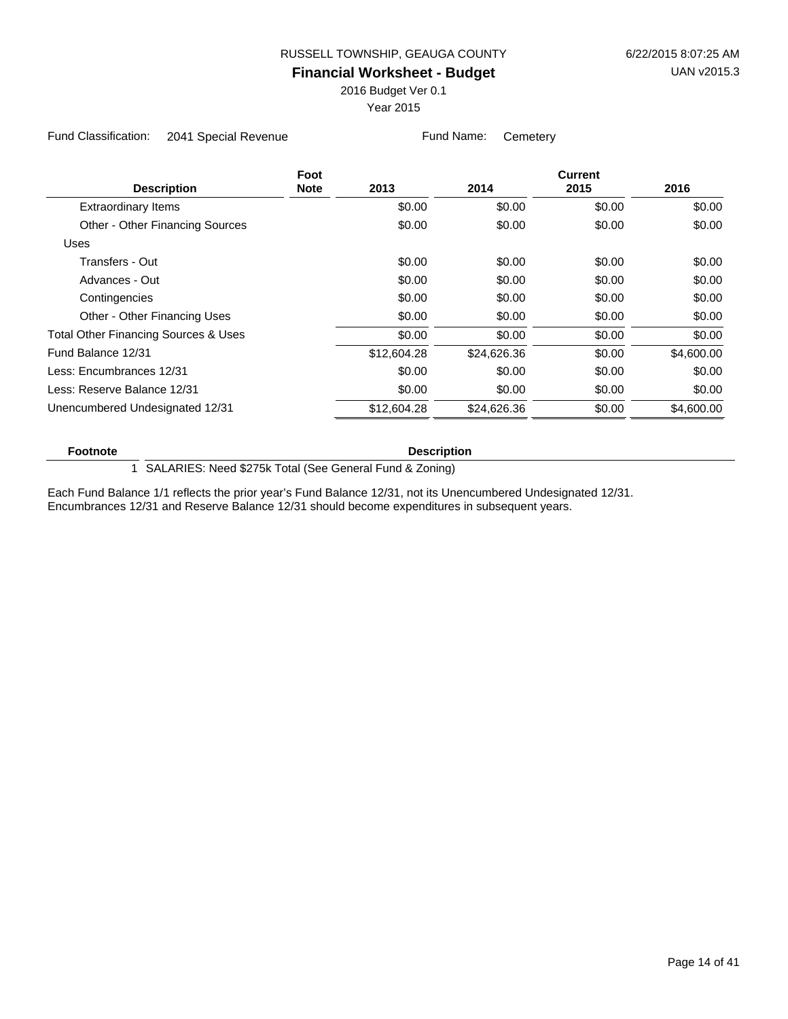2016 Budget Ver 0.1

Year 2015

Fund Classification: 2041 Special Revenue Fund Name: Cemetery

|                                      | Foot        |             |             | <b>Current</b> |            |
|--------------------------------------|-------------|-------------|-------------|----------------|------------|
| <b>Description</b>                   | <b>Note</b> | 2013        | 2014        | 2015           | 2016       |
| <b>Extraordinary Items</b>           |             | \$0.00      | \$0.00      | \$0.00         | \$0.00     |
| Other - Other Financing Sources      |             | \$0.00      | \$0.00      | \$0.00         | \$0.00     |
| Uses                                 |             |             |             |                |            |
| Transfers - Out                      |             | \$0.00      | \$0.00      | \$0.00         | \$0.00     |
| Advances - Out                       |             | \$0.00      | \$0.00      | \$0.00         | \$0.00     |
| Contingencies                        |             | \$0.00      | \$0.00      | \$0.00         | \$0.00     |
| Other - Other Financing Uses         |             | \$0.00      | \$0.00      | \$0.00         | \$0.00     |
| Total Other Financing Sources & Uses |             | \$0.00      | \$0.00      | \$0.00         | \$0.00     |
| Fund Balance 12/31                   |             | \$12,604.28 | \$24,626.36 | \$0.00         | \$4,600.00 |
| Less: Encumbrances 12/31             |             | \$0.00      | \$0.00      | \$0.00         | \$0.00     |
| Less: Reserve Balance 12/31          |             | \$0.00      | \$0.00      | \$0.00         | \$0.00     |
| Unencumbered Undesignated 12/31      |             | \$12,604.28 | \$24,626.36 | \$0.00         | \$4,600.00 |
|                                      |             |             |             |                |            |

#### **Footnote Description**

1 SALARIES: Need \$275k Total (See General Fund & Zoning)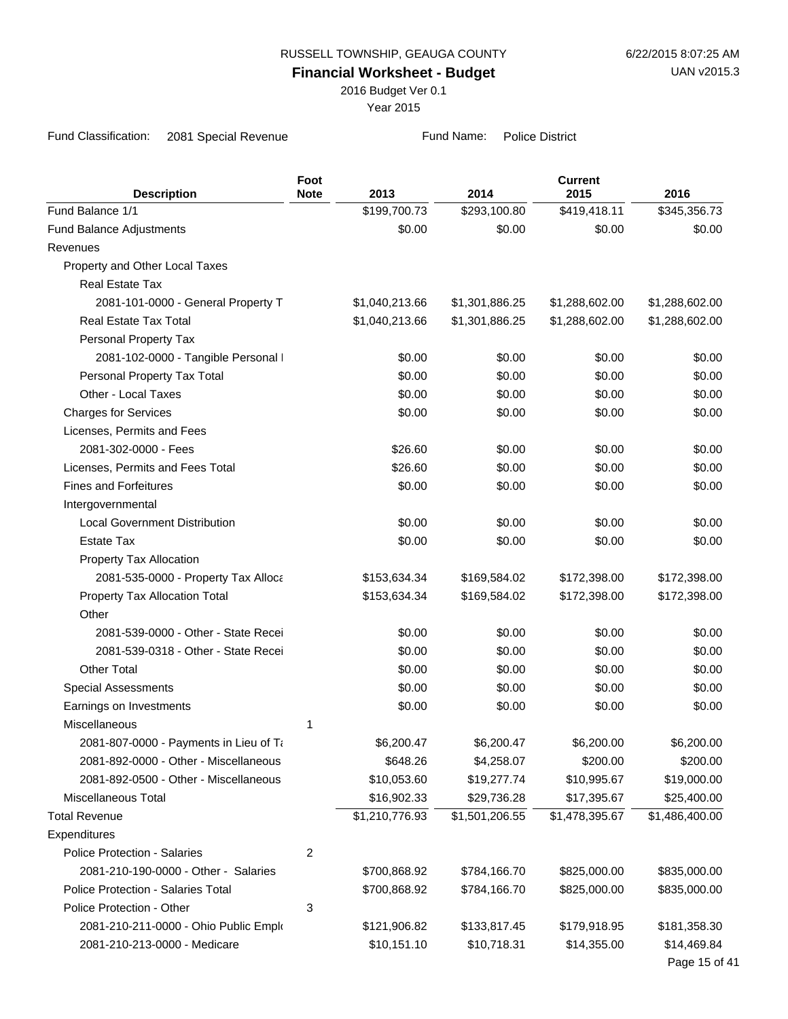**Financial Worksheet - Budget**

2016 Budget Ver 0.1

Year 2015

Fund Classification: 2081 Special Revenue Fund Name: Police District

|                                           | Foot        |                |                | <b>Current</b> |                |
|-------------------------------------------|-------------|----------------|----------------|----------------|----------------|
| <b>Description</b>                        | <b>Note</b> | 2013           | 2014           | 2015           | 2016           |
| Fund Balance 1/1                          |             | \$199,700.73   | \$293,100.80   | \$419,418.11   | \$345,356.73   |
| <b>Fund Balance Adjustments</b>           |             | \$0.00         | \$0.00         | \$0.00         | \$0.00         |
| Revenues                                  |             |                |                |                |                |
| Property and Other Local Taxes            |             |                |                |                |                |
| <b>Real Estate Tax</b>                    |             |                |                |                |                |
| 2081-101-0000 - General Property T        |             | \$1,040,213.66 | \$1,301,886.25 | \$1,288,602.00 | \$1,288,602.00 |
| Real Estate Tax Total                     |             | \$1,040,213.66 | \$1,301,886.25 | \$1,288,602.00 | \$1,288,602.00 |
| Personal Property Tax                     |             |                |                |                |                |
| 2081-102-0000 - Tangible Personal I       |             | \$0.00         | \$0.00         | \$0.00         | \$0.00         |
| Personal Property Tax Total               |             | \$0.00         | \$0.00         | \$0.00         | \$0.00         |
| Other - Local Taxes                       |             | \$0.00         | \$0.00         | \$0.00         | \$0.00         |
| <b>Charges for Services</b>               |             | \$0.00         | \$0.00         | \$0.00         | \$0.00         |
| Licenses, Permits and Fees                |             |                |                |                |                |
| 2081-302-0000 - Fees                      |             | \$26.60        | \$0.00         | \$0.00         | \$0.00         |
| Licenses, Permits and Fees Total          |             | \$26.60        | \$0.00         | \$0.00         | \$0.00         |
| <b>Fines and Forfeitures</b>              |             | \$0.00         | \$0.00         | \$0.00         | \$0.00         |
| Intergovernmental                         |             |                |                |                |                |
| <b>Local Government Distribution</b>      |             | \$0.00         | \$0.00         | \$0.00         | \$0.00         |
| <b>Estate Tax</b>                         |             | \$0.00         | \$0.00         | \$0.00         | \$0.00         |
| Property Tax Allocation                   |             |                |                |                |                |
| 2081-535-0000 - Property Tax Alloca       |             | \$153,634.34   | \$169,584.02   | \$172,398.00   | \$172,398.00   |
| Property Tax Allocation Total             |             | \$153,634.34   | \$169,584.02   | \$172,398.00   | \$172,398.00   |
| Other                                     |             |                |                |                |                |
| 2081-539-0000 - Other - State Recei       |             | \$0.00         | \$0.00         | \$0.00         | \$0.00         |
| 2081-539-0318 - Other - State Recei       |             | \$0.00         | \$0.00         | \$0.00         | \$0.00         |
| <b>Other Total</b>                        |             | \$0.00         | \$0.00         | \$0.00         | \$0.00         |
| <b>Special Assessments</b>                |             | \$0.00         | \$0.00         | \$0.00         | \$0.00         |
| Earnings on Investments                   |             | \$0.00         | \$0.00         | \$0.00         | \$0.00         |
| <b>Miscellaneous</b>                      | 1           |                |                |                |                |
| 2081-807-0000 - Payments in Lieu of Ta    |             | \$6,200.47     | \$6,200.47     | \$6,200.00     | \$6,200.00     |
| 2081-892-0000 - Other - Miscellaneous     |             | \$648.26       | \$4,258.07     | \$200.00       | \$200.00       |
| 2081-892-0500 - Other - Miscellaneous     |             | \$10,053.60    | \$19,277.74    | \$10,995.67    | \$19,000.00    |
| Miscellaneous Total                       |             | \$16,902.33    | \$29,736.28    | \$17,395.67    | \$25,400.00    |
| <b>Total Revenue</b>                      |             | \$1,210,776.93 | \$1,501,206.55 | \$1,478,395.67 | \$1,486,400.00 |
| Expenditures                              |             |                |                |                |                |
| Police Protection - Salaries              | 2           |                |                |                |                |
| 2081-210-190-0000 - Other - Salaries      |             | \$700,868.92   | \$784,166.70   | \$825,000.00   | \$835,000.00   |
| <b>Police Protection - Salaries Total</b> |             | \$700,868.92   | \$784,166.70   | \$825,000.00   | \$835,000.00   |
| Police Protection - Other                 | 3           |                |                |                |                |
| 2081-210-211-0000 - Ohio Public Emplo     |             | \$121,906.82   | \$133,817.45   | \$179,918.95   | \$181,358.30   |
| 2081-210-213-0000 - Medicare              |             | \$10,151.10    | \$10,718.31    | \$14,355.00    | \$14,469.84    |
|                                           |             |                |                |                | Page 15 of 41  |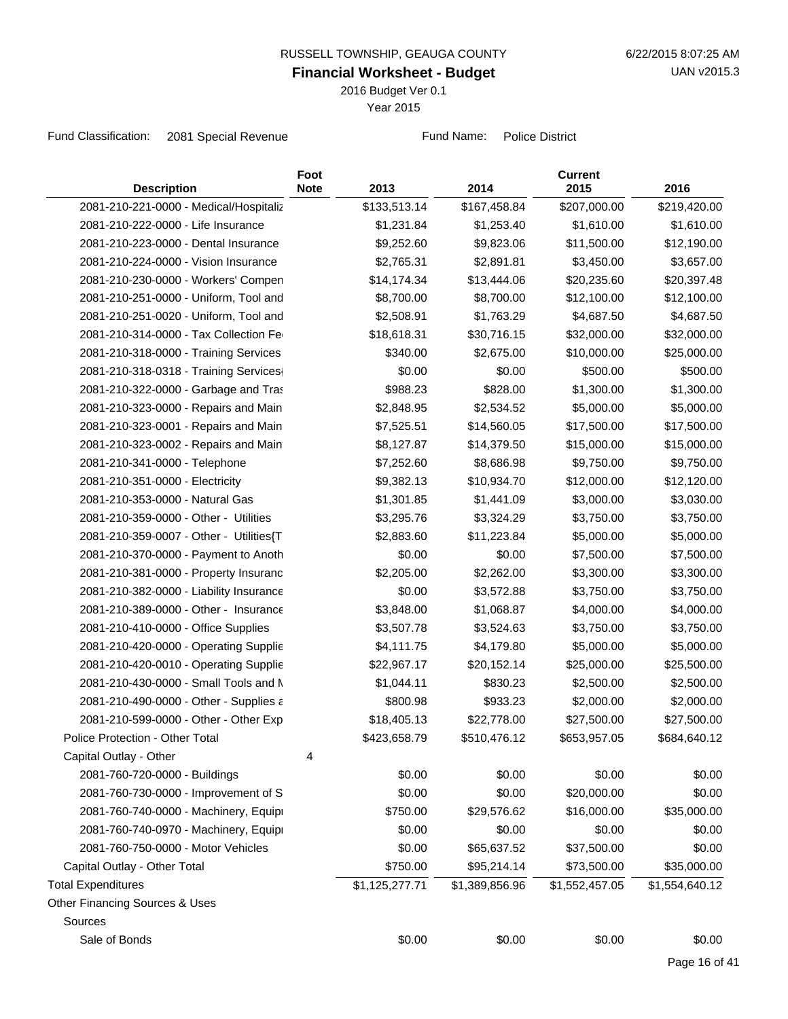2016 Budget Ver 0.1

Year 2015

Fund Classification: 2081 Special Revenue Fund Name: Police District

| <b>Description</b>                        | Foot<br><b>Note</b> | 2013           | 2014           | <b>Current</b><br>2015 | 2016           |
|-------------------------------------------|---------------------|----------------|----------------|------------------------|----------------|
| 2081-210-221-0000 - Medical/Hospitaliz    |                     | \$133,513.14   | \$167,458.84   | \$207,000.00           | \$219,420.00   |
| 2081-210-222-0000 - Life Insurance        |                     | \$1,231.84     | \$1,253.40     | \$1,610.00             | \$1,610.00     |
| 2081-210-223-0000 - Dental Insurance      |                     | \$9,252.60     | \$9,823.06     | \$11,500.00            | \$12,190.00    |
| 2081-210-224-0000 - Vision Insurance      |                     | \$2,765.31     | \$2,891.81     | \$3,450.00             | \$3,657.00     |
| 2081-210-230-0000 - Workers' Compen       |                     | \$14,174.34    | \$13,444.06    | \$20,235.60            | \$20,397.48    |
| 2081-210-251-0000 - Uniform, Tool and     |                     | \$8,700.00     | \$8,700.00     | \$12,100.00            | \$12,100.00    |
| 2081-210-251-0020 - Uniform, Tool and     |                     | \$2,508.91     | \$1,763.29     | \$4,687.50             | \$4,687.50     |
| 2081-210-314-0000 - Tax Collection Fe     |                     | \$18,618.31    | \$30,716.15    | \$32,000.00            | \$32,000.00    |
| 2081-210-318-0000 - Training Services     |                     | \$340.00       | \$2,675.00     | \$10,000.00            | \$25,000.00    |
| 2081-210-318-0318 - Training Services     |                     | \$0.00         | \$0.00         | \$500.00               | \$500.00       |
| 2081-210-322-0000 - Garbage and Tras      |                     | \$988.23       | \$828.00       | \$1,300.00             | \$1,300.00     |
| 2081-210-323-0000 - Repairs and Main      |                     | \$2,848.95     | \$2,534.52     | \$5,000.00             | \$5,000.00     |
| 2081-210-323-0001 - Repairs and Main      |                     | \$7,525.51     | \$14,560.05    | \$17,500.00            | \$17,500.00    |
| 2081-210-323-0002 - Repairs and Main      |                     | \$8,127.87     | \$14,379.50    | \$15,000.00            | \$15,000.00    |
| 2081-210-341-0000 - Telephone             |                     | \$7,252.60     | \$8,686.98     | \$9,750.00             | \$9,750.00     |
| 2081-210-351-0000 - Electricity           |                     | \$9,382.13     | \$10,934.70    | \$12,000.00            | \$12,120.00    |
| 2081-210-353-0000 - Natural Gas           |                     | \$1,301.85     | \$1,441.09     | \$3,000.00             | \$3,030.00     |
| 2081-210-359-0000 - Other - Utilities     |                     | \$3,295.76     | \$3,324.29     | \$3,750.00             | \$3,750.00     |
| 2081-210-359-0007 - Other - Utilities{T   |                     | \$2,883.60     | \$11,223.84    | \$5,000.00             | \$5,000.00     |
| 2081-210-370-0000 - Payment to Anoth      |                     | \$0.00         | \$0.00         | \$7,500.00             | \$7,500.00     |
| 2081-210-381-0000 - Property Insuranc     |                     | \$2,205.00     | \$2,262.00     | \$3,300.00             | \$3,300.00     |
| 2081-210-382-0000 - Liability Insurance   |                     | \$0.00         | \$3,572.88     | \$3,750.00             | \$3,750.00     |
| 2081-210-389-0000 - Other - Insurance     |                     | \$3,848.00     | \$1,068.87     | \$4,000.00             | \$4,000.00     |
| 2081-210-410-0000 - Office Supplies       |                     | \$3,507.78     | \$3,524.63     | \$3,750.00             | \$3,750.00     |
| 2081-210-420-0000 - Operating Supplie     |                     | \$4,111.75     | \$4,179.80     | \$5,000.00             | \$5,000.00     |
| 2081-210-420-0010 - Operating Supplie     |                     | \$22,967.17    | \$20,152.14    | \$25,000.00            | \$25,500.00    |
| 2081-210-430-0000 - Small Tools and N     |                     | \$1,044.11     | \$830.23       | \$2,500.00             | \$2,500.00     |
| 2081-210-490-0000 - Other - Supplies a    |                     | \$800.98       | \$933.23       | \$2,000.00             | \$2,000.00     |
| 2081-210-599-0000 - Other - Other Exp     |                     | \$18,405.13    | \$22,778.00    | \$27,500.00            | \$27,500.00    |
| Police Protection - Other Total           |                     | \$423,658.79   | \$510,476.12   | \$653,957.05           | \$684,640.12   |
| Capital Outlay - Other                    | 4                   |                |                |                        |                |
| 2081-760-720-0000 - Buildings             |                     | \$0.00         | \$0.00         | \$0.00                 | \$0.00         |
| 2081-760-730-0000 - Improvement of S      |                     | \$0.00         | \$0.00         | \$20,000.00            | \$0.00         |
| 2081-760-740-0000 - Machinery, Equipi     |                     | \$750.00       | \$29,576.62    | \$16,000.00            | \$35,000.00    |
| 2081-760-740-0970 - Machinery, Equipi     |                     | \$0.00         | \$0.00         | \$0.00                 | \$0.00         |
| 2081-760-750-0000 - Motor Vehicles        |                     | \$0.00         | \$65,637.52    | \$37,500.00            | \$0.00         |
| Capital Outlay - Other Total              |                     | \$750.00       | \$95,214.14    | \$73,500.00            | \$35,000.00    |
| <b>Total Expenditures</b>                 |                     | \$1,125,277.71 | \$1,389,856.96 | \$1,552,457.05         | \$1,554,640.12 |
| <b>Other Financing Sources &amp; Uses</b> |                     |                |                |                        |                |
| Sources                                   |                     |                |                |                        |                |
| Sale of Bonds                             |                     | \$0.00         | \$0.00         | \$0.00                 | \$0.00         |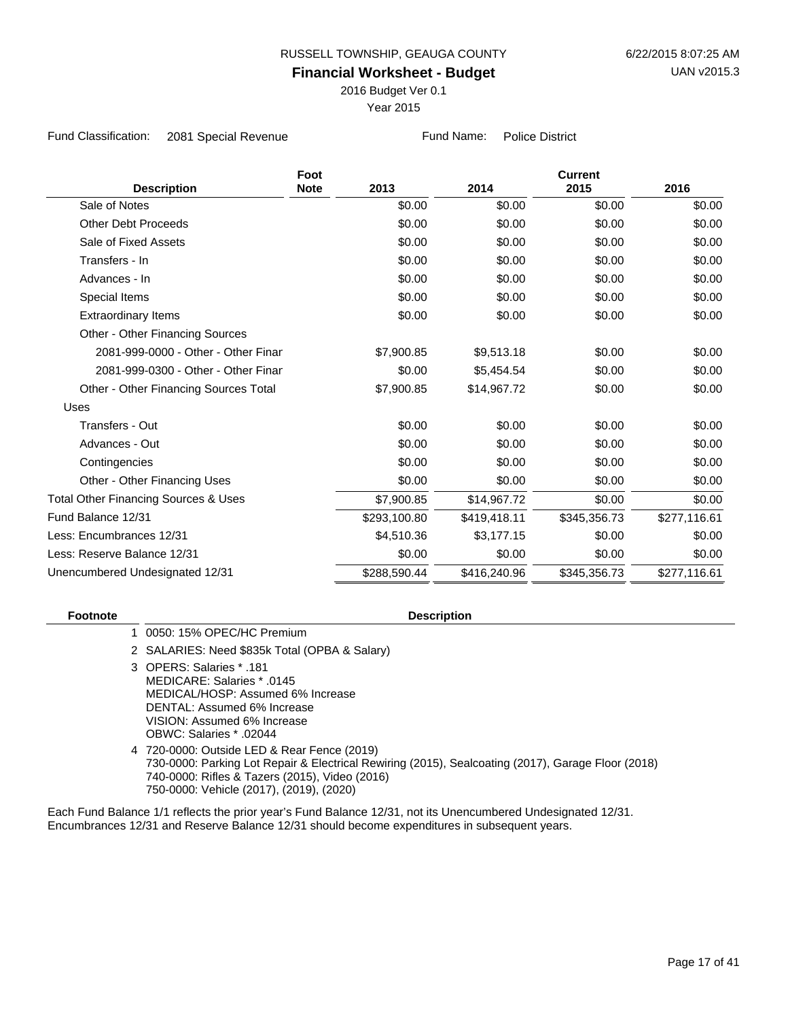2016 Budget Ver 0.1

Year 2015

Fund Classification: 2081 Special Revenue Fund Name: Police District

|                                                 | Foot        |              |              | <b>Current</b> |              |  |
|-------------------------------------------------|-------------|--------------|--------------|----------------|--------------|--|
| <b>Description</b>                              | <b>Note</b> | 2013         | 2014         | 2015           | 2016         |  |
| Sale of Notes                                   |             | \$0.00       | \$0.00       | \$0.00         | \$0.00       |  |
| <b>Other Debt Proceeds</b>                      |             | \$0.00       | \$0.00       | \$0.00         | \$0.00       |  |
| Sale of Fixed Assets                            |             | \$0.00       | \$0.00       | \$0.00         | \$0.00       |  |
| Transfers - In                                  |             | \$0.00       | \$0.00       | \$0.00         | \$0.00       |  |
| Advances - In                                   |             | \$0.00       | \$0.00       | \$0.00         | \$0.00       |  |
| Special Items                                   |             | \$0.00       | \$0.00       | \$0.00         | \$0.00       |  |
| <b>Extraordinary Items</b>                      |             | \$0.00       | \$0.00       | \$0.00         | \$0.00       |  |
| Other - Other Financing Sources                 |             |              |              |                |              |  |
| 2081-999-0000 - Other - Other Finar             |             | \$7,900.85   | \$9,513.18   | \$0.00         | \$0.00       |  |
| 2081-999-0300 - Other - Other Finar             |             | \$0.00       | \$5,454.54   | \$0.00         | \$0.00       |  |
| Other - Other Financing Sources Total           |             | \$7,900.85   | \$14,967.72  | \$0.00         | \$0.00       |  |
| Uses                                            |             |              |              |                |              |  |
| Transfers - Out                                 |             | \$0.00       | \$0.00       | \$0.00         | \$0.00       |  |
| Advances - Out                                  |             | \$0.00       | \$0.00       | \$0.00         | \$0.00       |  |
| Contingencies                                   |             | \$0.00       | \$0.00       | \$0.00         | \$0.00       |  |
| Other - Other Financing Uses                    |             | \$0.00       | \$0.00       | \$0.00         | \$0.00       |  |
| <b>Total Other Financing Sources &amp; Uses</b> |             | \$7,900.85   | \$14,967.72  | \$0.00         | \$0.00       |  |
| Fund Balance 12/31                              |             | \$293,100.80 | \$419,418.11 | \$345,356.73   | \$277,116.61 |  |
| Less: Encumbrances 12/31                        |             | \$4,510.36   | \$3,177.15   | \$0.00         | \$0.00       |  |
| Less: Reserve Balance 12/31                     |             | \$0.00       | \$0.00       | \$0.00         | \$0.00       |  |
| Unencumbered Undesignated 12/31                 |             | \$288,590.44 | \$416,240.96 | \$345,356.73   | \$277,116.61 |  |
|                                                 |             |              |              |                |              |  |

#### **Footnote Description**

#### 1 0050: 15% OPEC/HC Premium

2 SALARIES: Need \$835k Total (OPBA & Salary)

OPERS: Salaries \* .181 3 MEDICARE: Salaries \* .0145 MEDICAL/HOSP: Assumed 6% Increase DENTAL: Assumed 6% Increase VISION: Assumed 6% Increase OBWC: Salaries \* .02044

720-0000: Outside LED & Rear Fence (2019) 4 730-0000: Parking Lot Repair & Electrical Rewiring (2015), Sealcoating (2017), Garage Floor (2018) 740-0000: Rifles & Tazers (2015), Video (2016) 750-0000: Vehicle (2017), (2019), (2020)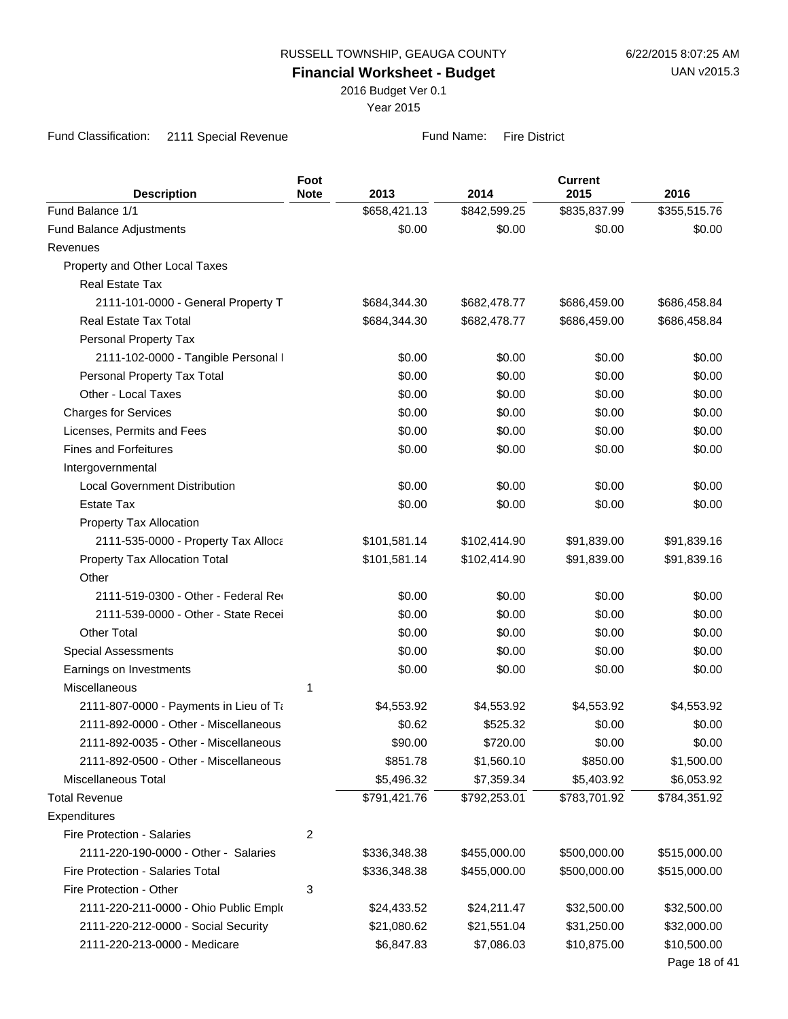2016 Budget Ver 0.1

Year 2015

Fund Classification: 2111 Special Revenue Fund Name: Fire District

| <b>Description</b>                                         | Foot<br><b>Note</b> | 2013         | 2014         | <b>Current</b><br>2015 | 2016          |
|------------------------------------------------------------|---------------------|--------------|--------------|------------------------|---------------|
| Fund Balance 1/1                                           |                     | \$658,421.13 | \$842,599.25 | \$835,837.99           | \$355,515.76  |
| <b>Fund Balance Adjustments</b>                            |                     | \$0.00       | \$0.00       | \$0.00                 | \$0.00        |
| Revenues                                                   |                     |              |              |                        |               |
| Property and Other Local Taxes                             |                     |              |              |                        |               |
| <b>Real Estate Tax</b>                                     |                     |              |              |                        |               |
| 2111-101-0000 - General Property T                         |                     | \$684,344.30 | \$682,478.77 | \$686,459.00           | \$686,458.84  |
| Real Estate Tax Total                                      |                     | \$684,344.30 | \$682,478.77 | \$686,459.00           | \$686,458.84  |
| Personal Property Tax                                      |                     |              |              |                        |               |
| 2111-102-0000 - Tangible Personal I                        |                     | \$0.00       | \$0.00       | \$0.00                 | \$0.00        |
| Personal Property Tax Total                                |                     | \$0.00       | \$0.00       | \$0.00                 | \$0.00        |
| Other - Local Taxes                                        |                     | \$0.00       | \$0.00       | \$0.00                 | \$0.00        |
| <b>Charges for Services</b>                                |                     | \$0.00       | \$0.00       | \$0.00                 | \$0.00        |
|                                                            |                     |              |              | \$0.00                 |               |
| Licenses, Permits and Fees<br><b>Fines and Forfeitures</b> |                     | \$0.00       | \$0.00       |                        | \$0.00        |
|                                                            |                     | \$0.00       | \$0.00       | \$0.00                 | \$0.00        |
| Intergovernmental                                          |                     |              |              |                        |               |
| <b>Local Government Distribution</b>                       |                     | \$0.00       | \$0.00       | \$0.00                 | \$0.00        |
| <b>Estate Tax</b>                                          |                     | \$0.00       | \$0.00       | \$0.00                 | \$0.00        |
| Property Tax Allocation                                    |                     |              |              |                        |               |
| 2111-535-0000 - Property Tax Alloca                        |                     | \$101,581.14 | \$102,414.90 | \$91,839.00            | \$91,839.16   |
| Property Tax Allocation Total                              |                     | \$101,581.14 | \$102,414.90 | \$91,839.00            | \$91,839.16   |
| Other                                                      |                     |              |              |                        |               |
| 2111-519-0300 - Other - Federal Red                        |                     | \$0.00       | \$0.00       | \$0.00                 | \$0.00        |
| 2111-539-0000 - Other - State Recei                        |                     | \$0.00       | \$0.00       | \$0.00                 | \$0.00        |
| <b>Other Total</b>                                         |                     | \$0.00       | \$0.00       | \$0.00                 | \$0.00        |
| <b>Special Assessments</b>                                 |                     | \$0.00       | \$0.00       | \$0.00                 | \$0.00        |
| Earnings on Investments                                    |                     | \$0.00       | \$0.00       | \$0.00                 | \$0.00        |
| Miscellaneous                                              | 1                   |              |              |                        |               |
| 2111-807-0000 - Payments in Lieu of Ta                     |                     | \$4,553.92   | \$4,553.92   | \$4,553.92             | \$4,553.92    |
| 2111-892-0000 - Other - Miscellaneous                      |                     | \$0.62       | \$525.32     | \$0.00                 | \$0.00        |
| 2111-892-0035 - Other - Miscellaneous                      |                     | \$90.00      | \$720.00     | \$0.00                 | \$0.00        |
| 2111-892-0500 - Other - Miscellaneous                      |                     | \$851.78     | \$1,560.10   | \$850.00               | \$1,500.00    |
| Miscellaneous Total                                        |                     | \$5,496.32   | \$7,359.34   | \$5,403.92             | \$6,053.92    |
| <b>Total Revenue</b>                                       |                     | \$791,421.76 | \$792,253.01 | \$783,701.92           | \$784,351.92  |
| Expenditures                                               |                     |              |              |                        |               |
| <b>Fire Protection - Salaries</b>                          | $\overline{2}$      |              |              |                        |               |
| 2111-220-190-0000 - Other - Salaries                       |                     | \$336,348.38 | \$455,000.00 | \$500,000.00           | \$515,000.00  |
| Fire Protection - Salaries Total                           |                     | \$336,348.38 | \$455,000.00 | \$500,000.00           | \$515,000.00  |
| Fire Protection - Other                                    | 3                   |              |              |                        |               |
| 2111-220-211-0000 - Ohio Public Emplo                      |                     | \$24,433.52  | \$24,211.47  | \$32,500.00            | \$32,500.00   |
| 2111-220-212-0000 - Social Security                        |                     | \$21,080.62  | \$21,551.04  | \$31,250.00            | \$32,000.00   |
| 2111-220-213-0000 - Medicare                               |                     | \$6,847.83   | \$7,086.03   | \$10,875.00            | \$10,500.00   |
|                                                            |                     |              |              |                        | Page 18 of 41 |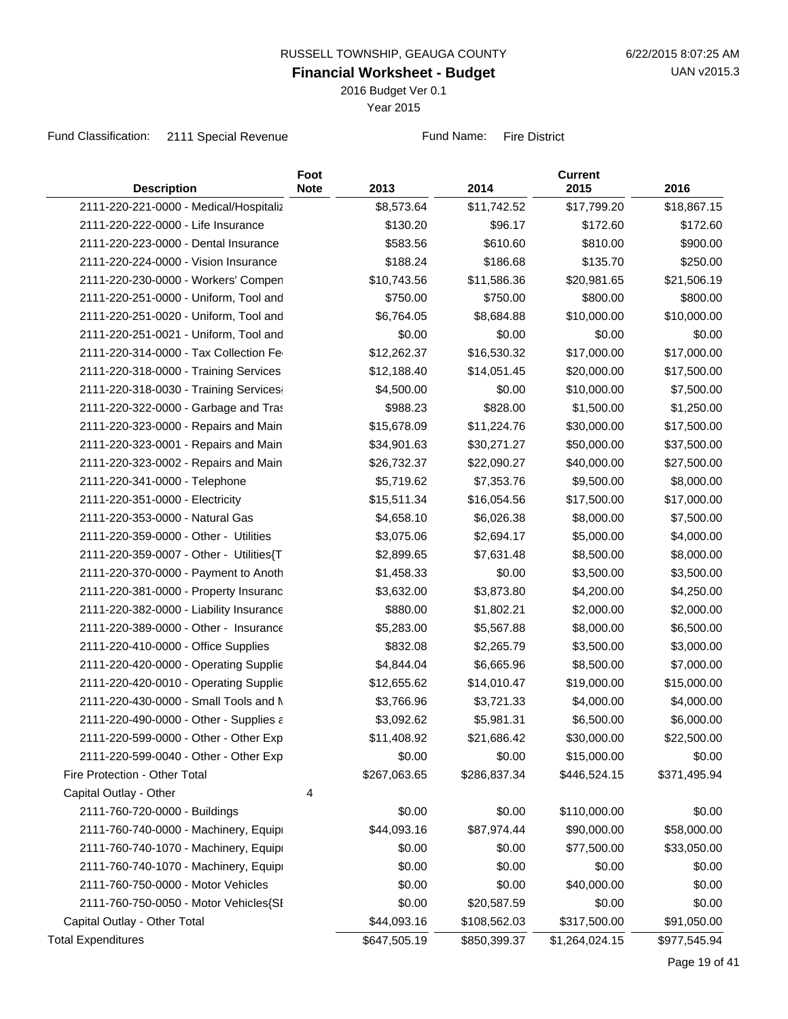2016 Budget Ver 0.1

Year 2015

Fund Classification: 2111 Special Revenue Fund Name: Fire District

| <b>Description</b>                      | Foot<br><b>Note</b> | 2013         | 2014         | <b>Current</b><br>2015 | 2016         |
|-----------------------------------------|---------------------|--------------|--------------|------------------------|--------------|
| 2111-220-221-0000 - Medical/Hospitaliz  |                     | \$8,573.64   | \$11,742.52  | \$17,799.20            | \$18,867.15  |
| 2111-220-222-0000 - Life Insurance      |                     | \$130.20     | \$96.17      | \$172.60               | \$172.60     |
| 2111-220-223-0000 - Dental Insurance    |                     | \$583.56     | \$610.60     | \$810.00               | \$900.00     |
| 2111-220-224-0000 - Vision Insurance    |                     | \$188.24     | \$186.68     | \$135.70               | \$250.00     |
| 2111-220-230-0000 - Workers' Compen     |                     | \$10,743.56  | \$11,586.36  | \$20,981.65            | \$21,506.19  |
| 2111-220-251-0000 - Uniform, Tool and   |                     | \$750.00     | \$750.00     | \$800.00               | \$800.00     |
| 2111-220-251-0020 - Uniform, Tool and   |                     | \$6,764.05   | \$8,684.88   | \$10,000.00            | \$10,000.00  |
| 2111-220-251-0021 - Uniform, Tool and   |                     | \$0.00       | \$0.00       | \$0.00                 | \$0.00       |
| 2111-220-314-0000 - Tax Collection Fe   |                     | \$12,262.37  | \$16,530.32  | \$17,000.00            | \$17,000.00  |
| 2111-220-318-0000 - Training Services   |                     | \$12,188.40  | \$14,051.45  | \$20,000.00            | \$17,500.00  |
| 2111-220-318-0030 - Training Services   |                     | \$4,500.00   | \$0.00       | \$10,000.00            | \$7,500.00   |
| 2111-220-322-0000 - Garbage and Tras    |                     | \$988.23     | \$828.00     | \$1,500.00             | \$1,250.00   |
| 2111-220-323-0000 - Repairs and Main    |                     | \$15,678.09  | \$11,224.76  | \$30,000.00            | \$17,500.00  |
| 2111-220-323-0001 - Repairs and Main    |                     | \$34,901.63  | \$30,271.27  | \$50,000.00            | \$37,500.00  |
| 2111-220-323-0002 - Repairs and Main    |                     | \$26,732.37  | \$22,090.27  | \$40,000.00            | \$27,500.00  |
| 2111-220-341-0000 - Telephone           |                     | \$5,719.62   | \$7,353.76   | \$9,500.00             | \$8,000.00   |
| 2111-220-351-0000 - Electricity         |                     | \$15,511.34  | \$16,054.56  | \$17,500.00            | \$17,000.00  |
| 2111-220-353-0000 - Natural Gas         |                     | \$4,658.10   | \$6,026.38   | \$8,000.00             | \$7,500.00   |
| 2111-220-359-0000 - Other - Utilities   |                     | \$3,075.06   | \$2,694.17   | \$5,000.00             | \$4,000.00   |
| 2111-220-359-0007 - Other - Utilities{T |                     | \$2,899.65   | \$7,631.48   | \$8,500.00             | \$8,000.00   |
| 2111-220-370-0000 - Payment to Anoth    |                     | \$1,458.33   | \$0.00       | \$3,500.00             | \$3,500.00   |
| 2111-220-381-0000 - Property Insuranc   |                     | \$3,632.00   | \$3,873.80   | \$4,200.00             | \$4,250.00   |
| 2111-220-382-0000 - Liability Insurance |                     | \$880.00     | \$1,802.21   | \$2,000.00             | \$2,000.00   |
| 2111-220-389-0000 - Other - Insurance   |                     | \$5,283.00   | \$5,567.88   | \$8,000.00             | \$6,500.00   |
| 2111-220-410-0000 - Office Supplies     |                     | \$832.08     | \$2,265.79   | \$3,500.00             | \$3,000.00   |
| 2111-220-420-0000 - Operating Supplie   |                     | \$4,844.04   | \$6,665.96   | \$8,500.00             | \$7,000.00   |
| 2111-220-420-0010 - Operating Supplie   |                     | \$12,655.62  | \$14,010.47  | \$19,000.00            | \$15,000.00  |
| 2111-220-430-0000 - Small Tools and M   |                     | \$3,766.96   | \$3,721.33   | \$4,000.00             | \$4,000.00   |
| 2111-220-490-0000 - Other - Supplies a  |                     | \$3,092.62   | \$5,981.31   | \$6,500.00             | \$6,000.00   |
| 2111-220-599-0000 - Other - Other Exp   |                     | \$11,408.92  | \$21,686.42  | \$30,000.00            | \$22,500.00  |
| 2111-220-599-0040 - Other - Other Exp   |                     | \$0.00       | \$0.00       | \$15,000.00            | \$0.00       |
| Fire Protection - Other Total           |                     | \$267,063.65 | \$286,837.34 | \$446,524.15           | \$371,495.94 |
| Capital Outlay - Other                  | 4                   |              |              |                        |              |
| 2111-760-720-0000 - Buildings           |                     | \$0.00       | \$0.00       | \$110,000.00           | \$0.00       |
| 2111-760-740-0000 - Machinery, Equipi   |                     | \$44,093.16  | \$87,974.44  | \$90,000.00            | \$58,000.00  |
| 2111-760-740-1070 - Machinery, Equipi   |                     | \$0.00       | \$0.00       | \$77,500.00            | \$33,050.00  |
| 2111-760-740-1070 - Machinery, Equipi   |                     | \$0.00       | \$0.00       | \$0.00                 | \$0.00       |
| 2111-760-750-0000 - Motor Vehicles      |                     | \$0.00       | \$0.00       | \$40,000.00            | \$0.00       |
| 2111-760-750-0050 - Motor Vehicles{SI   |                     | \$0.00       | \$20,587.59  | \$0.00                 | \$0.00       |
| Capital Outlay - Other Total            |                     | \$44,093.16  | \$108,562.03 | \$317,500.00           | \$91,050.00  |
| <b>Total Expenditures</b>               |                     | \$647,505.19 | \$850,399.37 | \$1,264,024.15         | \$977,545.94 |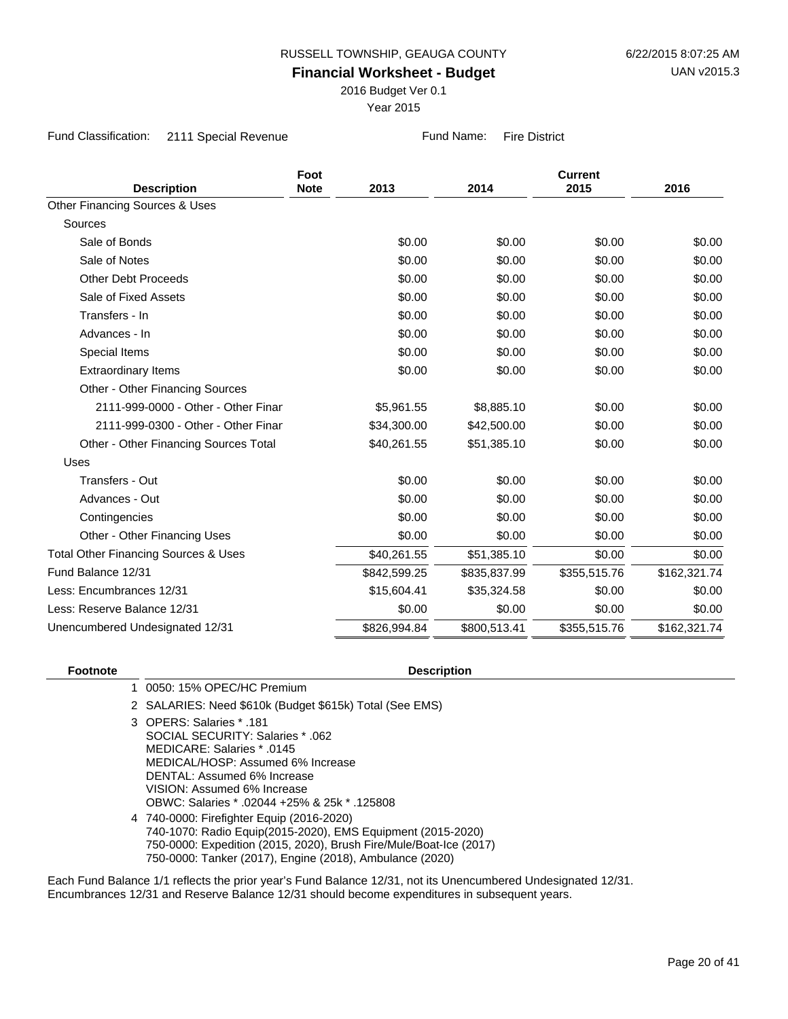2016 Budget Ver 0.1

Year 2015

Fund Classification: 2111 Special Revenue Fund Name: Fire District

|                                                 | Foot        |              |              |              |              |
|-------------------------------------------------|-------------|--------------|--------------|--------------|--------------|
| <b>Description</b>                              | <b>Note</b> | 2013         | 2014         | 2015         | 2016         |
| Other Financing Sources & Uses                  |             |              |              |              |              |
| Sources                                         |             |              |              |              |              |
| Sale of Bonds                                   |             | \$0.00       | \$0.00       | \$0.00       | \$0.00       |
| Sale of Notes                                   |             | \$0.00       | \$0.00       | \$0.00       | \$0.00       |
| <b>Other Debt Proceeds</b>                      |             | \$0.00       | \$0.00       | \$0.00       | \$0.00       |
| Sale of Fixed Assets                            |             | \$0.00       | \$0.00       | \$0.00       | \$0.00       |
| Transfers - In                                  |             | \$0.00       | \$0.00       | \$0.00       | \$0.00       |
| Advances - In                                   |             | \$0.00       | \$0.00       | \$0.00       | \$0.00       |
| Special Items                                   |             | \$0.00       | \$0.00       | \$0.00       | \$0.00       |
| <b>Extraordinary Items</b>                      |             | \$0.00       | \$0.00       | \$0.00       | \$0.00       |
| Other - Other Financing Sources                 |             |              |              |              |              |
| 2111-999-0000 - Other - Other Finar             |             | \$5,961.55   | \$8,885.10   | \$0.00       | \$0.00       |
| 2111-999-0300 - Other - Other Finar             |             | \$34,300.00  | \$42,500.00  | \$0.00       | \$0.00       |
| Other - Other Financing Sources Total           |             | \$40,261.55  | \$51,385.10  | \$0.00       | \$0.00       |
| Uses                                            |             |              |              |              |              |
| Transfers - Out                                 |             | \$0.00       | \$0.00       | \$0.00       | \$0.00       |
| Advances - Out                                  |             | \$0.00       | \$0.00       | \$0.00       | \$0.00       |
| Contingencies                                   |             | \$0.00       | \$0.00       | \$0.00       | \$0.00       |
| Other - Other Financing Uses                    |             | \$0.00       | \$0.00       | \$0.00       | \$0.00       |
| <b>Total Other Financing Sources &amp; Uses</b> |             | \$40,261.55  | \$51,385.10  | \$0.00       | \$0.00       |
| Fund Balance 12/31                              |             | \$842,599.25 | \$835,837.99 | \$355,515.76 | \$162,321.74 |
| Less: Encumbrances 12/31                        |             | \$15,604.41  | \$35,324.58  | \$0.00       | \$0.00       |
| Less: Reserve Balance 12/31                     |             | \$0.00       | \$0.00       | \$0.00       | \$0.00       |
| Unencumbered Undesignated 12/31                 |             | \$826,994.84 | \$800,513.41 | \$355,515.76 | \$162,321.74 |

#### **Footnote Description**

1 0050: 15% OPEC/HC Premium

2 SALARIES: Need \$610k (Budget \$615k) Total (See EMS)

OPERS: Salaries \* .181 3 SOCIAL SECURITY: Salaries \* .062 MEDICARE: Salaries \* .0145 MEDICAL/HOSP: Assumed 6% Increase DENTAL: Assumed 6% Increase VISION: Assumed 6% Increase OBWC: Salaries \* .02044 +25% & 25k \* .125808

740-0000: Firefighter Equip (2016-2020) 4 740-1070: Radio Equip(2015-2020), EMS Equipment (2015-2020) 750-0000: Expedition (2015, 2020), Brush Fire/Mule/Boat-Ice (2017) 750-0000: Tanker (2017), Engine (2018), Ambulance (2020)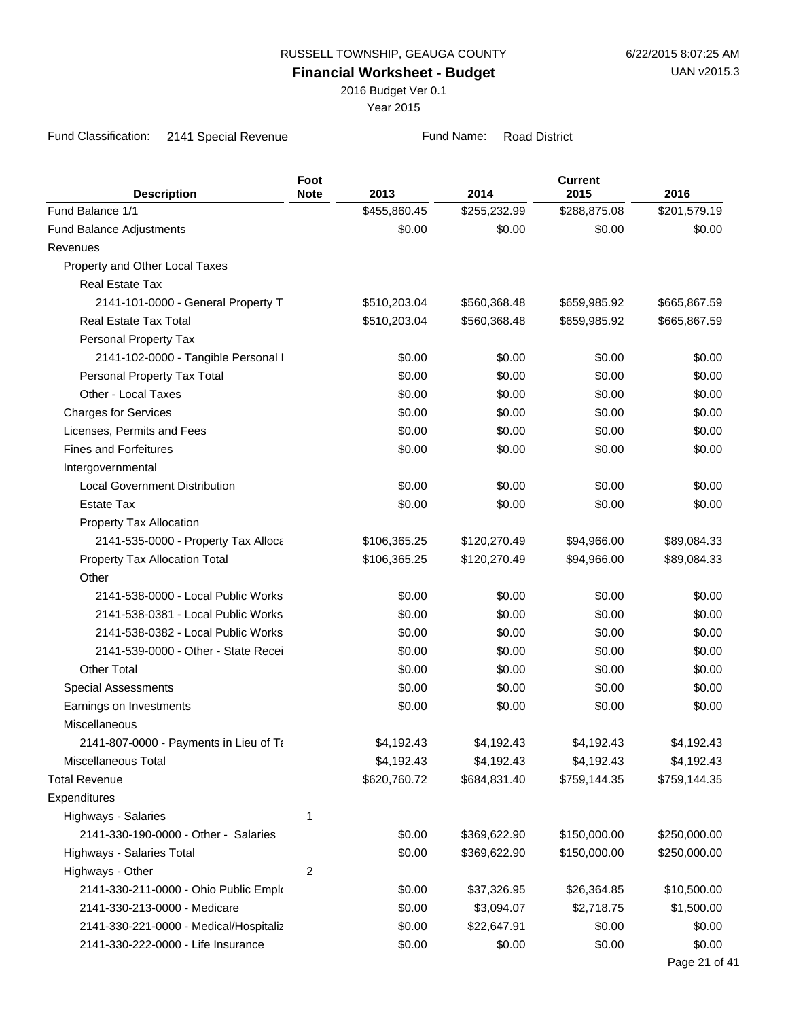2016 Budget Ver 0.1

Year 2015

Fund Classification: 2141 Special Revenue Fund Name: Road District

| <b>Description</b>                     | Foot<br><b>Note</b> | 2013         | 2014         | <b>Current</b><br>2015 | 2016          |
|----------------------------------------|---------------------|--------------|--------------|------------------------|---------------|
| Fund Balance 1/1                       |                     | \$455,860.45 | \$255,232.99 | \$288,875.08           | \$201,579.19  |
| Fund Balance Adjustments               |                     | \$0.00       | \$0.00       | \$0.00                 | \$0.00        |
| Revenues                               |                     |              |              |                        |               |
| Property and Other Local Taxes         |                     |              |              |                        |               |
| <b>Real Estate Tax</b>                 |                     |              |              |                        |               |
| 2141-101-0000 - General Property T     |                     | \$510,203.04 | \$560,368.48 | \$659,985.92           | \$665,867.59  |
| Real Estate Tax Total                  |                     | \$510,203.04 | \$560,368.48 | \$659,985.92           | \$665,867.59  |
| Personal Property Tax                  |                     |              |              |                        |               |
| 2141-102-0000 - Tangible Personal I    |                     | \$0.00       | \$0.00       | \$0.00                 | \$0.00        |
| Personal Property Tax Total            |                     | \$0.00       | \$0.00       | \$0.00                 | \$0.00        |
| Other - Local Taxes                    |                     | \$0.00       | \$0.00       | \$0.00                 | \$0.00        |
| <b>Charges for Services</b>            |                     | \$0.00       | \$0.00       | \$0.00                 | \$0.00        |
| Licenses, Permits and Fees             |                     | \$0.00       | \$0.00       | \$0.00                 | \$0.00        |
| <b>Fines and Forfeitures</b>           |                     | \$0.00       | \$0.00       | \$0.00                 | \$0.00        |
| Intergovernmental                      |                     |              |              |                        |               |
| <b>Local Government Distribution</b>   |                     | \$0.00       | \$0.00       | \$0.00                 | \$0.00        |
| <b>Estate Tax</b>                      |                     | \$0.00       | \$0.00       | \$0.00                 | \$0.00        |
| Property Tax Allocation                |                     |              |              |                        |               |
| 2141-535-0000 - Property Tax Alloca    |                     | \$106,365.25 | \$120,270.49 | \$94,966.00            | \$89,084.33   |
| Property Tax Allocation Total          |                     | \$106,365.25 | \$120,270.49 | \$94,966.00            | \$89,084.33   |
| Other                                  |                     |              |              |                        |               |
| 2141-538-0000 - Local Public Works     |                     | \$0.00       | \$0.00       | \$0.00                 | \$0.00        |
| 2141-538-0381 - Local Public Works     |                     | \$0.00       | \$0.00       | \$0.00                 | \$0.00        |
| 2141-538-0382 - Local Public Works     |                     | \$0.00       | \$0.00       | \$0.00                 | \$0.00        |
| 2141-539-0000 - Other - State Recei    |                     | \$0.00       | \$0.00       | \$0.00                 | \$0.00        |
| <b>Other Total</b>                     |                     | \$0.00       | \$0.00       | \$0.00                 | \$0.00        |
| <b>Special Assessments</b>             |                     | \$0.00       | \$0.00       | \$0.00                 | \$0.00        |
| Earnings on Investments                |                     | \$0.00       | \$0.00       | \$0.00                 | \$0.00        |
| Miscellaneous                          |                     |              |              |                        |               |
| 2141-807-0000 - Payments in Lieu of Ta |                     | \$4,192.43   | \$4,192.43   | \$4,192.43             | \$4,192.43    |
| Miscellaneous Total                    |                     | \$4,192.43   | \$4,192.43   | \$4,192.43             | \$4,192.43    |
| <b>Total Revenue</b>                   |                     | \$620,760.72 | \$684,831.40 | \$759,144.35           | \$759,144.35  |
| Expenditures                           |                     |              |              |                        |               |
| Highways - Salaries                    | 1                   |              |              |                        |               |
| 2141-330-190-0000 - Other - Salaries   |                     | \$0.00       | \$369,622.90 | \$150,000.00           | \$250,000.00  |
| Highways - Salaries Total              |                     | \$0.00       | \$369,622.90 | \$150,000.00           | \$250,000.00  |
| Highways - Other                       | $\sqrt{2}$          |              |              |                        |               |
| 2141-330-211-0000 - Ohio Public Emplo  |                     | \$0.00       | \$37,326.95  | \$26,364.85            | \$10,500.00   |
| 2141-330-213-0000 - Medicare           |                     | \$0.00       | \$3,094.07   | \$2,718.75             | \$1,500.00    |
| 2141-330-221-0000 - Medical/Hospitaliz |                     | \$0.00       | \$22,647.91  | \$0.00                 | \$0.00        |
| 2141-330-222-0000 - Life Insurance     |                     | \$0.00       | \$0.00       | \$0.00                 | \$0.00        |
|                                        |                     |              |              |                        | Page 21 of 41 |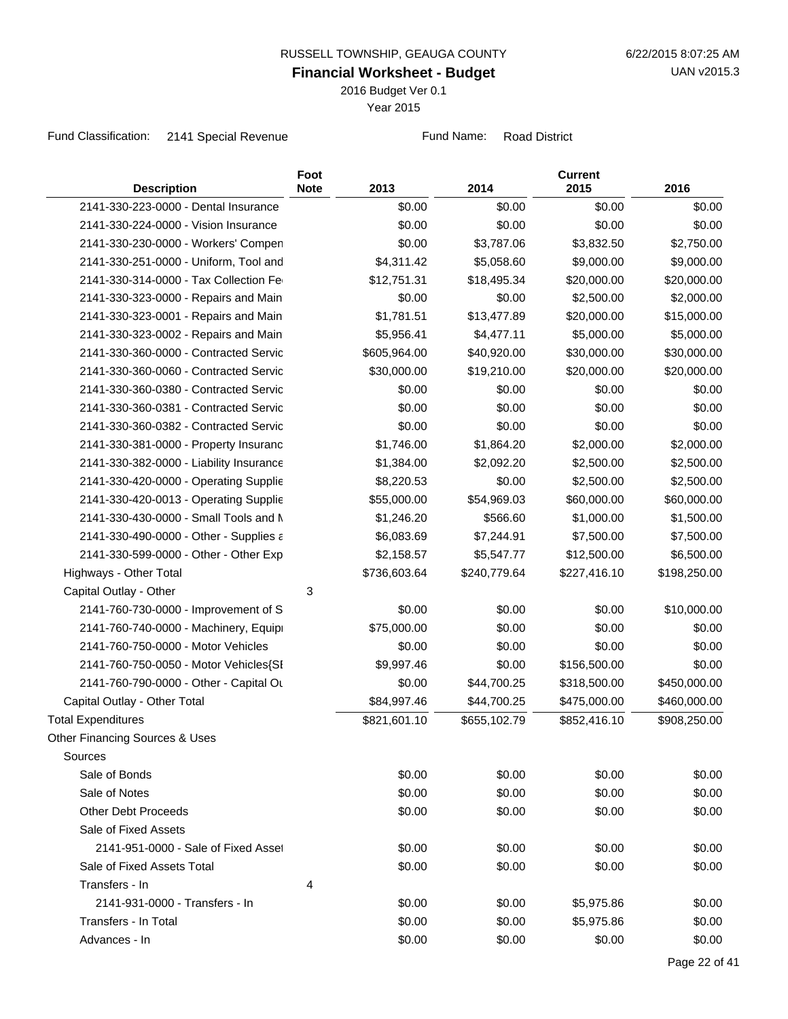2016 Budget Ver 0.1

Year 2015

Fund Classification: 2141 Special Revenue Fund Name: Road District

| <b>Description</b>                      | Foot<br><b>Note</b> | 2013         | 2014         | <b>Current</b><br>2015 | 2016         |
|-----------------------------------------|---------------------|--------------|--------------|------------------------|--------------|
| 2141-330-223-0000 - Dental Insurance    |                     | \$0.00       | \$0.00       | \$0.00                 | \$0.00       |
| 2141-330-224-0000 - Vision Insurance    |                     | \$0.00       | \$0.00       | \$0.00                 | \$0.00       |
| 2141-330-230-0000 - Workers' Compen     |                     | \$0.00       | \$3,787.06   | \$3,832.50             | \$2,750.00   |
| 2141-330-251-0000 - Uniform, Tool and   |                     | \$4,311.42   | \$5,058.60   | \$9,000.00             | \$9,000.00   |
| 2141-330-314-0000 - Tax Collection Fe   |                     | \$12,751.31  | \$18,495.34  | \$20,000.00            | \$20,000.00  |
| 2141-330-323-0000 - Repairs and Main    |                     | \$0.00       | \$0.00       | \$2,500.00             | \$2,000.00   |
| 2141-330-323-0001 - Repairs and Main    |                     | \$1,781.51   | \$13,477.89  | \$20,000.00            | \$15,000.00  |
| 2141-330-323-0002 - Repairs and Main    |                     | \$5,956.41   | \$4,477.11   | \$5,000.00             | \$5,000.00   |
| 2141-330-360-0000 - Contracted Servic   |                     | \$605,964.00 | \$40,920.00  | \$30,000.00            | \$30,000.00  |
| 2141-330-360-0060 - Contracted Servic   |                     | \$30,000.00  | \$19,210.00  | \$20,000.00            | \$20,000.00  |
| 2141-330-360-0380 - Contracted Servic   |                     | \$0.00       | \$0.00       | \$0.00                 | \$0.00       |
| 2141-330-360-0381 - Contracted Servic   |                     | \$0.00       | \$0.00       | \$0.00                 | \$0.00       |
| 2141-330-360-0382 - Contracted Servic   |                     | \$0.00       | \$0.00       | \$0.00                 | \$0.00       |
| 2141-330-381-0000 - Property Insuranc   |                     | \$1,746.00   | \$1,864.20   | \$2,000.00             | \$2,000.00   |
| 2141-330-382-0000 - Liability Insurance |                     | \$1,384.00   | \$2,092.20   | \$2,500.00             | \$2,500.00   |
| 2141-330-420-0000 - Operating Supplie   |                     | \$8,220.53   | \$0.00       | \$2,500.00             | \$2,500.00   |
| 2141-330-420-0013 - Operating Supplie   |                     | \$55,000.00  | \$54,969.03  | \$60,000.00            | \$60,000.00  |
| 2141-330-430-0000 - Small Tools and M   |                     | \$1,246.20   | \$566.60     | \$1,000.00             | \$1,500.00   |
| 2141-330-490-0000 - Other - Supplies a  |                     | \$6,083.69   | \$7,244.91   | \$7,500.00             | \$7,500.00   |
| 2141-330-599-0000 - Other - Other Exp   |                     | \$2,158.57   | \$5,547.77   | \$12,500.00            | \$6,500.00   |
| Highways - Other Total                  |                     | \$736,603.64 | \$240,779.64 | \$227,416.10           | \$198,250.00 |
| Capital Outlay - Other                  | 3                   |              |              |                        |              |
| 2141-760-730-0000 - Improvement of S    |                     | \$0.00       | \$0.00       | \$0.00                 | \$10,000.00  |
| 2141-760-740-0000 - Machinery, Equipi   |                     | \$75,000.00  | \$0.00       | \$0.00                 | \$0.00       |
| 2141-760-750-0000 - Motor Vehicles      |                     | \$0.00       | \$0.00       | \$0.00                 | \$0.00       |
| 2141-760-750-0050 - Motor Vehicles{SI   |                     | \$9,997.46   | \$0.00       | \$156,500.00           | \$0.00       |
| 2141-760-790-0000 - Other - Capital Ou  |                     | \$0.00       | \$44,700.25  | \$318,500.00           | \$450,000.00 |
| Capital Outlay - Other Total            |                     | \$84,997.46  | \$44,700.25  | \$475,000.00           | \$460,000.00 |
| <b>Total Expenditures</b>               |                     | \$821,601.10 | \$655,102.79 | \$852,416.10           | \$908,250.00 |
| Other Financing Sources & Uses          |                     |              |              |                        |              |
| Sources                                 |                     |              |              |                        |              |
| Sale of Bonds                           |                     | \$0.00       | \$0.00       | \$0.00                 | \$0.00       |
| Sale of Notes                           |                     | \$0.00       | \$0.00       | \$0.00                 | \$0.00       |
| <b>Other Debt Proceeds</b>              |                     | \$0.00       | \$0.00       | \$0.00                 | \$0.00       |
| Sale of Fixed Assets                    |                     |              |              |                        |              |
| 2141-951-0000 - Sale of Fixed Asset     |                     | \$0.00       | \$0.00       | \$0.00                 | \$0.00       |
| Sale of Fixed Assets Total              |                     | \$0.00       | \$0.00       | \$0.00                 | \$0.00       |
| Transfers - In                          | 4                   |              |              |                        |              |
| 2141-931-0000 - Transfers - In          |                     | \$0.00       | \$0.00       | \$5,975.86             | \$0.00       |
| Transfers - In Total                    |                     | \$0.00       | \$0.00       | \$5,975.86             | \$0.00       |
| Advances - In                           |                     | \$0.00       | \$0.00       | \$0.00                 | \$0.00       |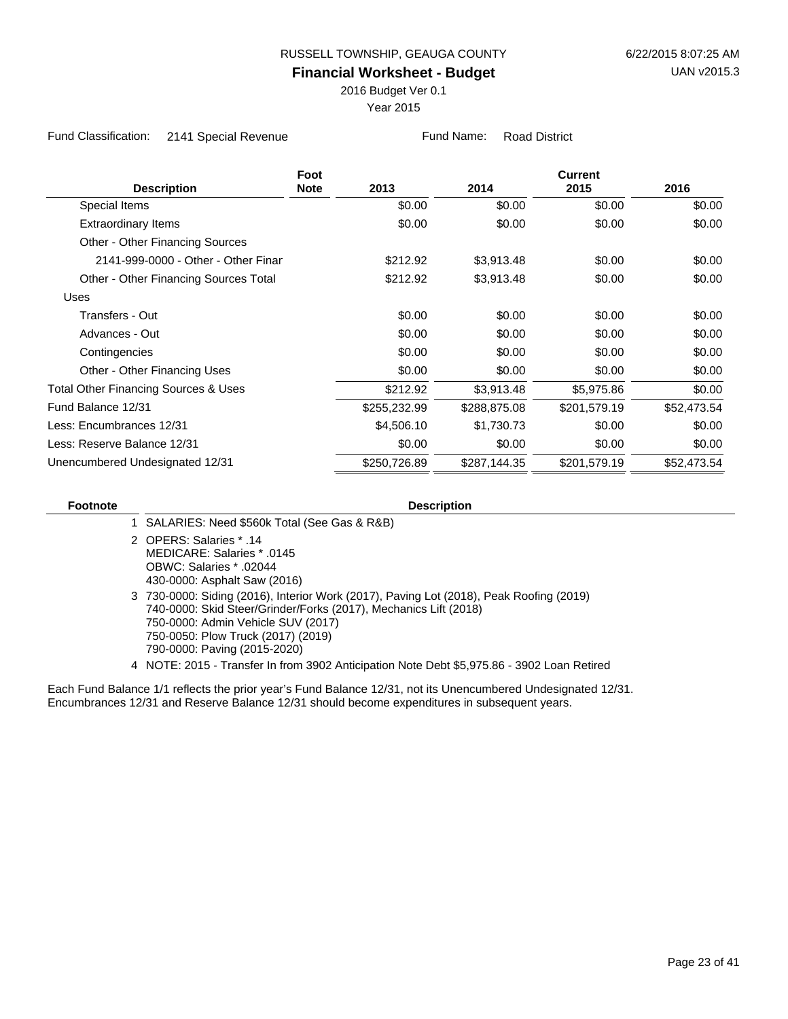2016 Budget Ver 0.1

Year 2015

Fund Classification: 2141 Special Revenue Fund Name: Road District

|                                                 | Foot        |              | <b>Current</b> |              |             |
|-------------------------------------------------|-------------|--------------|----------------|--------------|-------------|
| <b>Description</b>                              | <b>Note</b> | 2013         | 2014           | 2015         | 2016        |
| Special Items                                   |             | \$0.00       | \$0.00         | \$0.00       | \$0.00      |
| <b>Extraordinary Items</b>                      |             | \$0.00       | \$0.00         | \$0.00       | \$0.00      |
| Other - Other Financing Sources                 |             |              |                |              |             |
| 2141-999-0000 - Other - Other Finar             |             | \$212.92     | \$3,913.48     | \$0.00       | \$0.00      |
| Other - Other Financing Sources Total           |             | \$212.92     | \$3,913.48     | \$0.00       | \$0.00      |
| Uses                                            |             |              |                |              |             |
| Transfers - Out                                 |             | \$0.00       | \$0.00         | \$0.00       | \$0.00      |
| Advances - Out                                  |             | \$0.00       | \$0.00         | \$0.00       | \$0.00      |
| Contingencies                                   |             | \$0.00       | \$0.00         | \$0.00       | \$0.00      |
| Other - Other Financing Uses                    |             | \$0.00       | \$0.00         | \$0.00       | \$0.00      |
| <b>Total Other Financing Sources &amp; Uses</b> |             | \$212.92     | \$3,913.48     | \$5,975.86   | \$0.00      |
| Fund Balance 12/31                              |             | \$255,232.99 | \$288,875.08   | \$201,579.19 | \$52,473.54 |
| Less: Encumbrances 12/31                        |             | \$4,506.10   | \$1,730.73     | \$0.00       | \$0.00      |
| Less: Reserve Balance 12/31                     |             | \$0.00       | \$0.00         | \$0.00       | \$0.00      |
| Unencumbered Undesignated 12/31                 |             | \$250,726.89 | \$287,144.35   | \$201,579.19 | \$52,473.54 |

| <b>Footnote</b> | <b>Description</b>                                                                                                                                                                                                                                                                                                                                                    |
|-----------------|-----------------------------------------------------------------------------------------------------------------------------------------------------------------------------------------------------------------------------------------------------------------------------------------------------------------------------------------------------------------------|
|                 | 1 SALARIES: Need \$560k Total (See Gas & R&B)                                                                                                                                                                                                                                                                                                                         |
|                 | 2 OPERS: Salaries * .14<br>MEDICARE: Salaries * .0145<br>02044. * OBWC: Salaries<br>430-0000: Asphalt Saw (2016)                                                                                                                                                                                                                                                      |
|                 | 3 730-0000: Siding (2016), Interior Work (2017), Paving Lot (2018), Peak Roofing (2019)<br>740-0000: Skid Steer/Grinder/Forks (2017), Mechanics Lift (2018)<br>750-0000: Admin Vehicle SUV (2017)<br>750-0050: Plow Truck (2017) (2019)<br>790-0000: Paving (2015-2020)<br>4 NOTE: 2015 - Transfer In from 3902 Anticipation Note Debt \$5,975.86 - 3902 Loan Retired |
|                 | Each Fund Ralance 1/1 reflects the prior vear's Fund Ralance 12/31, not its Unencumbered Undesignated 12/31                                                                                                                                                                                                                                                           |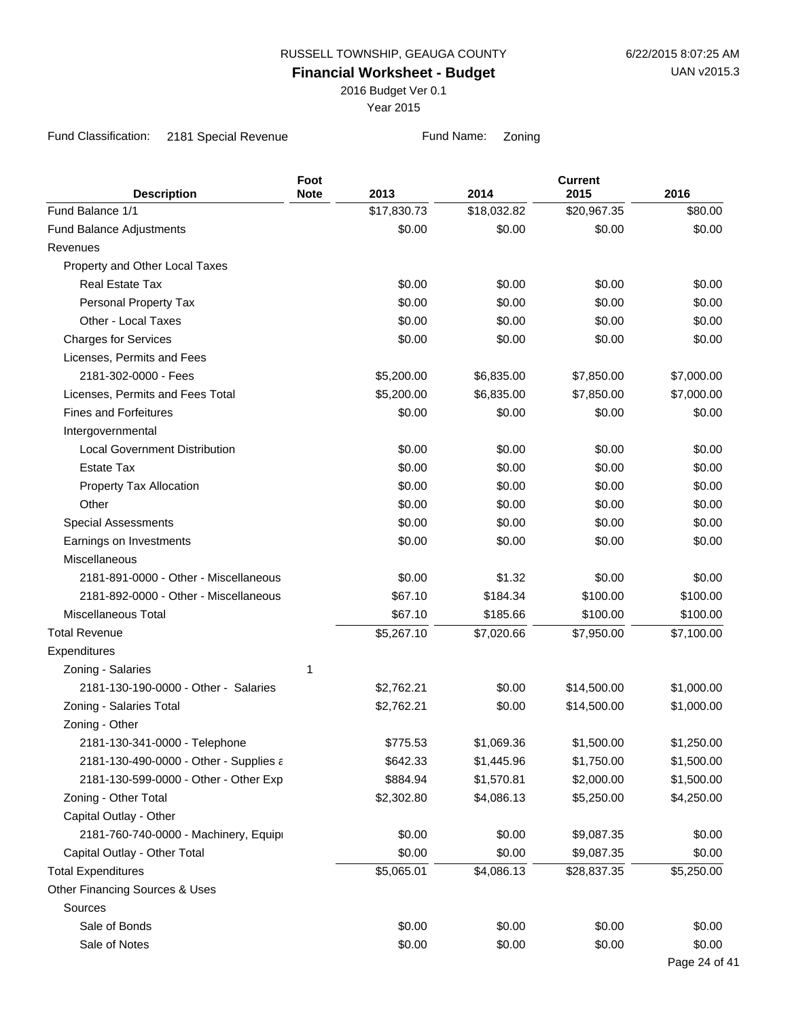2016 Budget Ver 0.1

Year 2015

Fund Classification: 2181 Special Revenue Fund Name: Zoning

| <b>Description</b>                     | Foot<br><b>Note</b> | 2013        | 2014        | <b>Current</b><br>2015 | 2016          |
|----------------------------------------|---------------------|-------------|-------------|------------------------|---------------|
| Fund Balance 1/1                       |                     | \$17,830.73 | \$18,032.82 | \$20,967.35            | \$80.00       |
| Fund Balance Adjustments               |                     | \$0.00      | \$0.00      | \$0.00                 | \$0.00        |
| Revenues                               |                     |             |             |                        |               |
| Property and Other Local Taxes         |                     |             |             |                        |               |
| <b>Real Estate Tax</b>                 |                     | \$0.00      | \$0.00      | \$0.00                 | \$0.00        |
| Personal Property Tax                  |                     | \$0.00      | \$0.00      | \$0.00                 | \$0.00        |
| Other - Local Taxes                    |                     | \$0.00      | \$0.00      | \$0.00                 | \$0.00        |
| <b>Charges for Services</b>            |                     | \$0.00      | \$0.00      | \$0.00                 | \$0.00        |
| Licenses, Permits and Fees             |                     |             |             |                        |               |
| 2181-302-0000 - Fees                   |                     | \$5,200.00  | \$6,835.00  | \$7,850.00             | \$7,000.00    |
| Licenses, Permits and Fees Total       |                     | \$5,200.00  | \$6,835.00  | \$7,850.00             | \$7,000.00    |
| <b>Fines and Forfeitures</b>           |                     | \$0.00      | \$0.00      | \$0.00                 | \$0.00        |
| Intergovernmental                      |                     |             |             |                        |               |
| <b>Local Government Distribution</b>   |                     | \$0.00      | \$0.00      | \$0.00                 | \$0.00        |
| <b>Estate Tax</b>                      |                     | \$0.00      | \$0.00      | \$0.00                 | \$0.00        |
| Property Tax Allocation                |                     | \$0.00      | \$0.00      | \$0.00                 | \$0.00        |
| Other                                  |                     | \$0.00      | \$0.00      | \$0.00                 | \$0.00        |
| <b>Special Assessments</b>             |                     | \$0.00      | \$0.00      | \$0.00                 | \$0.00        |
| Earnings on Investments                |                     | \$0.00      | \$0.00      | \$0.00                 | \$0.00        |
| Miscellaneous                          |                     |             |             |                        |               |
| 2181-891-0000 - Other - Miscellaneous  |                     | \$0.00      | \$1.32      | \$0.00                 | \$0.00        |
| 2181-892-0000 - Other - Miscellaneous  |                     | \$67.10     | \$184.34    | \$100.00               | \$100.00      |
| <b>Miscellaneous Total</b>             |                     | \$67.10     | \$185.66    | \$100.00               | \$100.00      |
| <b>Total Revenue</b>                   |                     | \$5,267.10  | \$7,020.66  | \$7,950.00             | \$7,100.00    |
| Expenditures                           |                     |             |             |                        |               |
| Zoning - Salaries                      | 1                   |             |             |                        |               |
| 2181-130-190-0000 - Other - Salaries   |                     | \$2,762.21  | \$0.00      | \$14,500.00            | \$1,000.00    |
| Zoning - Salaries Total                |                     | \$2,762.21  | \$0.00      | \$14,500.00            | \$1,000.00    |
| Zoning - Other                         |                     |             |             |                        |               |
| 2181-130-341-0000 - Telephone          |                     | \$775.53    | \$1,069.36  | \$1,500.00             | \$1,250.00    |
| 2181-130-490-0000 - Other - Supplies a |                     | \$642.33    | \$1,445.96  | \$1,750.00             | \$1,500.00    |
| 2181-130-599-0000 - Other - Other Exp  |                     | \$884.94    | \$1,570.81  | \$2,000.00             | \$1,500.00    |
| Zoning - Other Total                   |                     | \$2,302.80  | \$4,086.13  | \$5,250.00             | \$4,250.00    |
| Capital Outlay - Other                 |                     |             |             |                        |               |
| 2181-760-740-0000 - Machinery, Equipi  |                     | \$0.00      | \$0.00      | \$9,087.35             | \$0.00        |
| Capital Outlay - Other Total           |                     | \$0.00      | \$0.00      | \$9,087.35             | \$0.00        |
| <b>Total Expenditures</b>              |                     | \$5,065.01  | \$4,086.13  | \$28,837.35            | \$5,250.00    |
| Other Financing Sources & Uses         |                     |             |             |                        |               |
| Sources                                |                     |             |             |                        |               |
| Sale of Bonds                          |                     | \$0.00      | \$0.00      | \$0.00                 | \$0.00        |
| Sale of Notes                          |                     | \$0.00      | \$0.00      | \$0.00                 | \$0.00        |
|                                        |                     |             |             |                        | Page 24 of 41 |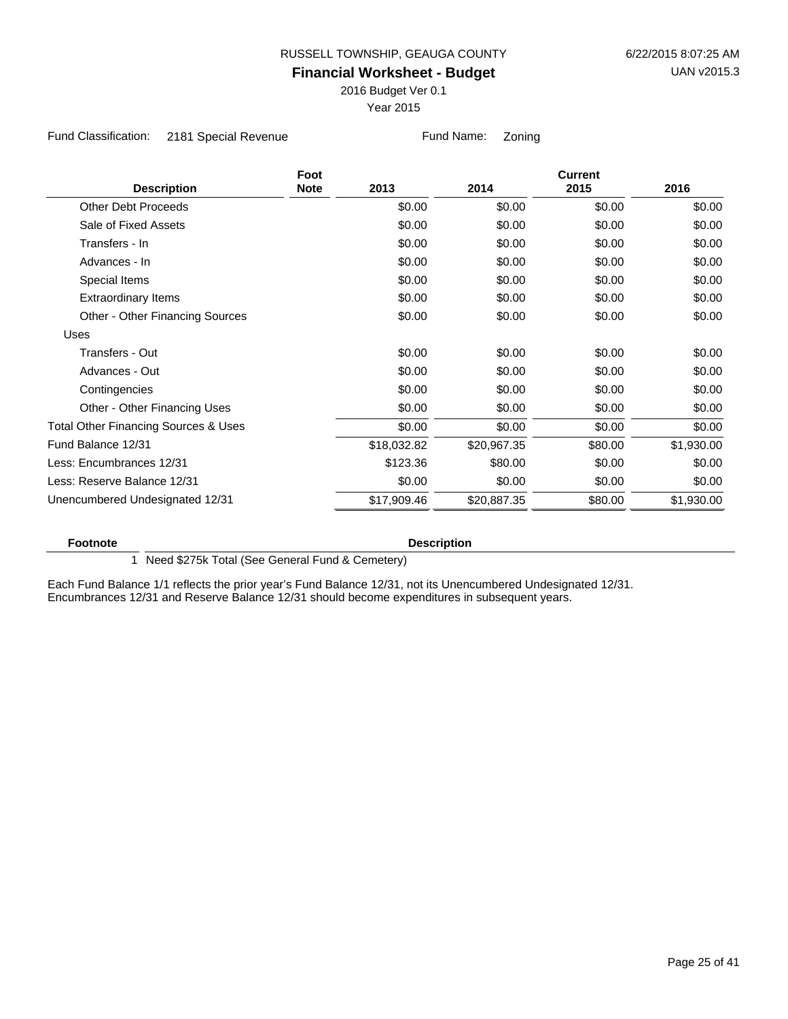2016 Budget Ver 0.1

Year 2015

Fund Classification: 2181 Special Revenue Fund Name: Zoning

|                                                 | Foot        |             |             | <b>Current</b> |            |
|-------------------------------------------------|-------------|-------------|-------------|----------------|------------|
| <b>Description</b>                              | <b>Note</b> | 2013        | 2014        | 2015           | 2016       |
| <b>Other Debt Proceeds</b>                      |             | \$0.00      | \$0.00      | \$0.00         | \$0.00     |
| Sale of Fixed Assets                            |             | \$0.00      | \$0.00      | \$0.00         | \$0.00     |
| Transfers - In                                  |             | \$0.00      | \$0.00      | \$0.00         | \$0.00     |
| Advances - In                                   |             | \$0.00      | \$0.00      | \$0.00         | \$0.00     |
| Special Items                                   |             | \$0.00      | \$0.00      | \$0.00         | \$0.00     |
| <b>Extraordinary Items</b>                      |             | \$0.00      | \$0.00      | \$0.00         | \$0.00     |
| Other - Other Financing Sources                 |             | \$0.00      | \$0.00      | \$0.00         | \$0.00     |
| Uses                                            |             |             |             |                |            |
| Transfers - Out                                 |             | \$0.00      | \$0.00      | \$0.00         | \$0.00     |
| Advances - Out                                  |             | \$0.00      | \$0.00      | \$0.00         | \$0.00     |
| Contingencies                                   |             | \$0.00      | \$0.00      | \$0.00         | \$0.00     |
| Other - Other Financing Uses                    |             | \$0.00      | \$0.00      | \$0.00         | \$0.00     |
| <b>Total Other Financing Sources &amp; Uses</b> |             | \$0.00      | \$0.00      | \$0.00         | \$0.00     |
| Fund Balance 12/31                              |             | \$18,032.82 | \$20,967.35 | \$80.00        | \$1,930.00 |
| Less: Encumbrances 12/31                        |             | \$123.36    | \$80.00     | \$0.00         | \$0.00     |
| Less: Reserve Balance 12/31                     |             | \$0.00      | \$0.00      | \$0.00         | \$0.00     |
| Unencumbered Undesignated 12/31                 |             | \$17,909.46 | \$20,887.35 | \$80.00        | \$1,930.00 |
|                                                 |             |             |             |                |            |

**Footnote Description** 

1 Need \$275k Total (See General Fund & Cemetery)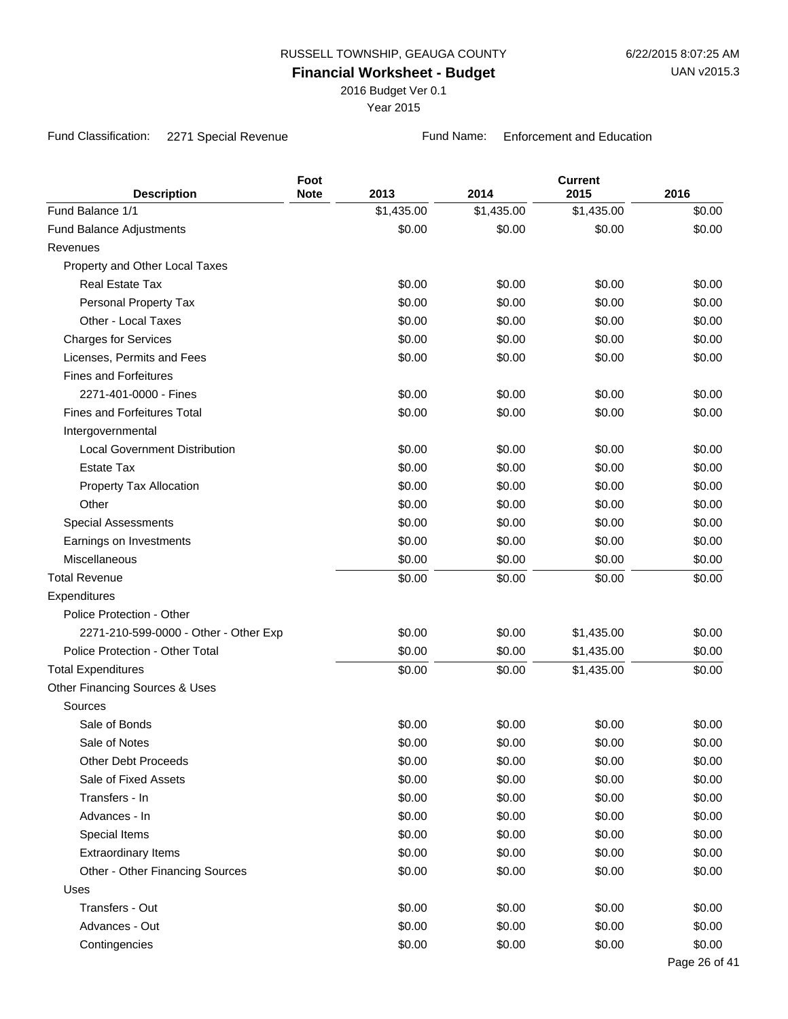2016 Budget Ver 0.1

Year 2015

Fund Classification: 2271 Special Revenue Fund Name: Enforcement and Education

| <b>Description</b>                    | Foot<br><b>Note</b> | 2013       | 2014       | <b>Current</b><br>2015 | 2016          |
|---------------------------------------|---------------------|------------|------------|------------------------|---------------|
| Fund Balance 1/1                      |                     | \$1,435.00 | \$1,435.00 | \$1,435.00             | \$0.00        |
| <b>Fund Balance Adjustments</b>       |                     | \$0.00     | \$0.00     | \$0.00                 | \$0.00        |
| Revenues                              |                     |            |            |                        |               |
| Property and Other Local Taxes        |                     |            |            |                        |               |
| Real Estate Tax                       |                     | \$0.00     | \$0.00     | \$0.00                 | \$0.00        |
| Personal Property Tax                 |                     | \$0.00     | \$0.00     | \$0.00                 | \$0.00        |
| Other - Local Taxes                   |                     | \$0.00     | \$0.00     | \$0.00                 | \$0.00        |
| <b>Charges for Services</b>           |                     | \$0.00     | \$0.00     | \$0.00                 | \$0.00        |
| Licenses, Permits and Fees            |                     | \$0.00     | \$0.00     | \$0.00                 | \$0.00        |
| <b>Fines and Forfeitures</b>          |                     |            |            |                        |               |
| 2271-401-0000 - Fines                 |                     | \$0.00     | \$0.00     | \$0.00                 | \$0.00        |
| <b>Fines and Forfeitures Total</b>    |                     | \$0.00     | \$0.00     | \$0.00                 | \$0.00        |
| Intergovernmental                     |                     |            |            |                        |               |
| <b>Local Government Distribution</b>  |                     | \$0.00     | \$0.00     | \$0.00                 | \$0.00        |
| <b>Estate Tax</b>                     |                     | \$0.00     | \$0.00     | \$0.00                 | \$0.00        |
| Property Tax Allocation               |                     | \$0.00     | \$0.00     | \$0.00                 | \$0.00        |
| Other                                 |                     | \$0.00     | \$0.00     | \$0.00                 | \$0.00        |
| <b>Special Assessments</b>            |                     | \$0.00     | \$0.00     | \$0.00                 | \$0.00        |
| Earnings on Investments               |                     | \$0.00     | \$0.00     | \$0.00                 | \$0.00        |
| Miscellaneous                         |                     | \$0.00     | \$0.00     | \$0.00                 | \$0.00        |
| <b>Total Revenue</b>                  |                     | \$0.00     | \$0.00     | \$0.00                 | \$0.00        |
| Expenditures                          |                     |            |            |                        |               |
| Police Protection - Other             |                     |            |            |                        |               |
| 2271-210-599-0000 - Other - Other Exp |                     | \$0.00     | \$0.00     | \$1,435.00             | \$0.00        |
| Police Protection - Other Total       |                     | \$0.00     | \$0.00     | \$1,435.00             | \$0.00        |
| <b>Total Expenditures</b>             |                     | \$0.00     | \$0.00     | \$1,435.00             | \$0.00        |
| Other Financing Sources & Uses        |                     |            |            |                        |               |
| Sources                               |                     |            |            |                        |               |
| Sale of Bonds                         |                     | \$0.00     | \$0.00     | \$0.00                 | \$0.00        |
| Sale of Notes                         |                     | \$0.00     | \$0.00     | \$0.00                 | \$0.00        |
| <b>Other Debt Proceeds</b>            |                     | \$0.00     | \$0.00     | \$0.00                 | \$0.00        |
| Sale of Fixed Assets                  |                     | \$0.00     | \$0.00     | \$0.00                 | \$0.00        |
| Transfers - In                        |                     | \$0.00     | \$0.00     | \$0.00                 | \$0.00        |
| Advances - In                         |                     | \$0.00     | \$0.00     | \$0.00                 | \$0.00        |
| Special Items                         |                     | \$0.00     | \$0.00     | \$0.00                 | \$0.00        |
| <b>Extraordinary Items</b>            |                     | \$0.00     | \$0.00     | \$0.00                 | \$0.00        |
| Other - Other Financing Sources       |                     | \$0.00     | \$0.00     | \$0.00                 | \$0.00        |
| Uses                                  |                     |            |            |                        |               |
| Transfers - Out                       |                     | \$0.00     | \$0.00     | \$0.00                 | \$0.00        |
| Advances - Out                        |                     | \$0.00     | \$0.00     | \$0.00                 | \$0.00        |
| Contingencies                         |                     | \$0.00     | \$0.00     | \$0.00                 | \$0.00        |
|                                       |                     |            |            |                        | Page 26 of 41 |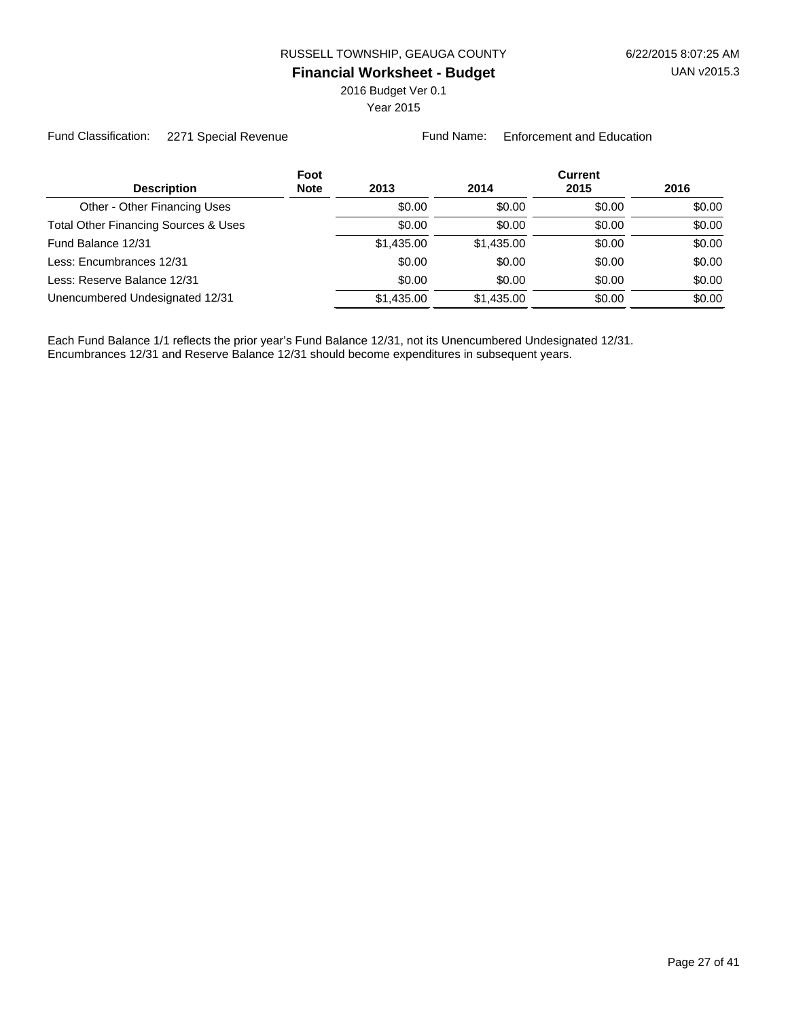2016 Budget Ver 0.1

Year 2015

Fund Classification: 2271 Special Revenue Fund Name: Enforcement and Education

|                                                 | Foot        |            |            | <b>Current</b> |        |
|-------------------------------------------------|-------------|------------|------------|----------------|--------|
| <b>Description</b>                              | <b>Note</b> | 2013       | 2014       | 2015           | 2016   |
| Other - Other Financing Uses                    |             | \$0.00     | \$0.00     | \$0.00         | \$0.00 |
| <b>Total Other Financing Sources &amp; Uses</b> |             | \$0.00     | \$0.00     | \$0.00         | \$0.00 |
| Fund Balance 12/31                              |             | \$1,435,00 | \$1,435.00 | \$0.00         | \$0.00 |
| Less: Encumbrances 12/31                        |             | \$0.00     | \$0.00     | \$0.00         | \$0.00 |
| Less: Reserve Balance 12/31                     |             | \$0.00     | \$0.00     | \$0.00         | \$0.00 |
| Unencumbered Undesignated 12/31                 |             | \$1,435.00 | \$1,435.00 | \$0.00         | \$0.00 |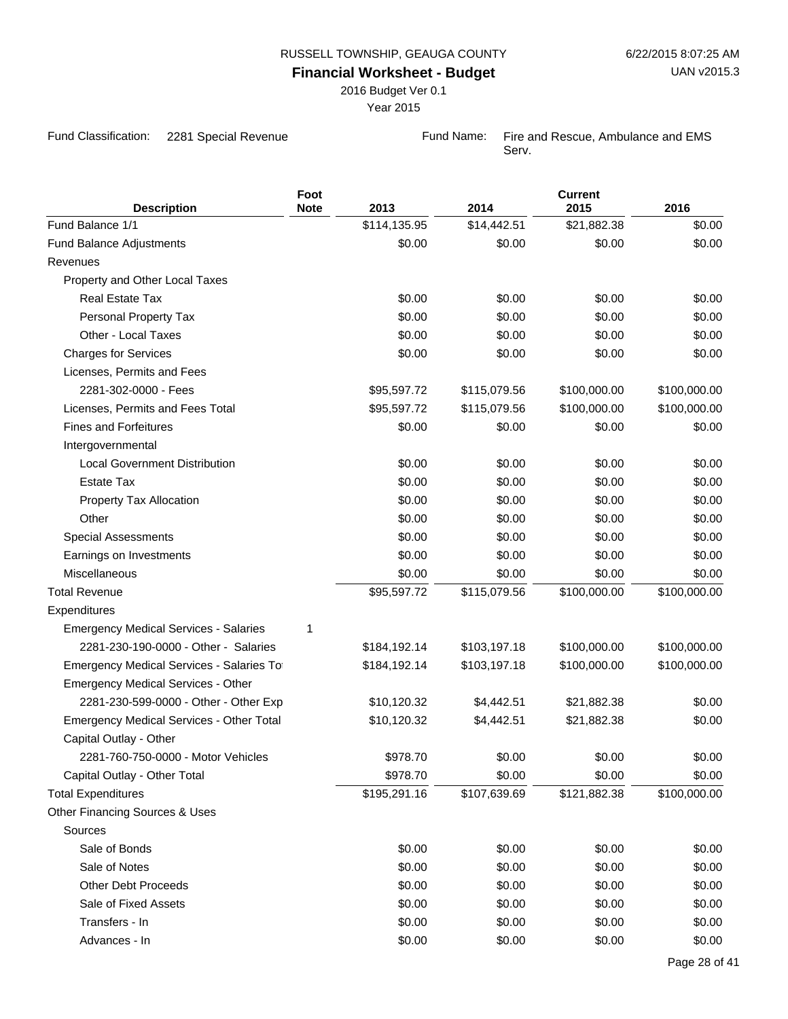**Foot**

2016 Budget Ver 0.1

Year 2015

Fund Classification: 2281 Special Revenue Fund Name: Fire and Rescue, Ambulance and EMS

Serv.

**Current**

| <b>Description</b>                              | <b>Note</b> | 2013         | 2014         | 2015         | 2016         |
|-------------------------------------------------|-------------|--------------|--------------|--------------|--------------|
| Fund Balance 1/1                                |             | \$114,135.95 | \$14,442.51  | \$21,882.38  | \$0.00       |
| <b>Fund Balance Adjustments</b>                 |             | \$0.00       | \$0.00       | \$0.00       | \$0.00       |
| Revenues                                        |             |              |              |              |              |
| Property and Other Local Taxes                  |             |              |              |              |              |
| Real Estate Tax                                 |             | \$0.00       | \$0.00       | \$0.00       | \$0.00       |
| Personal Property Tax                           |             | \$0.00       | \$0.00       | \$0.00       | \$0.00       |
| Other - Local Taxes                             |             | \$0.00       | \$0.00       | \$0.00       | \$0.00       |
| <b>Charges for Services</b>                     |             | \$0.00       | \$0.00       | \$0.00       | \$0.00       |
| Licenses, Permits and Fees                      |             |              |              |              |              |
| 2281-302-0000 - Fees                            |             | \$95,597.72  | \$115,079.56 | \$100,000.00 | \$100,000.00 |
| Licenses, Permits and Fees Total                |             | \$95,597.72  | \$115,079.56 | \$100,000.00 | \$100,000.00 |
| <b>Fines and Forfeitures</b>                    |             | \$0.00       | \$0.00       | \$0.00       | \$0.00       |
| Intergovernmental                               |             |              |              |              |              |
| <b>Local Government Distribution</b>            |             | \$0.00       | \$0.00       | \$0.00       | \$0.00       |
| <b>Estate Tax</b>                               |             | \$0.00       | \$0.00       | \$0.00       | \$0.00       |
| Property Tax Allocation                         |             | \$0.00       | \$0.00       | \$0.00       | \$0.00       |
| Other                                           |             | \$0.00       | \$0.00       | \$0.00       | \$0.00       |
| <b>Special Assessments</b>                      |             | \$0.00       | \$0.00       | \$0.00       | \$0.00       |
| Earnings on Investments                         |             | \$0.00       | \$0.00       | \$0.00       | \$0.00       |
| Miscellaneous                                   |             | \$0.00       | \$0.00       | \$0.00       | \$0.00       |
| <b>Total Revenue</b>                            |             | \$95,597.72  | \$115,079.56 | \$100,000.00 | \$100,000.00 |
| Expenditures                                    |             |              |              |              |              |
| <b>Emergency Medical Services - Salaries</b>    | 1           |              |              |              |              |
| 2281-230-190-0000 - Other - Salaries            |             | \$184,192.14 | \$103,197.18 | \$100,000.00 | \$100,000.00 |
| Emergency Medical Services - Salaries Tot       |             | \$184,192.14 | \$103,197.18 | \$100,000.00 | \$100,000.00 |
| <b>Emergency Medical Services - Other</b>       |             |              |              |              |              |
| 2281-230-599-0000 - Other - Other Exp           |             | \$10,120.32  | \$4,442.51   | \$21,882.38  | \$0.00       |
| <b>Emergency Medical Services - Other Total</b> |             | \$10,120.32  | \$4,442.51   | \$21,882.38  | \$0.00       |
| Capital Outlay - Other                          |             |              |              |              |              |
| 2281-760-750-0000 - Motor Vehicles              |             | \$978.70     | \$0.00       | \$0.00       | \$0.00       |
| Capital Outlay - Other Total                    |             | \$978.70     | \$0.00       | \$0.00       | \$0.00       |
| <b>Total Expenditures</b>                       |             | \$195,291.16 | \$107,639.69 | \$121,882.38 | \$100,000.00 |
| Other Financing Sources & Uses                  |             |              |              |              |              |
| Sources                                         |             |              |              |              |              |
| Sale of Bonds                                   |             | \$0.00       | \$0.00       | \$0.00       | \$0.00       |
| Sale of Notes                                   |             | \$0.00       | \$0.00       | \$0.00       | \$0.00       |
| <b>Other Debt Proceeds</b>                      |             | \$0.00       | \$0.00       | \$0.00       | \$0.00       |
| Sale of Fixed Assets                            |             | \$0.00       | \$0.00       | \$0.00       | \$0.00       |
| Transfers - In                                  |             | \$0.00       | \$0.00       | \$0.00       | \$0.00       |
| Advances - In                                   |             | \$0.00       | \$0.00       | \$0.00       | \$0.00       |
|                                                 |             |              |              |              |              |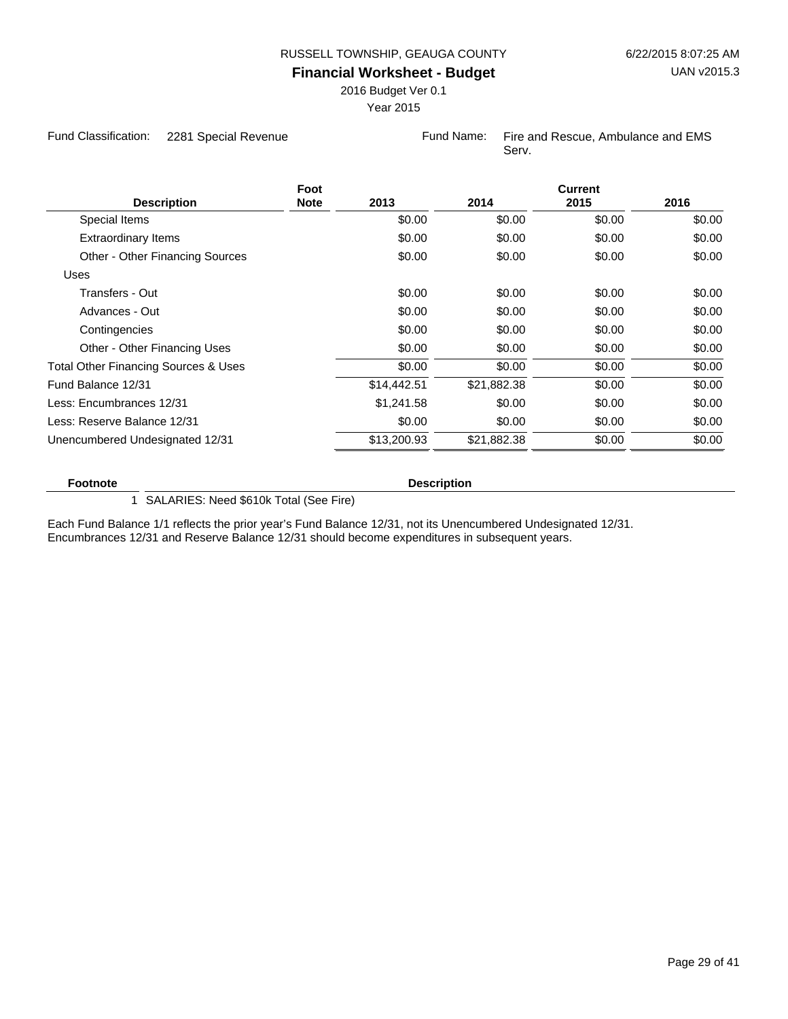2016 Budget Ver 0.1

Year 2015

Fund Classification: 2281 Special Revenue Fund Name: Fire and Rescue, Ambulance and EMS

Serv.

| <b>Description</b>                   | Foot<br><b>Note</b> | 2013        | 2014        | <b>Current</b><br>2015 | 2016   |
|--------------------------------------|---------------------|-------------|-------------|------------------------|--------|
| Special Items                        |                     | \$0.00      | \$0.00      | \$0.00                 | \$0.00 |
| <b>Extraordinary Items</b>           |                     | \$0.00      | \$0.00      | \$0.00                 | \$0.00 |
| Other - Other Financing Sources      |                     | \$0.00      | \$0.00      | \$0.00                 | \$0.00 |
| Uses                                 |                     |             |             |                        |        |
| Transfers - Out                      |                     | \$0.00      | \$0.00      | \$0.00                 | \$0.00 |
| Advances - Out                       |                     | \$0.00      | \$0.00      | \$0.00                 | \$0.00 |
| Contingencies                        |                     | \$0.00      | \$0.00      | \$0.00                 | \$0.00 |
| Other - Other Financing Uses         |                     | \$0.00      | \$0.00      | \$0.00                 | \$0.00 |
| Total Other Financing Sources & Uses |                     | \$0.00      | \$0.00      | \$0.00                 | \$0.00 |
| Fund Balance 12/31                   |                     | \$14,442.51 | \$21,882.38 | \$0.00                 | \$0.00 |
| Less: Encumbrances 12/31             |                     | \$1,241.58  | \$0.00      | \$0.00                 | \$0.00 |
| Less: Reserve Balance 12/31          |                     | \$0.00      | \$0.00      | \$0.00                 | \$0.00 |
| Unencumbered Undesignated 12/31      |                     | \$13,200.93 | \$21,882.38 | \$0.00                 | \$0.00 |
|                                      |                     |             |             |                        |        |

**Footnote Description** 

1 SALARIES: Need \$610k Total (See Fire)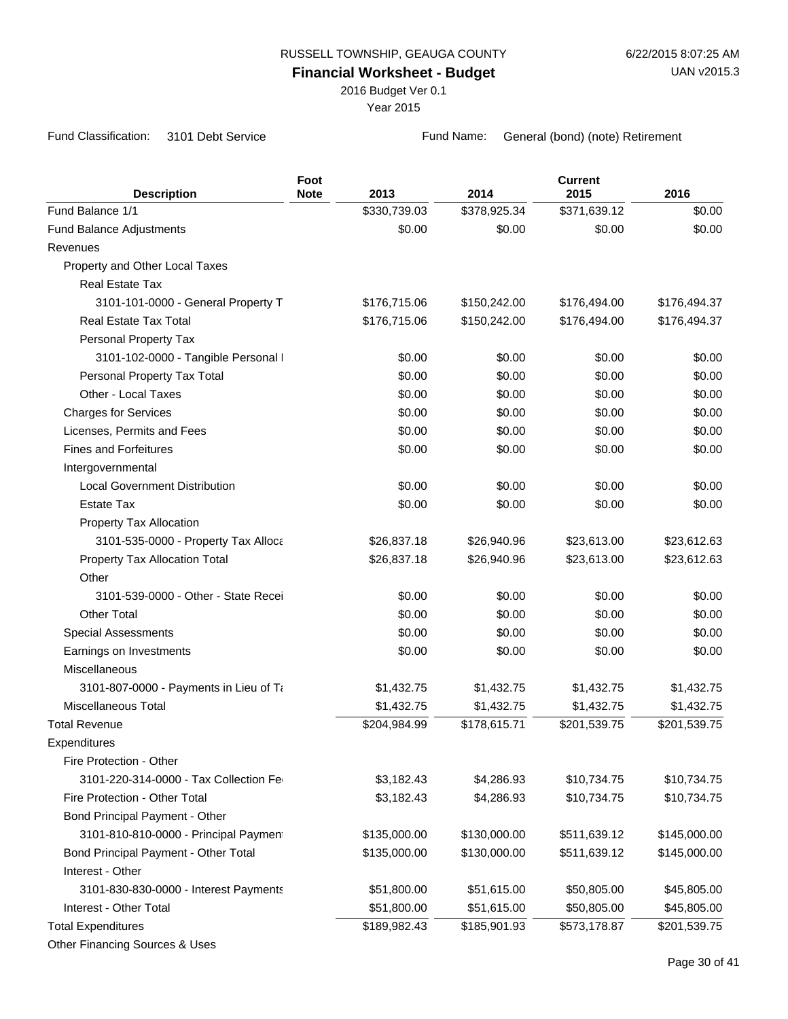2016 Budget Ver 0.1

Year 2015

Fund Classification: 3101 Debt Service Fund Name: General (bond) (note) Retirement

|                                        | Foot        |              |              | <b>Current</b> |              |
|----------------------------------------|-------------|--------------|--------------|----------------|--------------|
| <b>Description</b>                     | <b>Note</b> | 2013         | 2014         | 2015           | 2016         |
| Fund Balance 1/1                       |             | \$330,739.03 | \$378,925.34 | \$371,639.12   | \$0.00       |
| Fund Balance Adjustments               |             | \$0.00       | \$0.00       | \$0.00         | \$0.00       |
| Revenues                               |             |              |              |                |              |
| Property and Other Local Taxes         |             |              |              |                |              |
| <b>Real Estate Tax</b>                 |             |              |              |                |              |
| 3101-101-0000 - General Property T     |             | \$176,715.06 | \$150,242.00 | \$176,494.00   | \$176,494.37 |
| Real Estate Tax Total                  |             | \$176,715.06 | \$150,242.00 | \$176,494.00   | \$176,494.37 |
| Personal Property Tax                  |             |              |              |                |              |
| 3101-102-0000 - Tangible Personal I    |             | \$0.00       | \$0.00       | \$0.00         | \$0.00       |
| Personal Property Tax Total            |             | \$0.00       | \$0.00       | \$0.00         | \$0.00       |
| Other - Local Taxes                    |             | \$0.00       | \$0.00       | \$0.00         | \$0.00       |
| <b>Charges for Services</b>            |             | \$0.00       | \$0.00       | \$0.00         | \$0.00       |
| Licenses, Permits and Fees             |             | \$0.00       | \$0.00       | \$0.00         | \$0.00       |
| <b>Fines and Forfeitures</b>           |             | \$0.00       | \$0.00       | \$0.00         | \$0.00       |
| Intergovernmental                      |             |              |              |                |              |
| <b>Local Government Distribution</b>   |             | \$0.00       | \$0.00       | \$0.00         | \$0.00       |
| <b>Estate Tax</b>                      |             | \$0.00       | \$0.00       | \$0.00         | \$0.00       |
| Property Tax Allocation                |             |              |              |                |              |
| 3101-535-0000 - Property Tax Alloca    |             | \$26,837.18  | \$26,940.96  | \$23,613.00    | \$23,612.63  |
| Property Tax Allocation Total          |             | \$26,837.18  | \$26,940.96  | \$23,613.00    | \$23,612.63  |
| Other                                  |             |              |              |                |              |
| 3101-539-0000 - Other - State Recei    |             | \$0.00       | \$0.00       | \$0.00         | \$0.00       |
| <b>Other Total</b>                     |             | \$0.00       | \$0.00       | \$0.00         | \$0.00       |
| <b>Special Assessments</b>             |             | \$0.00       | \$0.00       | \$0.00         | \$0.00       |
| Earnings on Investments                |             | \$0.00       | \$0.00       | \$0.00         | \$0.00       |
| Miscellaneous                          |             |              |              |                |              |
| 3101-807-0000 - Payments in Lieu of Ta |             | \$1,432.75   | \$1,432.75   | \$1,432.75     | \$1,432.75   |
| Miscellaneous Total                    |             | \$1,432.75   | \$1,432.75   | \$1,432.75     | \$1,432.75   |
| <b>Total Revenue</b>                   |             | \$204,984.99 | \$178,615.71 | \$201,539.75   | \$201,539.75 |
| Expenditures                           |             |              |              |                |              |
| Fire Protection - Other                |             |              |              |                |              |
| 3101-220-314-0000 - Tax Collection Fe  |             | \$3,182.43   | \$4,286.93   | \$10,734.75    | \$10,734.75  |
| Fire Protection - Other Total          |             | \$3,182.43   | \$4,286.93   | \$10,734.75    | \$10,734.75  |
| Bond Principal Payment - Other         |             |              |              |                |              |
| 3101-810-810-0000 - Principal Payment  |             | \$135,000.00 | \$130,000.00 | \$511,639.12   | \$145,000.00 |
| Bond Principal Payment - Other Total   |             | \$135,000.00 | \$130,000.00 | \$511,639.12   | \$145,000.00 |
| Interest - Other                       |             |              |              |                |              |
| 3101-830-830-0000 - Interest Payments  |             | \$51,800.00  | \$51,615.00  | \$50,805.00    | \$45,805.00  |
| Interest - Other Total                 |             | \$51,800.00  | \$51,615.00  | \$50,805.00    | \$45,805.00  |
| <b>Total Expenditures</b>              |             | \$189,982.43 | \$185,901.93 | \$573,178.87   | \$201,539.75 |
| Other Financing Sources & Uses         |             |              |              |                |              |
|                                        |             |              |              |                |              |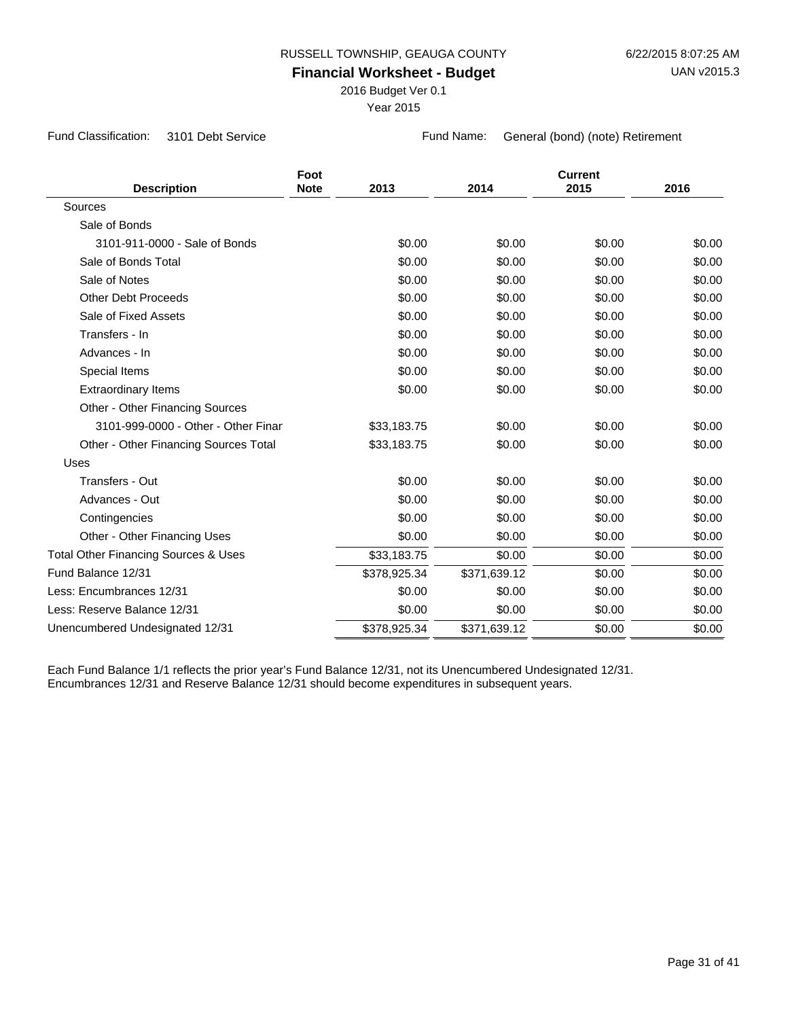2016 Budget Ver 0.1

Year 2015

Fund Classification: 3101 Debt Service Fund Name: General (bond) (note) Retirement

| <b>Description</b>                              | Foot<br><b>Note</b> | 2013         | 2014         | <b>Current</b><br>2015 | 2016   |
|-------------------------------------------------|---------------------|--------------|--------------|------------------------|--------|
| Sources                                         |                     |              |              |                        |        |
| Sale of Bonds                                   |                     |              |              |                        |        |
| 3101-911-0000 - Sale of Bonds                   |                     | \$0.00       | \$0.00       | \$0.00                 | \$0.00 |
| Sale of Bonds Total                             |                     | \$0.00       | \$0.00       | \$0.00                 | \$0.00 |
| Sale of Notes                                   |                     | \$0.00       | \$0.00       | \$0.00                 | \$0.00 |
| <b>Other Debt Proceeds</b>                      |                     | \$0.00       | \$0.00       | \$0.00                 | \$0.00 |
| Sale of Fixed Assets                            |                     | \$0.00       | \$0.00       | \$0.00                 | \$0.00 |
| Transfers - In                                  |                     | \$0.00       | \$0.00       | \$0.00                 | \$0.00 |
| Advances - In                                   |                     | \$0.00       | \$0.00       | \$0.00                 | \$0.00 |
| Special Items                                   |                     | \$0.00       | \$0.00       | \$0.00                 | \$0.00 |
| <b>Extraordinary Items</b>                      |                     | \$0.00       | \$0.00       | \$0.00                 | \$0.00 |
| Other - Other Financing Sources                 |                     |              |              |                        |        |
| 3101-999-0000 - Other - Other Finar             |                     | \$33,183.75  | \$0.00       | \$0.00                 | \$0.00 |
| Other - Other Financing Sources Total           |                     | \$33,183.75  | \$0.00       | \$0.00                 | \$0.00 |
| Uses                                            |                     |              |              |                        |        |
| Transfers - Out                                 |                     | \$0.00       | \$0.00       | \$0.00                 | \$0.00 |
| Advances - Out                                  |                     | \$0.00       | \$0.00       | \$0.00                 | \$0.00 |
| Contingencies                                   |                     | \$0.00       | \$0.00       | \$0.00                 | \$0.00 |
| Other - Other Financing Uses                    |                     | \$0.00       | \$0.00       | \$0.00                 | \$0.00 |
| <b>Total Other Financing Sources &amp; Uses</b> |                     | \$33,183.75  | \$0.00       | \$0.00                 | \$0.00 |
| Fund Balance 12/31                              |                     | \$378,925.34 | \$371,639.12 | \$0.00                 | \$0.00 |
| Less: Encumbrances 12/31                        |                     | \$0.00       | \$0.00       | \$0.00                 | \$0.00 |
| Less: Reserve Balance 12/31                     |                     | \$0.00       | \$0.00       | \$0.00                 | \$0.00 |
| Unencumbered Undesignated 12/31                 |                     | \$378,925.34 | \$371,639.12 | \$0.00                 | \$0.00 |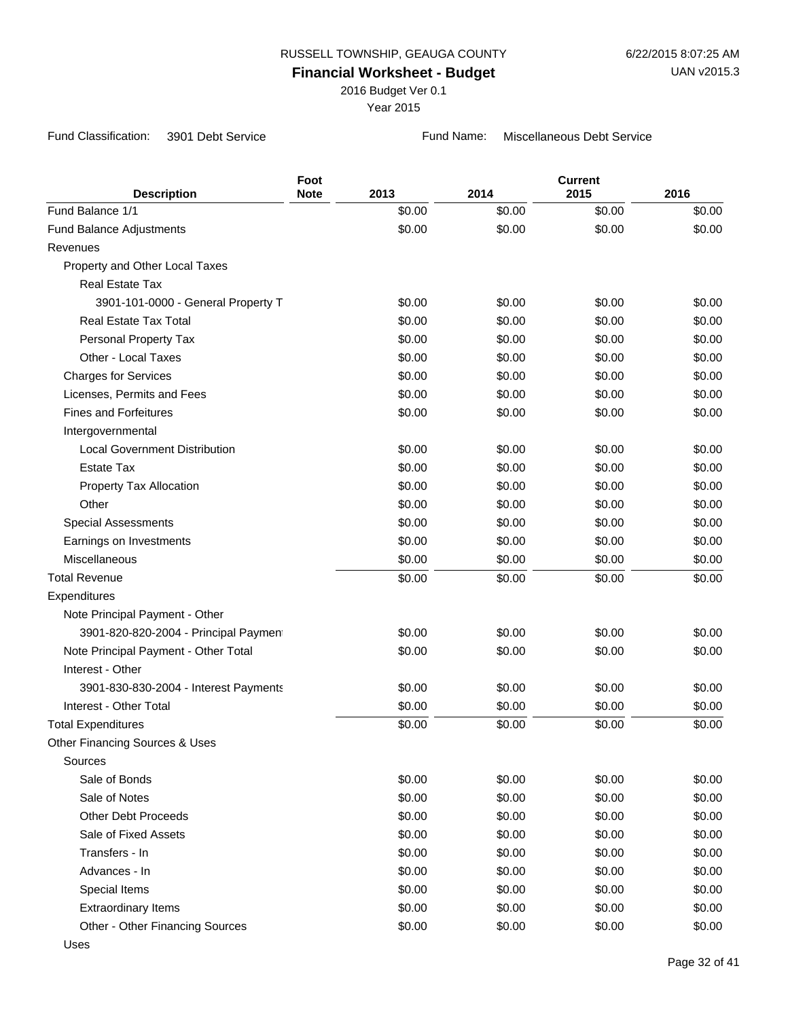2016 Budget Ver 0.1

Year 2015

Fund Classification: 3901 Debt Service Fund Name: Miscellaneous Debt Service

|                                                            | Foot<br><b>Note</b> | 2013             | 2014             | <b>Current</b><br>2015 | 2016             |
|------------------------------------------------------------|---------------------|------------------|------------------|------------------------|------------------|
| <b>Description</b><br>Fund Balance 1/1                     |                     | \$0.00           | \$0.00           | \$0.00                 | \$0.00           |
|                                                            |                     | \$0.00           | \$0.00           | \$0.00                 | \$0.00           |
| Fund Balance Adjustments<br>Revenues                       |                     |                  |                  |                        |                  |
| Property and Other Local Taxes                             |                     |                  |                  |                        |                  |
| <b>Real Estate Tax</b>                                     |                     |                  |                  |                        |                  |
| 3901-101-0000 - General Property T                         |                     | \$0.00           | \$0.00           | \$0.00                 | \$0.00           |
| <b>Real Estate Tax Total</b>                               |                     | \$0.00           | \$0.00           | \$0.00                 | \$0.00           |
| Personal Property Tax                                      |                     | \$0.00           | \$0.00           | \$0.00                 | \$0.00           |
| Other - Local Taxes                                        |                     | \$0.00           | \$0.00           | \$0.00                 | \$0.00           |
|                                                            |                     | \$0.00           |                  | \$0.00                 | \$0.00           |
| <b>Charges for Services</b>                                |                     |                  | \$0.00           |                        |                  |
| Licenses, Permits and Fees<br><b>Fines and Forfeitures</b> |                     | \$0.00<br>\$0.00 | \$0.00<br>\$0.00 | \$0.00<br>\$0.00       | \$0.00<br>\$0.00 |
|                                                            |                     |                  |                  |                        |                  |
| Intergovernmental<br><b>Local Government Distribution</b>  |                     |                  |                  |                        | \$0.00           |
| <b>Estate Tax</b>                                          |                     | \$0.00           | \$0.00           | \$0.00                 |                  |
|                                                            |                     | \$0.00           | \$0.00           | \$0.00                 | \$0.00           |
| Property Tax Allocation<br>Other                           |                     | \$0.00           | \$0.00           | \$0.00                 | \$0.00           |
|                                                            |                     | \$0.00           | \$0.00           | \$0.00                 | \$0.00           |
| <b>Special Assessments</b>                                 |                     | \$0.00           | \$0.00           | \$0.00                 | \$0.00           |
| Earnings on Investments                                    |                     | \$0.00           | \$0.00           | \$0.00                 | \$0.00           |
| Miscellaneous                                              |                     | \$0.00           | \$0.00           | \$0.00                 | \$0.00           |
| <b>Total Revenue</b>                                       |                     | \$0.00           | \$0.00           | \$0.00                 | \$0.00           |
| Expenditures                                               |                     |                  |                  |                        |                  |
| Note Principal Payment - Other                             |                     |                  |                  |                        |                  |
| 3901-820-820-2004 - Principal Payment                      |                     | \$0.00           | \$0.00           | \$0.00                 | \$0.00           |
| Note Principal Payment - Other Total                       |                     | \$0.00           | \$0.00           | \$0.00                 | \$0.00           |
| Interest - Other                                           |                     |                  |                  |                        |                  |
| 3901-830-830-2004 - Interest Payments                      |                     | \$0.00           | \$0.00           | \$0.00                 | \$0.00           |
| Interest - Other Total                                     |                     | \$0.00           | \$0.00           | \$0.00                 | \$0.00           |
| <b>Total Expenditures</b>                                  |                     | \$0.00           | \$0.00           | \$0.00                 | \$0.00           |
| Other Financing Sources & Uses                             |                     |                  |                  |                        |                  |
| Sources                                                    |                     |                  |                  |                        |                  |
| Sale of Bonds                                              |                     | \$0.00           | \$0.00           | \$0.00                 | \$0.00           |
| Sale of Notes                                              |                     | \$0.00           | \$0.00           | \$0.00                 | \$0.00           |
| <b>Other Debt Proceeds</b>                                 |                     | \$0.00           | \$0.00           | \$0.00                 | \$0.00           |
| Sale of Fixed Assets                                       |                     | \$0.00           | \$0.00           | \$0.00                 | \$0.00           |
| Transfers - In                                             |                     | \$0.00           | \$0.00           | \$0.00                 | \$0.00           |
| Advances - In                                              |                     | \$0.00           | \$0.00           | \$0.00                 | \$0.00           |
| Special Items                                              |                     | \$0.00           | \$0.00           | \$0.00                 | \$0.00           |
| <b>Extraordinary Items</b>                                 |                     | \$0.00           | \$0.00           | \$0.00                 | \$0.00           |
| Other - Other Financing Sources                            |                     | \$0.00           | \$0.00           | \$0.00                 | \$0.00           |
| Uses                                                       |                     |                  |                  |                        |                  |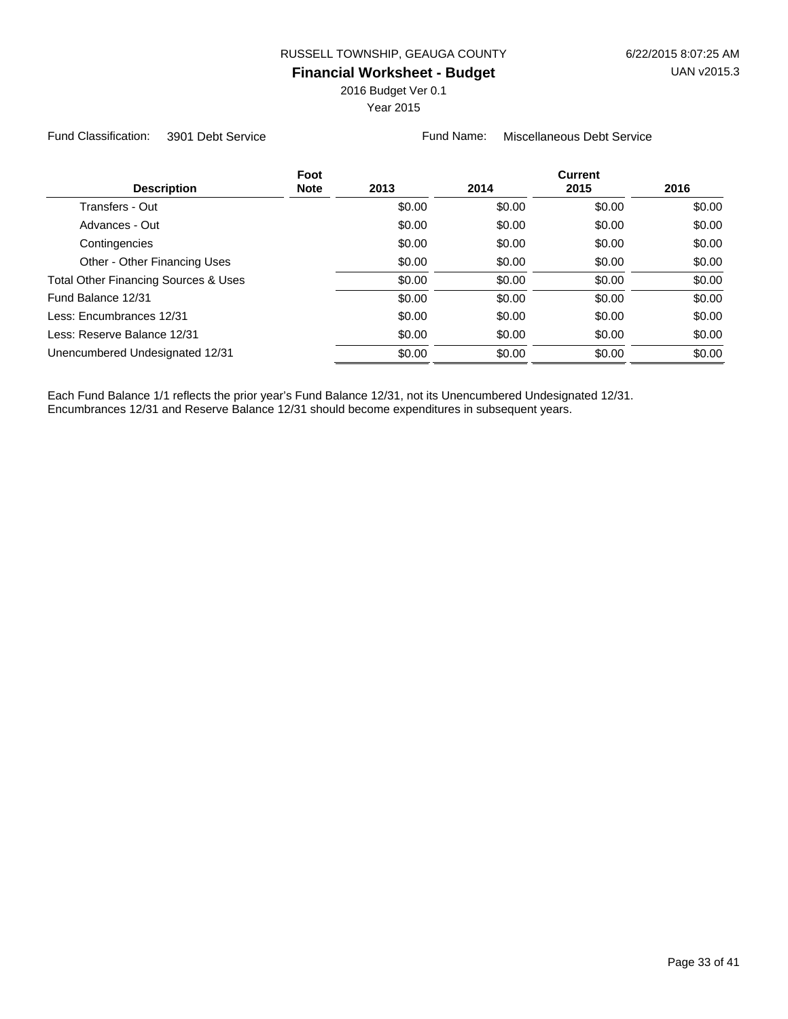2016 Budget Ver 0.1

Year 2015

Fund Classification: 3901 Debt Service Fund Name: Miscellaneous Debt Service

| Foot<br><b>Description</b><br><b>Note</b> | 2013   | 2014   | <b>Current</b><br>2015 | 2016   |
|-------------------------------------------|--------|--------|------------------------|--------|
| Transfers - Out                           | \$0.00 | \$0.00 | \$0.00                 | \$0.00 |
| Advances - Out                            | \$0.00 | \$0.00 | \$0.00                 | \$0.00 |
| Contingencies                             | \$0.00 | \$0.00 | \$0.00                 | \$0.00 |
| Other - Other Financing Uses              | \$0.00 | \$0.00 | \$0.00                 | \$0.00 |
| Total Other Financing Sources & Uses      | \$0.00 | \$0.00 | \$0.00                 | \$0.00 |
| Fund Balance 12/31                        | \$0.00 | \$0.00 | \$0.00                 | \$0.00 |
| Less: Encumbrances 12/31                  | \$0.00 | \$0.00 | \$0.00                 | \$0.00 |
| Less: Reserve Balance 12/31               | \$0.00 | \$0.00 | \$0.00                 | \$0.00 |
| Unencumbered Undesignated 12/31           | \$0.00 | \$0.00 | \$0.00                 | \$0.00 |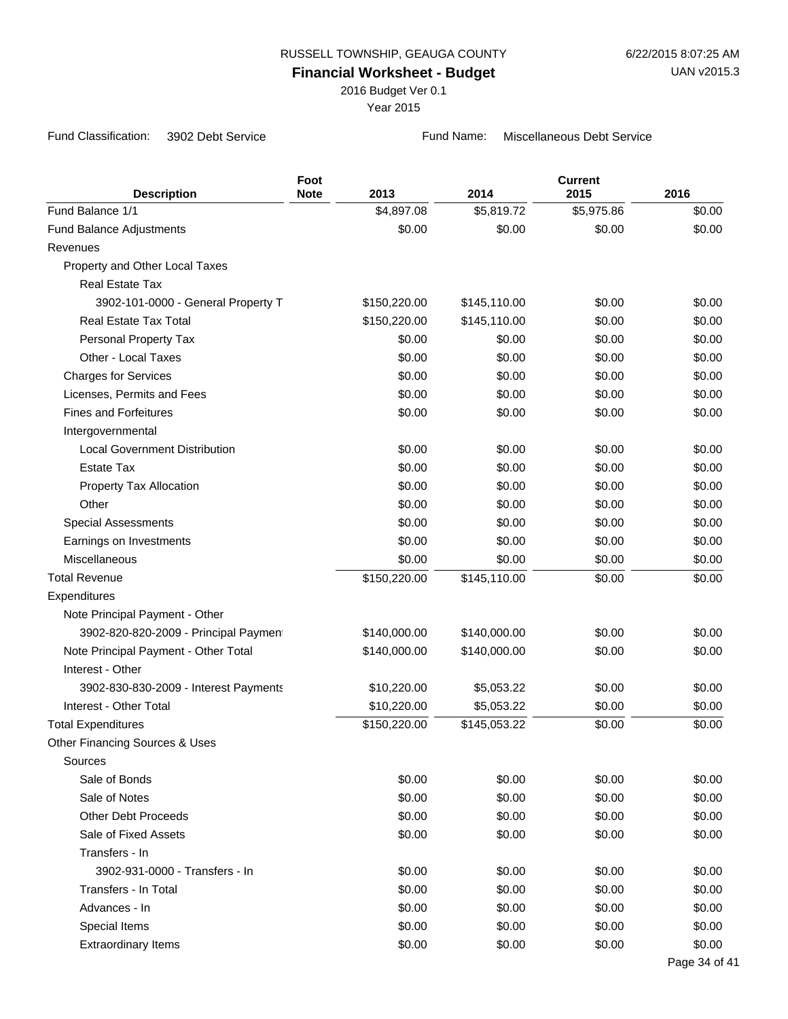2016 Budget Ver 0.1

Year 2015

Fund Classification: 3902 Debt Service Fund Name: Miscellaneous Debt Service

| <b>Description</b>                    | Foot<br><b>Note</b> | 2013         | 2014         | <b>Current</b><br>2015 | 2016          |
|---------------------------------------|---------------------|--------------|--------------|------------------------|---------------|
| Fund Balance 1/1                      |                     | \$4,897.08   | \$5,819.72   | \$5,975.86             | \$0.00        |
| Fund Balance Adjustments              |                     | \$0.00       | \$0.00       | \$0.00                 | \$0.00        |
| Revenues                              |                     |              |              |                        |               |
| Property and Other Local Taxes        |                     |              |              |                        |               |
| <b>Real Estate Tax</b>                |                     |              |              |                        |               |
| 3902-101-0000 - General Property T    |                     | \$150,220.00 | \$145,110.00 | \$0.00                 | \$0.00        |
| Real Estate Tax Total                 |                     | \$150,220.00 | \$145,110.00 | \$0.00                 | \$0.00        |
| Personal Property Tax                 |                     | \$0.00       | \$0.00       | \$0.00                 | \$0.00        |
| Other - Local Taxes                   |                     | \$0.00       | \$0.00       | \$0.00                 | \$0.00        |
| <b>Charges for Services</b>           |                     | \$0.00       | \$0.00       | \$0.00                 | \$0.00        |
| Licenses, Permits and Fees            |                     | \$0.00       | \$0.00       | \$0.00                 | \$0.00        |
| <b>Fines and Forfeitures</b>          |                     | \$0.00       | \$0.00       | \$0.00                 | \$0.00        |
| Intergovernmental                     |                     |              |              |                        |               |
| <b>Local Government Distribution</b>  |                     | \$0.00       | \$0.00       | \$0.00                 | \$0.00        |
| Estate Tax                            |                     | \$0.00       | \$0.00       | \$0.00                 | \$0.00        |
| Property Tax Allocation               |                     | \$0.00       | \$0.00       | \$0.00                 | \$0.00        |
| Other                                 |                     | \$0.00       | \$0.00       | \$0.00                 | \$0.00        |
| <b>Special Assessments</b>            |                     | \$0.00       | \$0.00       | \$0.00                 | \$0.00        |
| Earnings on Investments               |                     | \$0.00       | \$0.00       | \$0.00                 | \$0.00        |
| Miscellaneous                         |                     | \$0.00       | \$0.00       | \$0.00                 | \$0.00        |
| <b>Total Revenue</b>                  |                     | \$150,220.00 | \$145,110.00 | \$0.00                 | \$0.00        |
| Expenditures                          |                     |              |              |                        |               |
| Note Principal Payment - Other        |                     |              |              |                        |               |
| 3902-820-820-2009 - Principal Payment |                     | \$140,000.00 | \$140,000.00 | \$0.00                 | \$0.00        |
| Note Principal Payment - Other Total  |                     | \$140,000.00 | \$140,000.00 | \$0.00                 | \$0.00        |
| Interest - Other                      |                     |              |              |                        |               |
| 3902-830-830-2009 - Interest Payments |                     | \$10,220.00  | \$5,053.22   | \$0.00                 | \$0.00        |
| Interest - Other Total                |                     | \$10,220.00  | \$5,053.22   | \$0.00                 | \$0.00        |
| <b>Total Expenditures</b>             |                     | \$150,220.00 | \$145,053.22 | \$0.00                 | \$0.00        |
| Other Financing Sources & Uses        |                     |              |              |                        |               |
| Sources                               |                     |              |              |                        |               |
| Sale of Bonds                         |                     | \$0.00       | \$0.00       | \$0.00                 | \$0.00        |
| Sale of Notes                         |                     | \$0.00       | \$0.00       | \$0.00                 | \$0.00        |
| <b>Other Debt Proceeds</b>            |                     | \$0.00       | \$0.00       | \$0.00                 | \$0.00        |
| Sale of Fixed Assets                  |                     | \$0.00       | \$0.00       | \$0.00                 | \$0.00        |
| Transfers - In                        |                     |              |              |                        |               |
| 3902-931-0000 - Transfers - In        |                     | \$0.00       | \$0.00       | \$0.00                 | \$0.00        |
| Transfers - In Total                  |                     | \$0.00       | \$0.00       | \$0.00                 | \$0.00        |
| Advances - In                         |                     | \$0.00       | \$0.00       | \$0.00                 | \$0.00        |
| Special Items                         |                     | \$0.00       | \$0.00       | \$0.00                 | \$0.00        |
| <b>Extraordinary Items</b>            |                     | \$0.00       | \$0.00       | \$0.00                 | \$0.00        |
|                                       |                     |              |              |                        | Page 34 of 41 |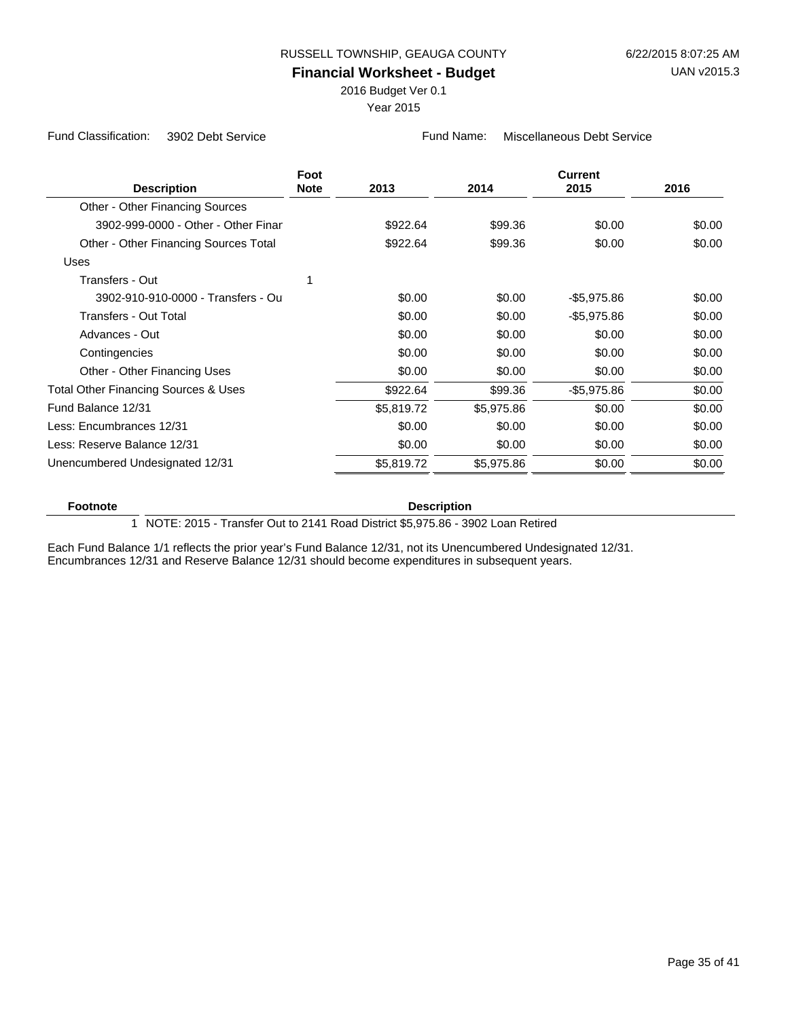## **Financial Worksheet - Budget**

2016 Budget Ver 0.1

Year 2015

Fund Classification: 3902 Debt Service Fund Name: Miscellaneous Debt Service

| <b>Description</b>                              | Foot<br><b>Note</b> | 2013       | 2014       | <b>Current</b><br>2015 | 2016   |
|-------------------------------------------------|---------------------|------------|------------|------------------------|--------|
| Other - Other Financing Sources                 |                     |            |            |                        |        |
| 3902-999-0000 - Other - Other Finar             |                     | \$922.64   | \$99.36    | \$0.00                 | \$0.00 |
| Other - Other Financing Sources Total           |                     | \$922.64   | \$99.36    | \$0.00                 | \$0.00 |
| Uses                                            |                     |            |            |                        |        |
| Transfers - Out                                 |                     |            |            |                        |        |
| 3902-910-910-0000 - Transfers - Ou              |                     | \$0.00     | \$0.00     | $-$5,975.86$           | \$0.00 |
| Transfers - Out Total                           |                     | \$0.00     | \$0.00     | $-$5,975.86$           | \$0.00 |
| Advances - Out                                  |                     | \$0.00     | \$0.00     | \$0.00                 | \$0.00 |
| Contingencies                                   |                     | \$0.00     | \$0.00     | \$0.00                 | \$0.00 |
| Other - Other Financing Uses                    |                     | \$0.00     | \$0.00     | \$0.00                 | \$0.00 |
| <b>Total Other Financing Sources &amp; Uses</b> |                     | \$922.64   | \$99.36    | $-$5,975.86$           | \$0.00 |
| Fund Balance 12/31                              |                     | \$5,819.72 | \$5,975.86 | \$0.00                 | \$0.00 |
| Less: Encumbrances 12/31                        |                     | \$0.00     | \$0.00     | \$0.00                 | \$0.00 |
| Less: Reserve Balance 12/31                     |                     | \$0.00     | \$0.00     | \$0.00                 | \$0.00 |
| Unencumbered Undesignated 12/31                 |                     | \$5,819.72 | \$5,975.86 | \$0.00                 | \$0.00 |

# **Footnote Description**

1 NOTE: 2015 - Transfer Out to 2141 Road District \$5,975.86 - 3902 Loan Retired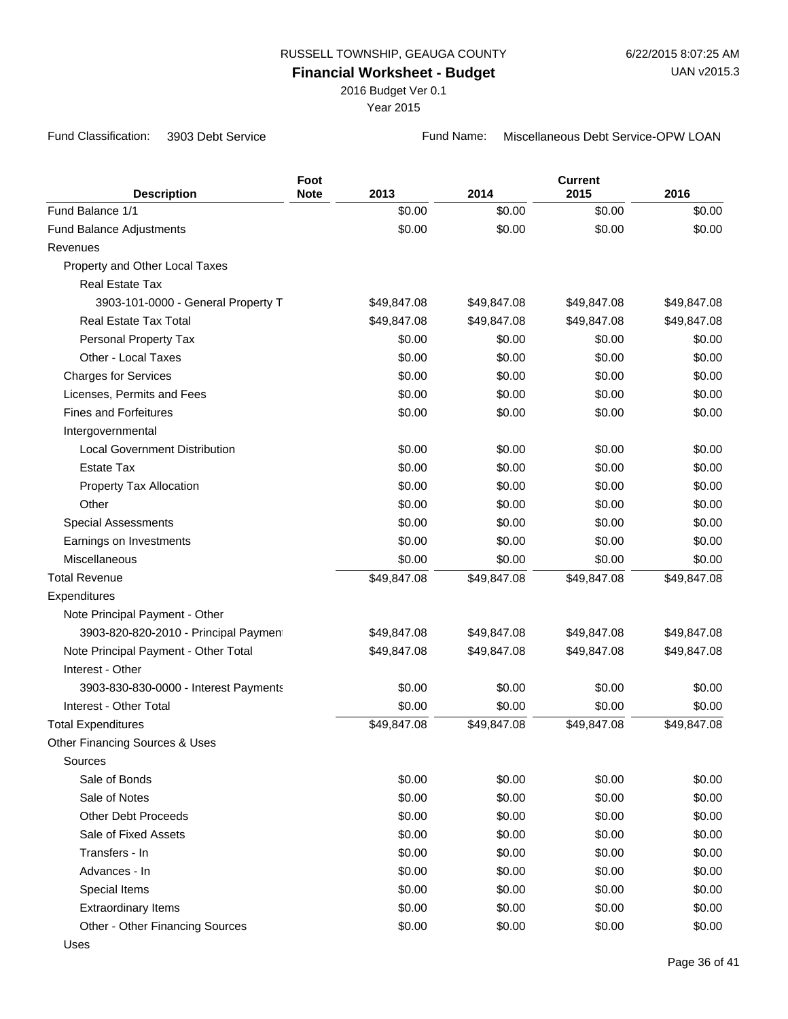2016 Budget Ver 0.1

Year 2015

Fund Classification: 3903 Debt Service Fund Name: Miscellaneous Debt Service-OPW LOAN

| <b>Description</b>                    | Foot<br><b>Note</b> | 2013        | 2014        | <b>Current</b><br>2015 | 2016        |
|---------------------------------------|---------------------|-------------|-------------|------------------------|-------------|
| Fund Balance 1/1                      |                     | \$0.00      | \$0.00      | \$0.00                 | \$0.00      |
| <b>Fund Balance Adjustments</b>       |                     | \$0.00      | \$0.00      | \$0.00                 | \$0.00      |
| Revenues                              |                     |             |             |                        |             |
| Property and Other Local Taxes        |                     |             |             |                        |             |
| <b>Real Estate Tax</b>                |                     |             |             |                        |             |
| 3903-101-0000 - General Property T    |                     | \$49,847.08 | \$49,847.08 | \$49,847.08            | \$49,847.08 |
| <b>Real Estate Tax Total</b>          |                     | \$49,847.08 | \$49,847.08 | \$49,847.08            | \$49,847.08 |
| Personal Property Tax                 |                     | \$0.00      | \$0.00      | \$0.00                 | \$0.00      |
| Other - Local Taxes                   |                     | \$0.00      | \$0.00      | \$0.00                 | \$0.00      |
| <b>Charges for Services</b>           |                     | \$0.00      | \$0.00      | \$0.00                 | \$0.00      |
| Licenses, Permits and Fees            |                     | \$0.00      | \$0.00      | \$0.00                 | \$0.00      |
| <b>Fines and Forfeitures</b>          |                     | \$0.00      | \$0.00      | \$0.00                 | \$0.00      |
| Intergovernmental                     |                     |             |             |                        |             |
| <b>Local Government Distribution</b>  |                     | \$0.00      | \$0.00      | \$0.00                 | \$0.00      |
| <b>Estate Tax</b>                     |                     | \$0.00      | \$0.00      | \$0.00                 | \$0.00      |
| Property Tax Allocation               |                     | \$0.00      | \$0.00      | \$0.00                 | \$0.00      |
| Other                                 |                     | \$0.00      | \$0.00      | \$0.00                 | \$0.00      |
| <b>Special Assessments</b>            |                     | \$0.00      | \$0.00      | \$0.00                 | \$0.00      |
| Earnings on Investments               |                     | \$0.00      | \$0.00      | \$0.00                 | \$0.00      |
| Miscellaneous                         |                     | \$0.00      | \$0.00      | \$0.00                 | \$0.00      |
| <b>Total Revenue</b>                  |                     | \$49,847.08 | \$49,847.08 | \$49,847.08            | \$49,847.08 |
| Expenditures                          |                     |             |             |                        |             |
| Note Principal Payment - Other        |                     |             |             |                        |             |
| 3903-820-820-2010 - Principal Payment |                     | \$49,847.08 | \$49,847.08 | \$49,847.08            | \$49,847.08 |
| Note Principal Payment - Other Total  |                     | \$49,847.08 | \$49,847.08 | \$49,847.08            | \$49,847.08 |
| Interest - Other                      |                     |             |             |                        |             |
| 3903-830-830-0000 - Interest Payments |                     | \$0.00      | \$0.00      | \$0.00                 | \$0.00      |
| Interest - Other Total                |                     | \$0.00      | \$0.00      | \$0.00                 | \$0.00      |
| <b>Total Expenditures</b>             |                     | \$49,847.08 | \$49,847.08 | \$49,847.08            | \$49,847.08 |
| Other Financing Sources & Uses        |                     |             |             |                        |             |
| Sources                               |                     |             |             |                        |             |
| Sale of Bonds                         |                     | \$0.00      | \$0.00      | \$0.00                 | \$0.00      |
| Sale of Notes                         |                     | \$0.00      | \$0.00      | \$0.00                 | \$0.00      |
| <b>Other Debt Proceeds</b>            |                     | \$0.00      | \$0.00      | \$0.00                 | \$0.00      |
| Sale of Fixed Assets                  |                     | \$0.00      | \$0.00      | \$0.00                 | \$0.00      |
| Transfers - In                        |                     | \$0.00      | \$0.00      | \$0.00                 | \$0.00      |
| Advances - In                         |                     | \$0.00      | \$0.00      | \$0.00                 | \$0.00      |
| Special Items                         |                     | \$0.00      | \$0.00      | \$0.00                 | \$0.00      |
| <b>Extraordinary Items</b>            |                     | \$0.00      | \$0.00      | \$0.00                 | \$0.00      |
| Other - Other Financing Sources       |                     | \$0.00      | \$0.00      | \$0.00                 | \$0.00      |
| <b>Uses</b>                           |                     |             |             |                        |             |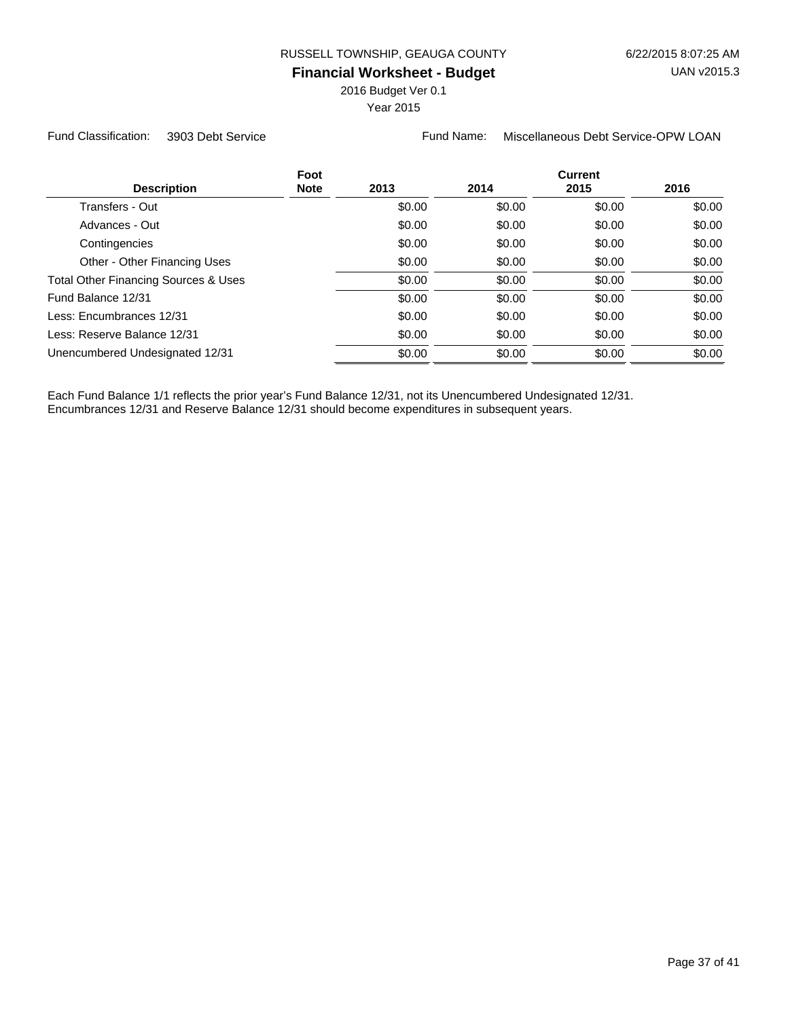2016 Budget Ver 0.1

Year 2015

Fund Classification: 3903 Debt Service Fund Name: Miscellaneous Debt Service-OPW LOAN

| Foot<br><b>Description</b><br><b>Note</b> | 2013   | 2014   | <b>Current</b><br>2015 | 2016   |
|-------------------------------------------|--------|--------|------------------------|--------|
| Transfers - Out                           | \$0.00 | \$0.00 | \$0.00                 | \$0.00 |
| Advances - Out                            | \$0.00 | \$0.00 | \$0.00                 | \$0.00 |
| Contingencies                             | \$0.00 | \$0.00 | \$0.00                 | \$0.00 |
| Other - Other Financing Uses              | \$0.00 | \$0.00 | \$0.00                 | \$0.00 |
| Total Other Financing Sources & Uses      | \$0.00 | \$0.00 | \$0.00                 | \$0.00 |
| Fund Balance 12/31                        | \$0.00 | \$0.00 | \$0.00                 | \$0.00 |
| Less: Encumbrances 12/31                  | \$0.00 | \$0.00 | \$0.00                 | \$0.00 |
| Less: Reserve Balance 12/31               | \$0.00 | \$0.00 | \$0.00                 | \$0.00 |
| Unencumbered Undesignated 12/31           | \$0.00 | \$0.00 | \$0.00                 | \$0.00 |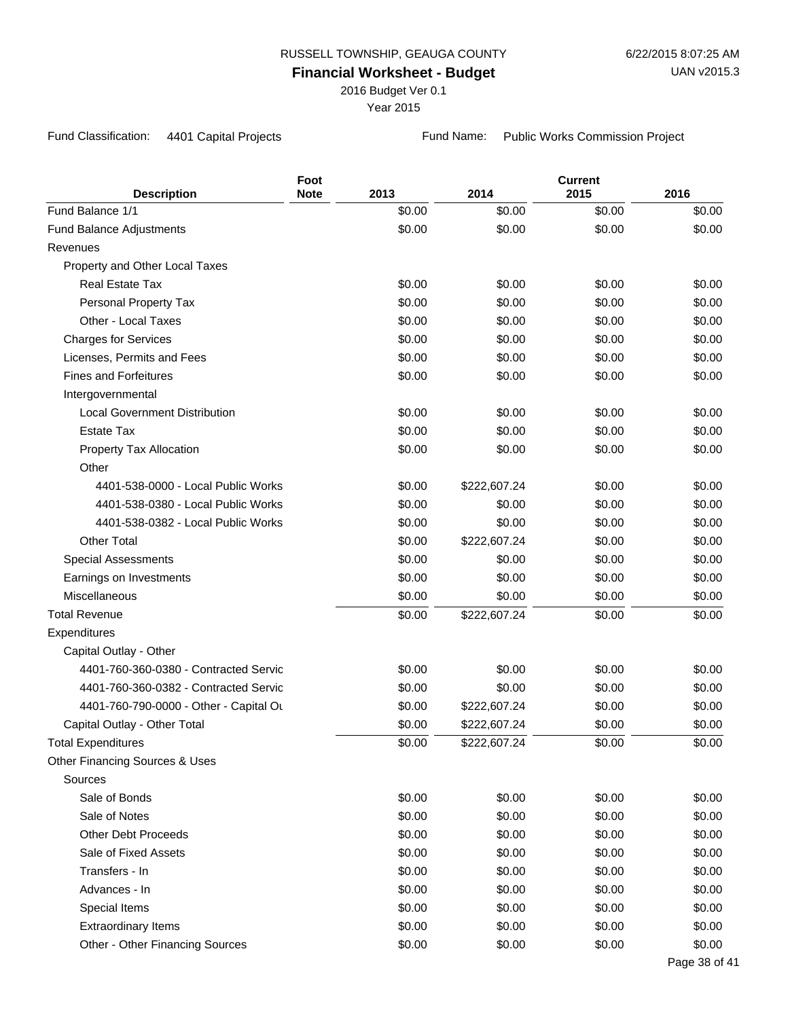2016 Budget Ver 0.1

Year 2015

Fund Classification: 4401 Capital Projects Fund Name: Public Works Commission Project

| <b>Description</b>                     | Foot<br><b>Note</b> | 2013   | 2014         | <b>Current</b><br>2015 | 2016          |
|----------------------------------------|---------------------|--------|--------------|------------------------|---------------|
| Fund Balance 1/1                       |                     | \$0.00 | \$0.00       | \$0.00                 | \$0.00        |
| <b>Fund Balance Adjustments</b>        |                     | \$0.00 | \$0.00       | \$0.00                 | \$0.00        |
| Revenues                               |                     |        |              |                        |               |
| Property and Other Local Taxes         |                     |        |              |                        |               |
| <b>Real Estate Tax</b>                 |                     | \$0.00 | \$0.00       | \$0.00                 | \$0.00        |
| Personal Property Tax                  |                     | \$0.00 | \$0.00       | \$0.00                 | \$0.00        |
| Other - Local Taxes                    |                     | \$0.00 | \$0.00       | \$0.00                 | \$0.00        |
| <b>Charges for Services</b>            |                     | \$0.00 | \$0.00       | \$0.00                 | \$0.00        |
| Licenses, Permits and Fees             |                     | \$0.00 | \$0.00       | \$0.00                 | \$0.00        |
| <b>Fines and Forfeitures</b>           |                     | \$0.00 | \$0.00       | \$0.00                 | \$0.00        |
| Intergovernmental                      |                     |        |              |                        |               |
| <b>Local Government Distribution</b>   |                     | \$0.00 | \$0.00       | \$0.00                 | \$0.00        |
| <b>Estate Tax</b>                      |                     | \$0.00 | \$0.00       | \$0.00                 | \$0.00        |
| Property Tax Allocation                |                     | \$0.00 | \$0.00       | \$0.00                 | \$0.00        |
| Other                                  |                     |        |              |                        |               |
| 4401-538-0000 - Local Public Works     |                     | \$0.00 | \$222,607.24 | \$0.00                 | \$0.00        |
| 4401-538-0380 - Local Public Works     |                     | \$0.00 | \$0.00       | \$0.00                 | \$0.00        |
| 4401-538-0382 - Local Public Works     |                     | \$0.00 | \$0.00       | \$0.00                 | \$0.00        |
| <b>Other Total</b>                     |                     | \$0.00 | \$222,607.24 | \$0.00                 | \$0.00        |
| <b>Special Assessments</b>             |                     | \$0.00 | \$0.00       | \$0.00                 | \$0.00        |
| Earnings on Investments                |                     | \$0.00 | \$0.00       | \$0.00                 | \$0.00        |
| Miscellaneous                          |                     | \$0.00 | \$0.00       | \$0.00                 | \$0.00        |
| <b>Total Revenue</b>                   |                     | \$0.00 | \$222,607.24 | \$0.00                 | \$0.00        |
| Expenditures                           |                     |        |              |                        |               |
| Capital Outlay - Other                 |                     |        |              |                        |               |
| 4401-760-360-0380 - Contracted Servic  |                     | \$0.00 | \$0.00       | \$0.00                 | \$0.00        |
| 4401-760-360-0382 - Contracted Servic  |                     | \$0.00 | \$0.00       | \$0.00                 | \$0.00        |
| 4401-760-790-0000 - Other - Capital Ou |                     | \$0.00 | \$222,607.24 | \$0.00                 | \$0.00        |
| Capital Outlay - Other Total           |                     | \$0.00 | \$222,607.24 | \$0.00                 | \$0.00        |
| <b>Total Expenditures</b>              |                     | \$0.00 | \$222,607.24 | \$0.00                 | \$0.00        |
| Other Financing Sources & Uses         |                     |        |              |                        |               |
| Sources                                |                     |        |              |                        |               |
| Sale of Bonds                          |                     | \$0.00 | \$0.00       | \$0.00                 | \$0.00        |
| Sale of Notes                          |                     | \$0.00 | \$0.00       | \$0.00                 | \$0.00        |
| <b>Other Debt Proceeds</b>             |                     | \$0.00 | \$0.00       | \$0.00                 | \$0.00        |
| Sale of Fixed Assets                   |                     | \$0.00 | \$0.00       | \$0.00                 | \$0.00        |
| Transfers - In                         |                     | \$0.00 | \$0.00       | \$0.00                 | \$0.00        |
| Advances - In                          |                     | \$0.00 | \$0.00       | \$0.00                 | \$0.00        |
| Special Items                          |                     | \$0.00 | \$0.00       | \$0.00                 | \$0.00        |
| <b>Extraordinary Items</b>             |                     | \$0.00 | \$0.00       | \$0.00                 | \$0.00        |
| Other - Other Financing Sources        |                     | \$0.00 | \$0.00       | \$0.00                 | \$0.00        |
|                                        |                     |        |              |                        | Page 38 of 41 |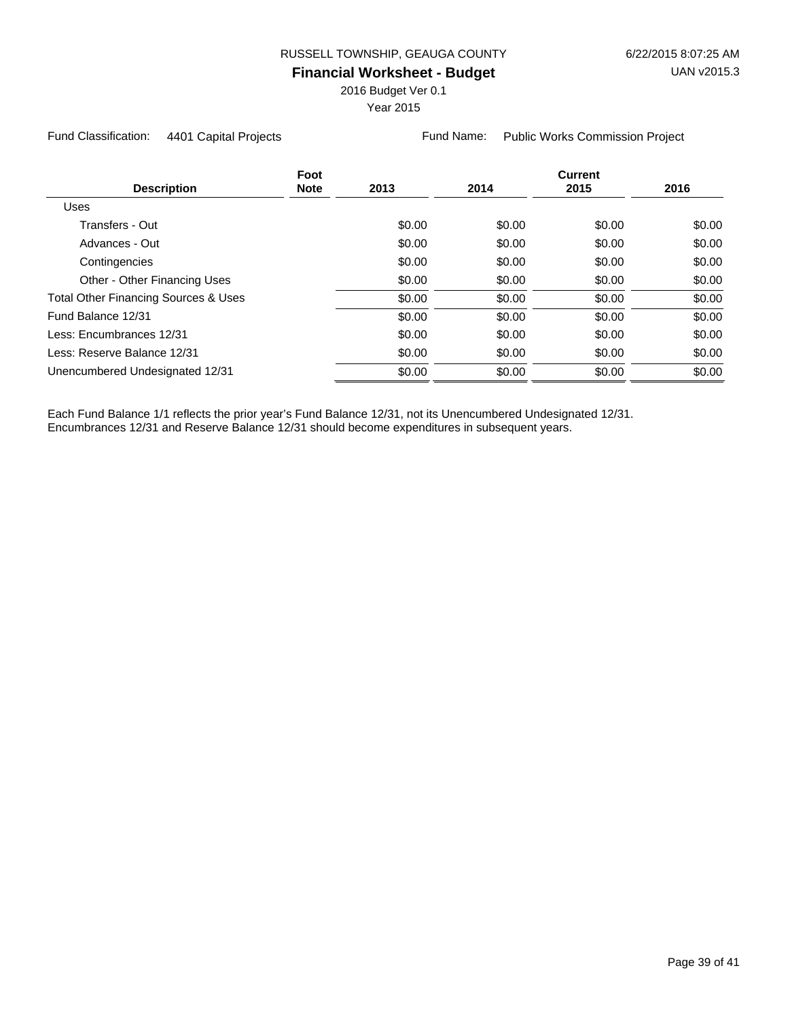2016 Budget Ver 0.1

Year 2015

Fund Classification: 4401 Capital Projects Fund Name: Public Works Commission Project

| <b>Description</b>                              | Foot<br><b>Note</b> | 2013   | 2014   | <b>Current</b><br>2015 | 2016   |
|-------------------------------------------------|---------------------|--------|--------|------------------------|--------|
| <b>Uses</b>                                     |                     |        |        |                        |        |
| Transfers - Out                                 |                     | \$0.00 | \$0.00 | \$0.00                 | \$0.00 |
| Advances - Out                                  |                     | \$0.00 | \$0.00 | \$0.00                 | \$0.00 |
| Contingencies                                   |                     | \$0.00 | \$0.00 | \$0.00                 | \$0.00 |
| Other - Other Financing Uses                    |                     | \$0.00 | \$0.00 | \$0.00                 | \$0.00 |
| <b>Total Other Financing Sources &amp; Uses</b> |                     | \$0.00 | \$0.00 | \$0.00                 | \$0.00 |
| Fund Balance 12/31                              |                     | \$0.00 | \$0.00 | \$0.00                 | \$0.00 |
| Less: Encumbrances 12/31                        |                     | \$0.00 | \$0.00 | \$0.00                 | \$0.00 |
| Less: Reserve Balance 12/31                     |                     | \$0.00 | \$0.00 | \$0.00                 | \$0.00 |
| Unencumbered Undesignated 12/31                 |                     | \$0.00 | \$0.00 | \$0.00                 | \$0.00 |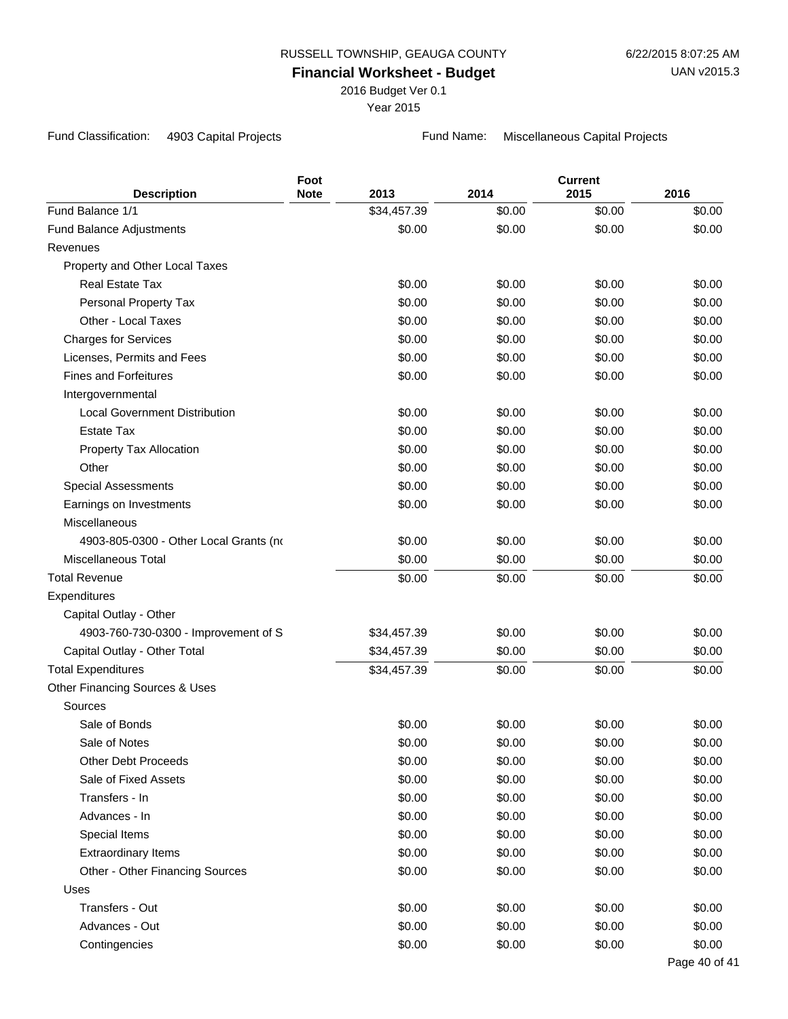2016 Budget Ver 0.1

Year 2015

Fund Classification: 4903 Capital Projects Fund Name: Miscellaneous Capital Projects

| <b>Description</b>                     | Foot<br><b>Note</b> | 2013        | 2014   | <b>Current</b><br>2015 | 2016          |
|----------------------------------------|---------------------|-------------|--------|------------------------|---------------|
| Fund Balance 1/1                       |                     | \$34,457.39 | \$0.00 | \$0.00                 | \$0.00        |
| Fund Balance Adjustments               |                     | \$0.00      | \$0.00 | \$0.00                 | \$0.00        |
| Revenues                               |                     |             |        |                        |               |
| Property and Other Local Taxes         |                     |             |        |                        |               |
| <b>Real Estate Tax</b>                 |                     | \$0.00      | \$0.00 | \$0.00                 | \$0.00        |
| Personal Property Tax                  |                     | \$0.00      | \$0.00 | \$0.00                 | \$0.00        |
| Other - Local Taxes                    |                     | \$0.00      | \$0.00 | \$0.00                 | \$0.00        |
| <b>Charges for Services</b>            |                     | \$0.00      | \$0.00 | \$0.00                 | \$0.00        |
| Licenses, Permits and Fees             |                     | \$0.00      | \$0.00 | \$0.00                 | \$0.00        |
| <b>Fines and Forfeitures</b>           |                     | \$0.00      | \$0.00 | \$0.00                 | \$0.00        |
| Intergovernmental                      |                     |             |        |                        |               |
| <b>Local Government Distribution</b>   |                     | \$0.00      | \$0.00 | \$0.00                 | \$0.00        |
| <b>Estate Tax</b>                      |                     | \$0.00      | \$0.00 | \$0.00                 | \$0.00        |
| Property Tax Allocation                |                     | \$0.00      | \$0.00 | \$0.00                 | \$0.00        |
| Other                                  |                     | \$0.00      | \$0.00 | \$0.00                 | \$0.00        |
| <b>Special Assessments</b>             |                     | \$0.00      | \$0.00 | \$0.00                 | \$0.00        |
| Earnings on Investments                |                     | \$0.00      | \$0.00 | \$0.00                 | \$0.00        |
| Miscellaneous                          |                     |             |        |                        |               |
| 4903-805-0300 - Other Local Grants (no |                     | \$0.00      | \$0.00 | \$0.00                 | \$0.00        |
| <b>Miscellaneous Total</b>             |                     | \$0.00      | \$0.00 | \$0.00                 | \$0.00        |
| <b>Total Revenue</b>                   |                     | \$0.00      | \$0.00 | \$0.00                 | \$0.00        |
| Expenditures                           |                     |             |        |                        |               |
| Capital Outlay - Other                 |                     |             |        |                        |               |
| 4903-760-730-0300 - Improvement of S   |                     | \$34,457.39 | \$0.00 | \$0.00                 | \$0.00        |
| Capital Outlay - Other Total           |                     | \$34,457.39 | \$0.00 | \$0.00                 | \$0.00        |
| <b>Total Expenditures</b>              |                     | \$34,457.39 | \$0.00 | \$0.00                 | \$0.00        |
| Other Financing Sources & Uses         |                     |             |        |                        |               |
| Sources                                |                     |             |        |                        |               |
| Sale of Bonds                          |                     | \$0.00      | \$0.00 | \$0.00                 | \$0.00        |
| Sale of Notes                          |                     | \$0.00      | \$0.00 | \$0.00                 | \$0.00        |
| <b>Other Debt Proceeds</b>             |                     | \$0.00      | \$0.00 | \$0.00                 | \$0.00        |
| Sale of Fixed Assets                   |                     | \$0.00      | \$0.00 | \$0.00                 | \$0.00        |
| Transfers - In                         |                     | \$0.00      | \$0.00 | \$0.00                 | \$0.00        |
| Advances - In                          |                     | \$0.00      | \$0.00 | \$0.00                 | \$0.00        |
| Special Items                          |                     | \$0.00      | \$0.00 | \$0.00                 | \$0.00        |
| <b>Extraordinary Items</b>             |                     | \$0.00      | \$0.00 | \$0.00                 | \$0.00        |
| Other - Other Financing Sources        |                     | \$0.00      | \$0.00 | \$0.00                 | \$0.00        |
| Uses                                   |                     |             |        |                        |               |
| Transfers - Out                        |                     | \$0.00      | \$0.00 | \$0.00                 | \$0.00        |
| Advances - Out                         |                     | \$0.00      | \$0.00 | \$0.00                 | \$0.00        |
| Contingencies                          |                     | \$0.00      | \$0.00 | \$0.00                 | \$0.00        |
|                                        |                     |             |        |                        | Page 40 of 41 |